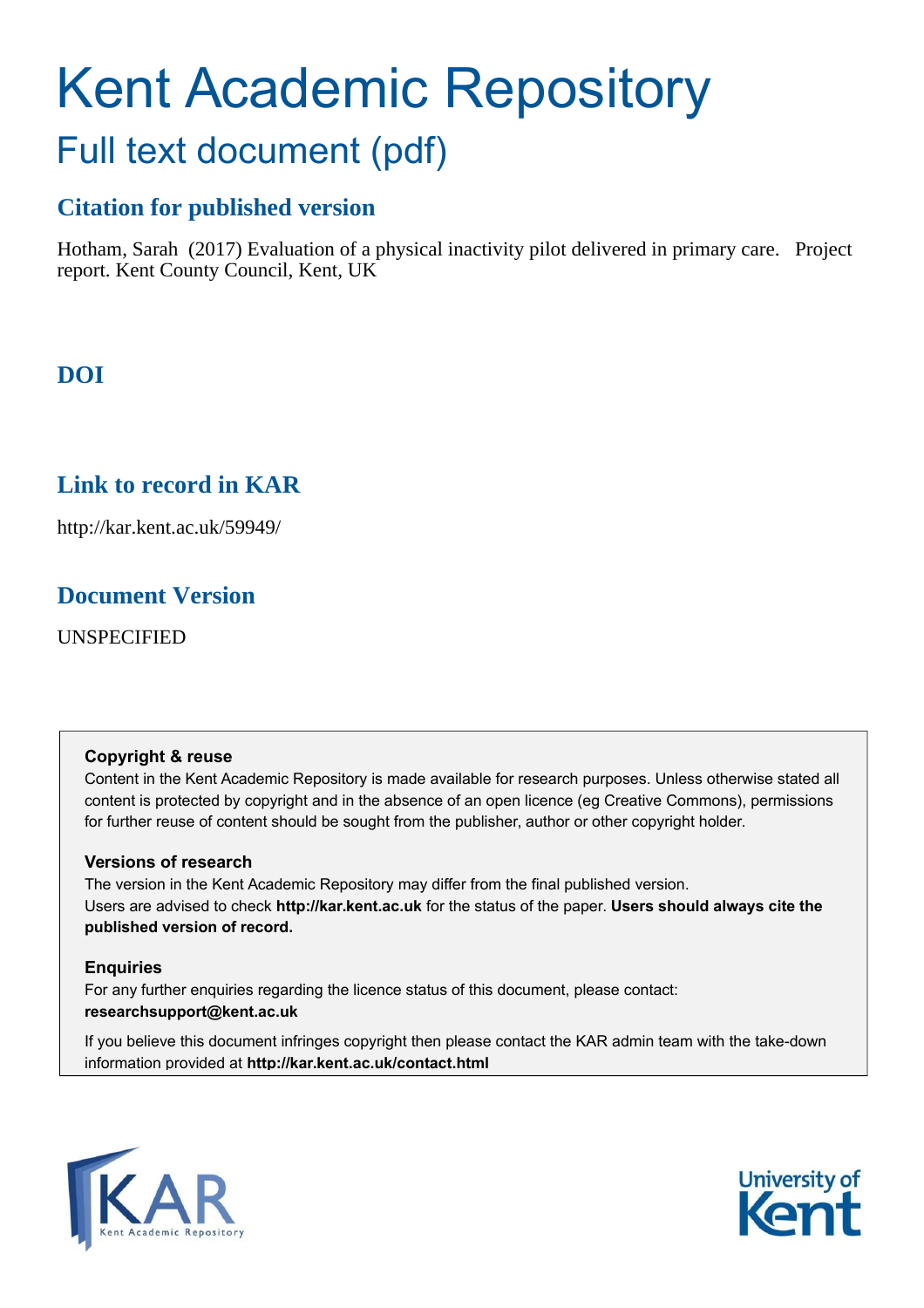# Kent Academic Repository Full text document (pdf)

# **Citation for published version**

Hotham, Sarah (2017) Evaluation of a physical inactivity pilot delivered in primary care. Project report. Kent County Council, Kent, UK

# **DOI**

# **Link to record in KAR**

http://kar.kent.ac.uk/59949/

# **Document Version**

UNSPECIFIED

#### **Copyright & reuse**

Content in the Kent Academic Repository is made available for research purposes. Unless otherwise stated all content is protected by copyright and in the absence of an open licence (eg Creative Commons), permissions for further reuse of content should be sought from the publisher, author or other copyright holder.

#### **Versions of research**

The version in the Kent Academic Repository may differ from the final published version. Users are advised to check **http://kar.kent.ac.uk** for the status of the paper. **Users should always cite the published version of record.**

#### **Enquiries**

For any further enquiries regarding the licence status of this document, please contact: **researchsupport@kent.ac.uk**

If you believe this document infringes copyright then please contact the KAR admin team with the take-down information provided at **http://kar.kent.ac.uk/contact.html**



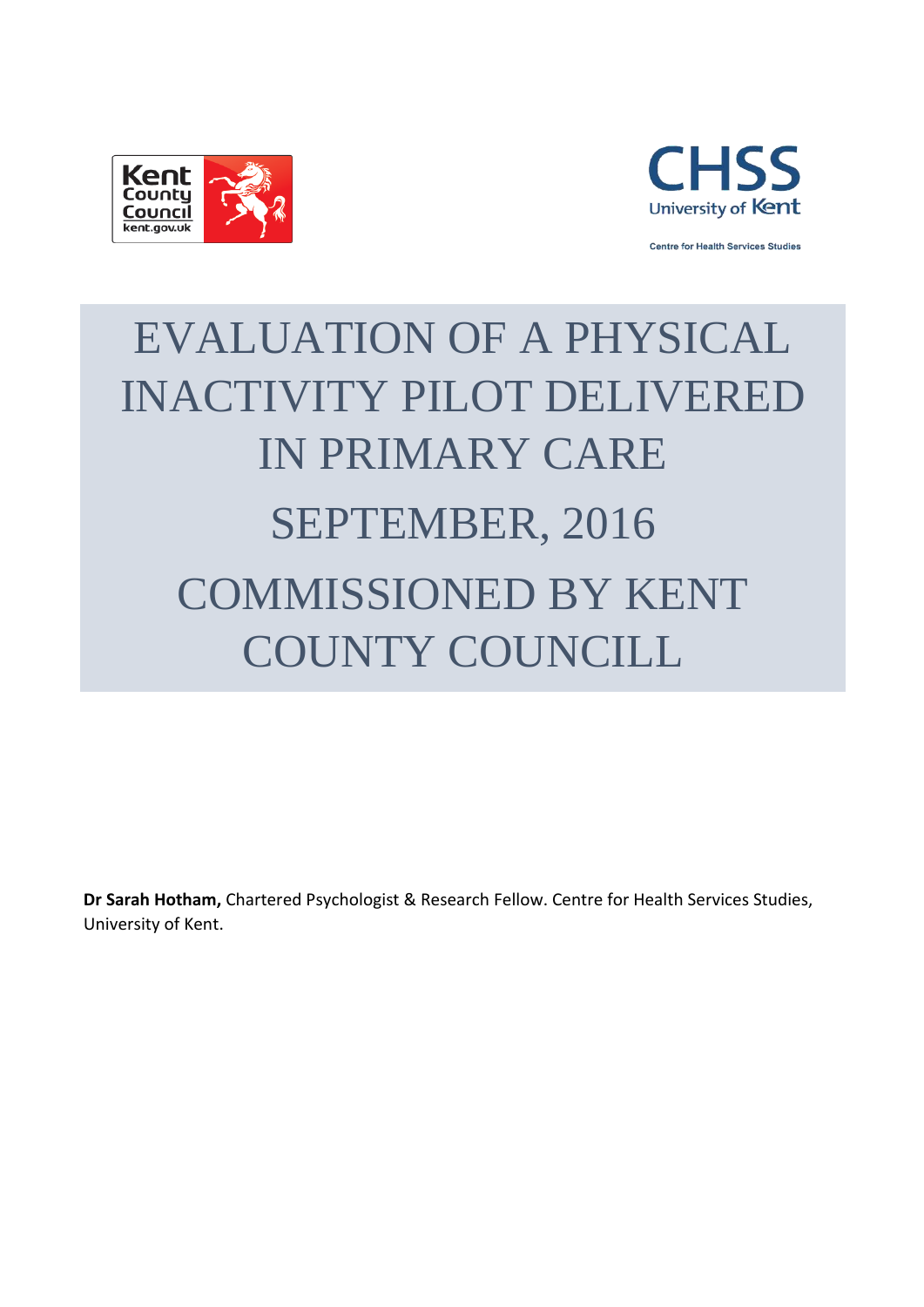



**Centre for Health Services Studies** 

# EVALUATION OF A PHYSICAL INACTIVITY PILOT DELIVERED IN PRIMARY CARE SEPTEMBER, 2016 COMMISSIONED BY KENT COUNTY COUNCILL

**Dr Sarah Hotham,** Chartered Psychologist & Research Fellow. Centre for Health Services Studies, University of Kent.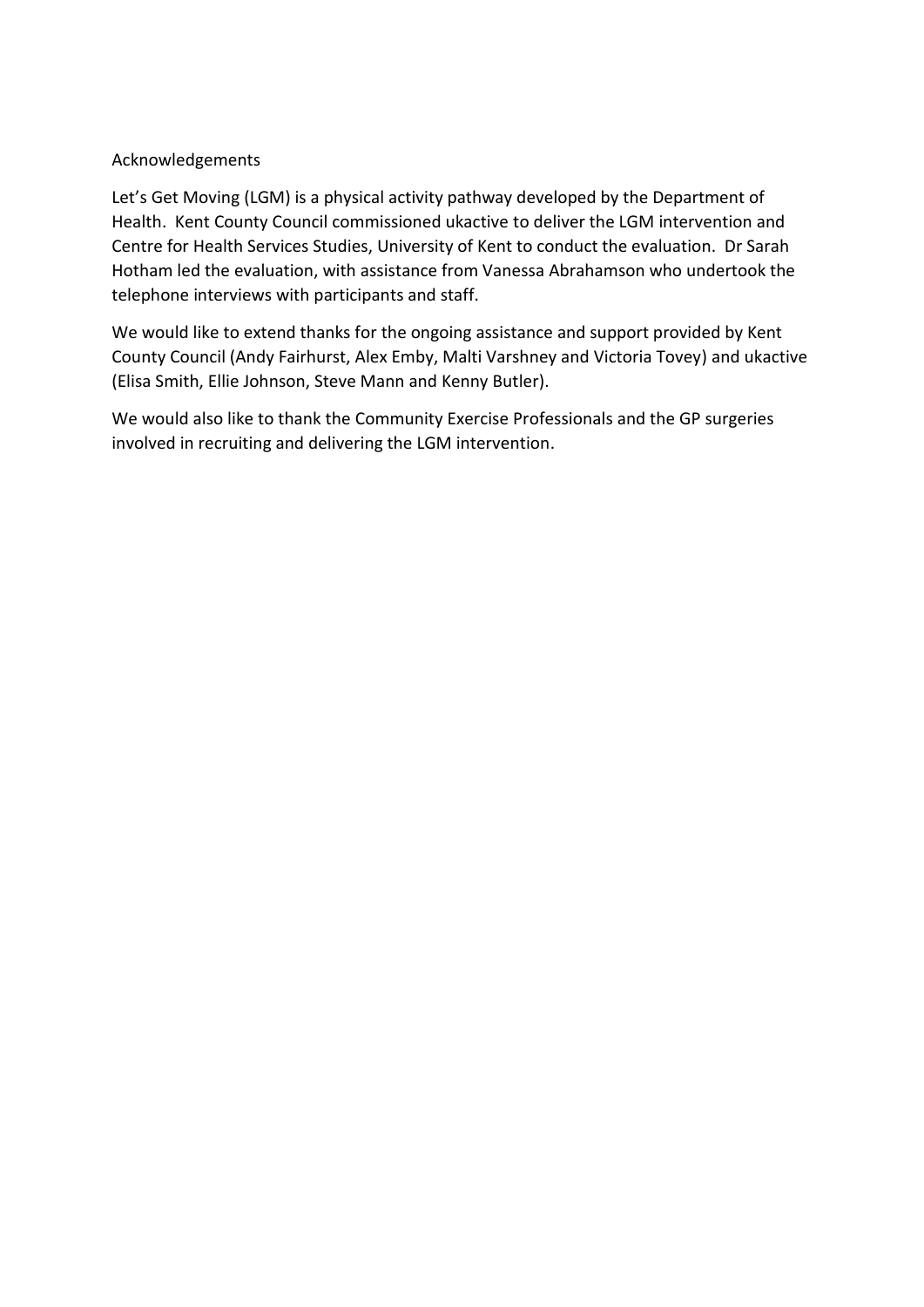#### Acknowledgements

Let's Get Moving (LGM) is a physical activity pathway developed by the Department of Health. Kent County Council commissioned ukactive to deliver the LGM intervention and Centre for Health Services Studies, University of Kent to conduct the evaluation. Dr Sarah Hotham led the evaluation, with assistance from Vanessa Abrahamson who undertook the telephone interviews with participants and staff.

We would like to extend thanks for the ongoing assistance and support provided by Kent County Council (Andy Fairhurst, Alex Emby, Malti Varshney and Victoria Tovey) and ukactive (Elisa Smith, Ellie Johnson, Steve Mann and Kenny Butler).

We would also like to thank the Community Exercise Professionals and the GP surgeries involved in recruiting and delivering the LGM intervention.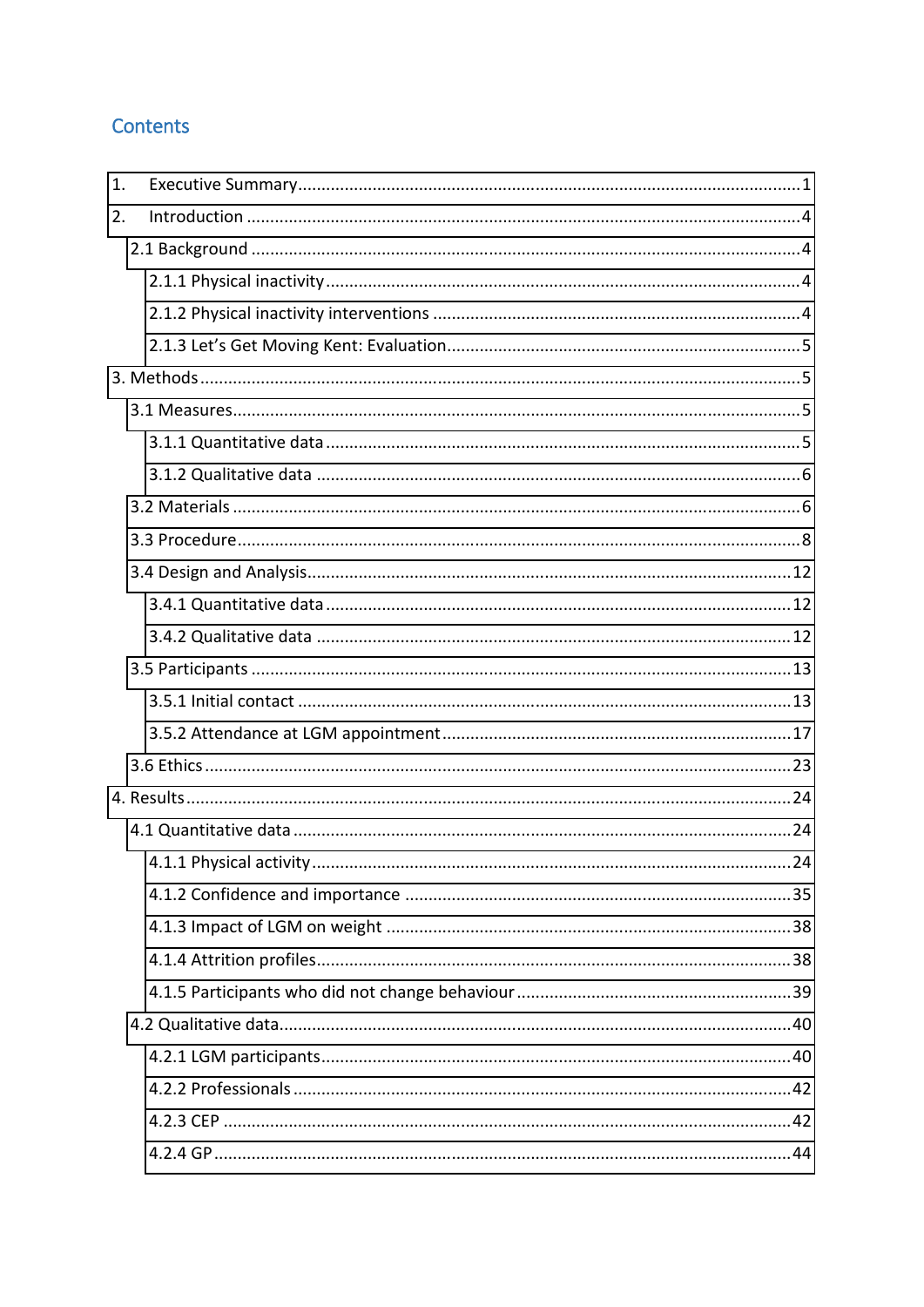## **Contents**

| 1. |  |
|----|--|
| 2. |  |
|    |  |
|    |  |
|    |  |
|    |  |
|    |  |
|    |  |
|    |  |
|    |  |
|    |  |
|    |  |
|    |  |
|    |  |
|    |  |
|    |  |
|    |  |
|    |  |
|    |  |
|    |  |
|    |  |
|    |  |
|    |  |
|    |  |
|    |  |
|    |  |
|    |  |
|    |  |
|    |  |
|    |  |
|    |  |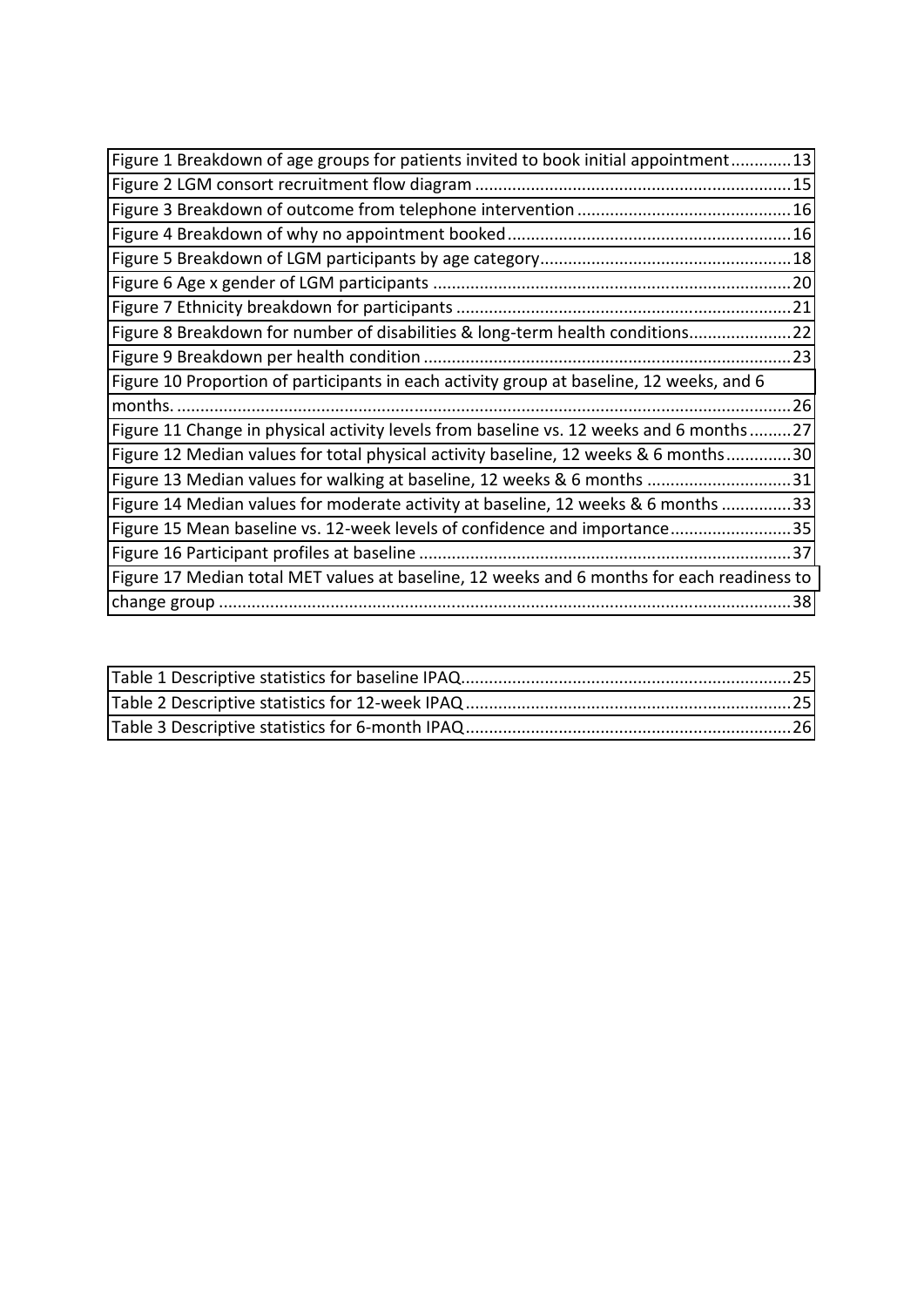<span id="page-5-0"></span>

| Figure 1 Breakdown of age groups for patients invited to book initial appointment13        |  |
|--------------------------------------------------------------------------------------------|--|
|                                                                                            |  |
|                                                                                            |  |
|                                                                                            |  |
|                                                                                            |  |
|                                                                                            |  |
|                                                                                            |  |
| Figure 8 Breakdown for number of disabilities & long-term health conditions22              |  |
|                                                                                            |  |
| Figure 10 Proportion of participants in each activity group at baseline, 12 weeks, and 6   |  |
|                                                                                            |  |
| Figure 11 Change in physical activity levels from baseline vs. 12 weeks and 6 months27     |  |
| Figure 12 Median values for total physical activity baseline, 12 weeks & 6 months30        |  |
| Figure 13 Median values for walking at baseline, 12 weeks & 6 months 31                    |  |
| Figure 14 Median values for moderate activity at baseline, 12 weeks & 6 months 33          |  |
| Figure 15 Mean baseline vs. 12-week levels of confidence and importance35                  |  |
|                                                                                            |  |
| Figure 17 Median total MET values at baseline, 12 weeks and 6 months for each readiness to |  |
|                                                                                            |  |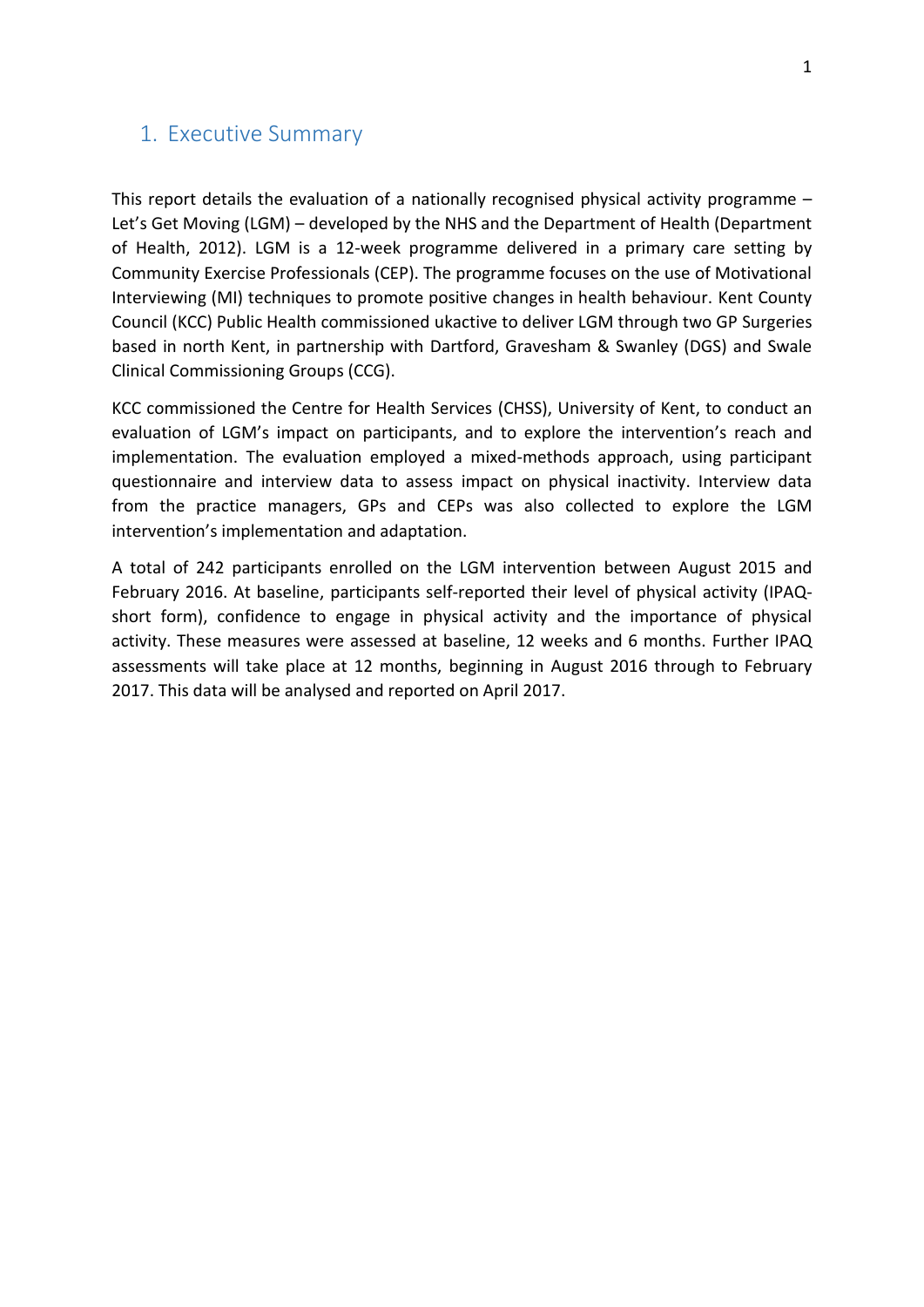#### 1. Executive Summary

This report details the evaluation of a nationally recognised physical activity programme  $-$ Let's Get Moving (LGM) – developed by the NHS and the Department of Health (Department of Health, 2012). LGM is a 12-week programme delivered in a primary care setting by Community Exercise Professionals (CEP). The programme focuses on the use of Motivational Interviewing (MI) techniques to promote positive changes in health behaviour. Kent County Council (KCC) Public Health commissioned ukactive to deliver LGM through two GP Surgeries based in north Kent, in partnership with Dartford, Gravesham & Swanley (DGS) and Swale Clinical Commissioning Groups (CCG).

KCC commissioned the Centre for Health Services (CHSS), University of Kent, to conduct an evaluation of LGM's impact on participants, and to explore the intervention's reach and implementation. The evaluation employed a mixed-methods approach, using participant questionnaire and interview data to assess impact on physical inactivity. Interview data from the practice managers, GPs and CEPs was also collected to explore the LGM intervention's implementation and adaptation.

A total of 242 participants enrolled on the LGM intervention between August 2015 and February 2016. At baseline, participants self-reported their level of physical activity (IPAQshort form), confidence to engage in physical activity and the importance of physical activity. These measures were assessed at baseline, 12 weeks and 6 months. Further IPAQ assessments will take place at 12 months, beginning in August 2016 through to February 2017. This data will be analysed and reported on April 2017.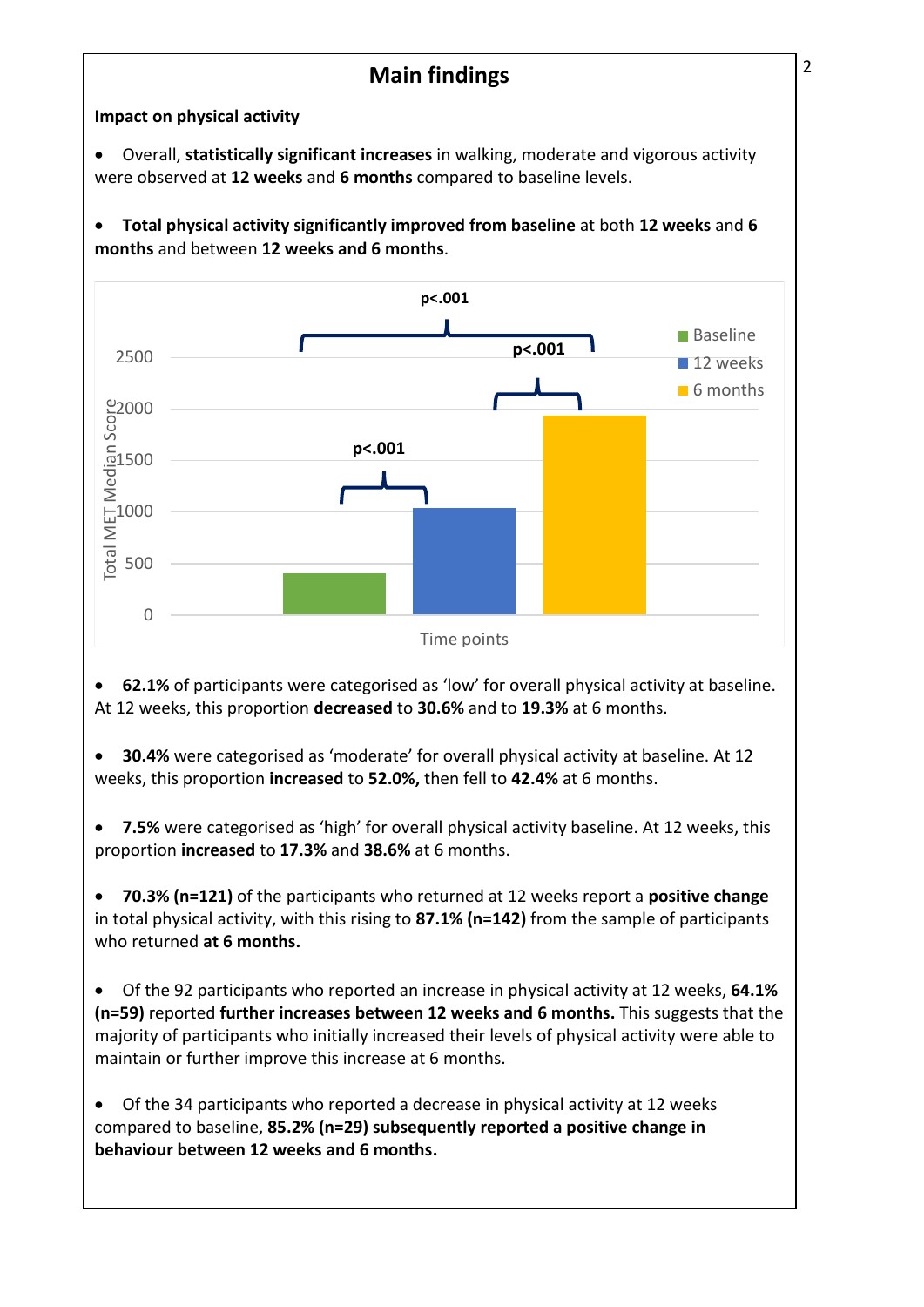# **Main findings** 2

**Impact on physical activity** 

 Overall, **statistically significant increases** in walking, moderate and vigorous activity were observed at **12 weeks** and **6 months** compared to baseline levels.

 **Total physical activity significantly improved from baseline** at both **12 weeks** and **6 months** and between **12 weeks and 6 months**.



**62.1%** of participants were categorised as 'low' for overall physical activity at baseline. At 12 weeks, this proportion **decreased** to **30.6%** and to **19.3%** at 6 months.

**30.4%** were categorised as 'moderate' for overall physical activity at baseline. At 12 weeks, this proportion **increased** to **52.0%,** then fell to **42.4%** at 6 months.

• **7.5%** were categorised as 'high' for overall physical activity baseline. At 12 weeks, this proportion **increased** to **17.3%** and **38.6%** at 6 months.

 **70.3% (n=121)** of the participants who returned at 12 weeks report a **positive change** in total physical activity, with this rising to **87.1% (n=142)** from the sample of participants who returned **at 6 months.**

 Of the 92 participants who reported an increase in physical activity at 12 weeks, **64.1% (n=59)** reported **further increases between 12 weeks and 6 months.** This suggests that the majority of participants who initially increased their levels of physical activity were able to maintain or further improve this increase at 6 months.

 Of the 34 participants who reported a decrease in physical activity at 12 weeks compared to baseline, **85.2% (n=29) subsequently reported a positive change in behaviour between 12 weeks and 6 months.**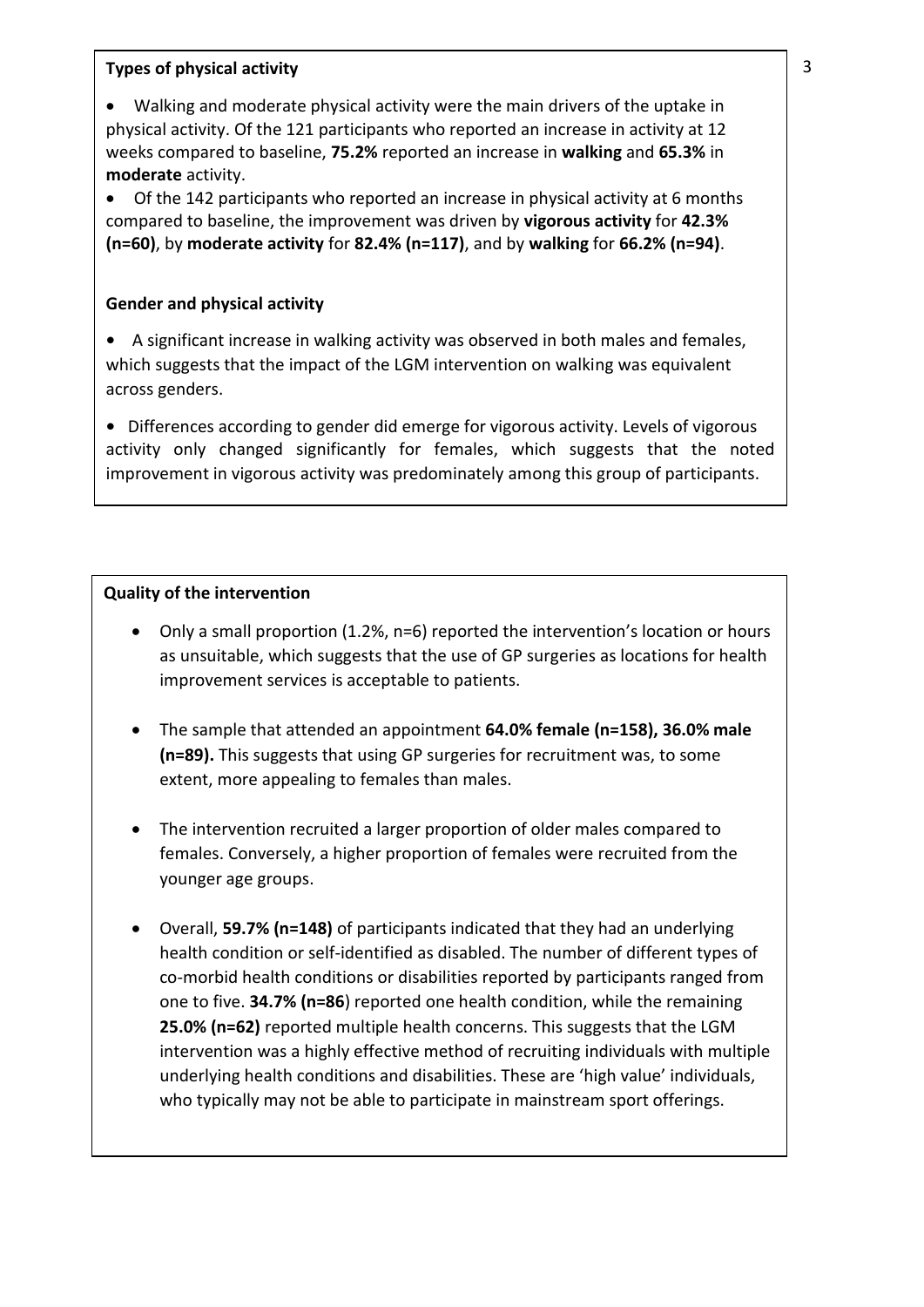#### **Types of physical activity**

 Walking and moderate physical activity were the main drivers of the uptake in physical activity. Of the 121 participants who reported an increase in activity at 12 weeks compared to baseline, **75.2%** reported an increase in **walking** and **65.3%** in **moderate** activity.

<span id="page-8-0"></span> Of the 142 participants who reported an increase in physical activity at 6 months compared to baseline, the improvement was driven by **vigorous activity** for **42.3% (n=60)**, by **moderate activity** for **82.4% (n=117)**, and by **walking** for **66.2% (n=94)**.

#### **Gender and physical activity**

**ひ** A significant increase in walking activity was observed in both males and females, which suggests that the impact of the LGM intervention on walking was equivalent across genders.

<span id="page-8-2"></span><span id="page-8-1"></span>• Differences according to gender did emerge for vigorous activity. Levels of vigorous activity only changed significantly for females, which suggests that the noted improvement in vigorous activity was predominately among this group of participants.

#### **Quality of the intervention**

- Only a small proportion (1.2%, n=6) reported the intervention's location or hours as unsuitable, which suggests that the use of GP surgeries as locations for health improvement services is acceptable to patients.
- The sample that attended an appointment **64.0% female (n=158), 36.0% male (n=89).** This suggests that using GP surgeries for recruitment was, to some extent, more appealing to females than males.
- <span id="page-8-3"></span> The intervention recruited a larger proportion of older males compared to females. Conversely, a higher proportion of females were recruited from the younger age groups.
- Overall, **59.7% (n=148)** of participants indicated that they had an underlying health condition or self-identified as disabled. The number of different types of co-morbid health conditions or disabilities reported by participants ranged from one to five. **34.7% (n=86**) reported one health condition, while the remaining **25.0% (n=62)** reported multiple health concerns. This suggests that the LGM intervention was a highly effective method of recruiting individuals with multiple underlying health conditions and disabilities. These are 'high value' individuals, who typically may not be able to participate in mainstream sport offerings.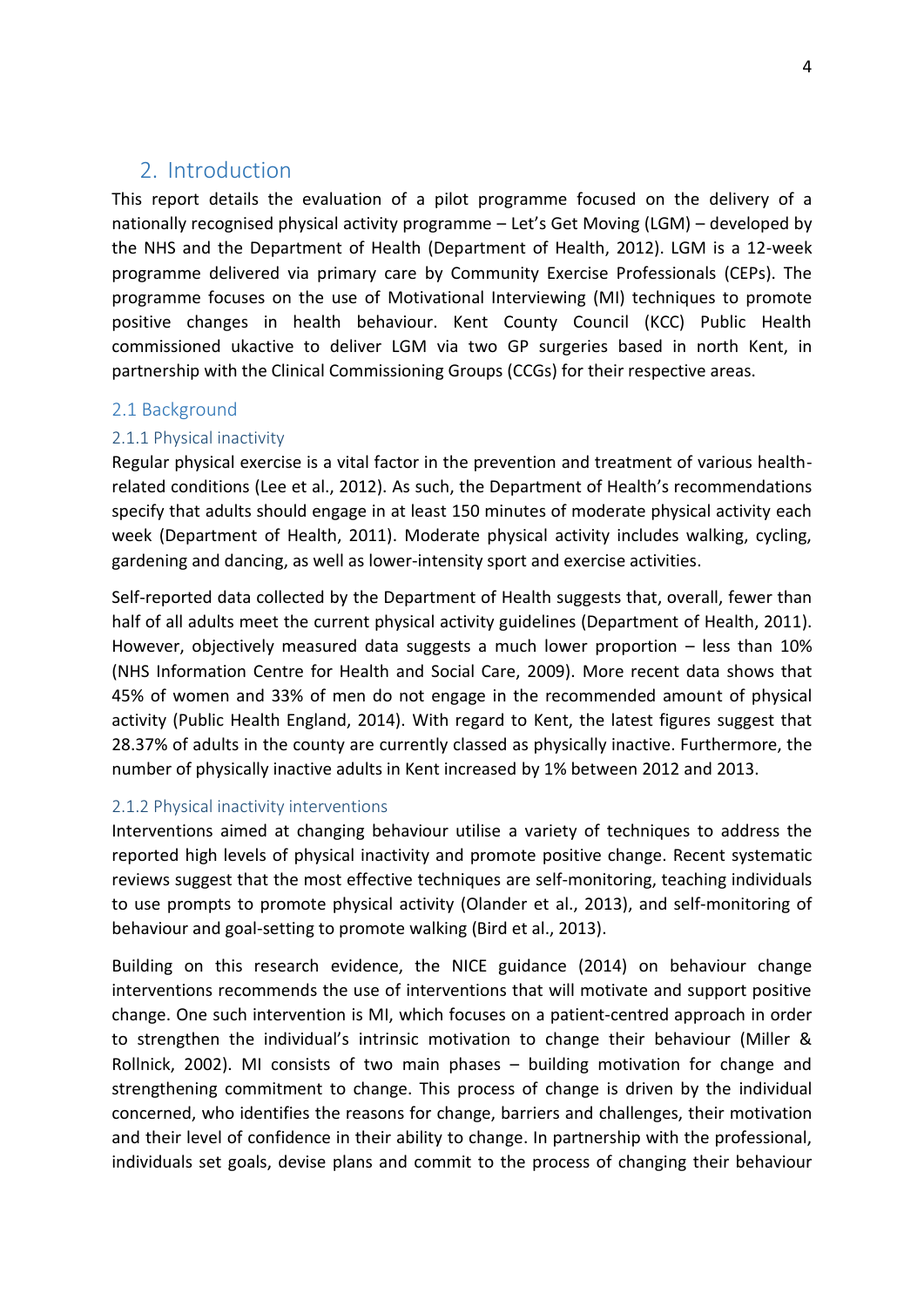### 2. Introduction

<span id="page-9-0"></span>This report details the evaluation of a pilot programme focused on the delivery of a nationally recognised physical activity programme – Let's Get Moving (LGM) – developed by the NHS and the Department of Health (Department of Health, 2012). LGM is a 12-week programme delivered via primary care by Community Exercise Professionals (CEPs). The programme focuses on the use of Motivational Interviewing (MI) techniques to promote positive changes in health behaviour. Kent County Council (KCC) Public Health commissioned ukactive to deliver LGM via two GP surgeries based in north Kent, in partnership with the Clinical Commissioning Groups (CCGs) for their respective areas.

#### 2.1 Background

#### 2.1.1 Physical inactivity

Regular physical exercise is a vital factor in the prevention and treatment of various healthrelated conditions (Lee et al., 2012). As such, the Department of Health's recommendations specify that adults should engage in at least 150 minutes of moderate physical activity each week (Department of Health, 2011). Moderate physical activity includes walking, cycling, gardening and dancing, as well as lower-intensity sport and exercise activities.

Self-reported data collected by the Department of Health suggests that, overall, fewer than half of all adults meet the current physical activity guidelines (Department of Health, 2011). However, objectively measured data suggests a much lower proportion  $-$  less than 10% (NHS Information Centre for Health and Social Care, 2009). More recent data shows that 45% of women and 33% of men do not engage in the recommended amount of physical activity (Public Health England, 2014). With regard to Kent, the latest figures suggest that 28.37% of adults in the county are currently classed as physically inactive. Furthermore, the number of physically inactive adults in Kent increased by 1% between 2012 and 2013.

#### <span id="page-9-1"></span>2.1.2 Physical inactivity interventions

Interventions aimed at changing behaviour utilise a variety of techniques to address the reported high levels of physical inactivity and promote positive change. Recent systematic reviews suggest that the most effective techniques are self-monitoring, teaching individuals to use prompts to promote physical activity (Olander et al., 2013), and self-monitoring of behaviour and goal-setting to promote walking (Bird et al., 2013).

<span id="page-9-3"></span><span id="page-9-2"></span>Building on this research evidence, the NICE guidance (2014) on behaviour change interventions recommends the use of interventions that will motivate and support positive change. One such intervention is MI, which focuses on a patient-centred approach in order to strengthen the individual's intrinsic motivation to change their behaviour (Miller & Rollnick, 2002). MI consists of two main phases  $-$  building motivation for change and strengthening commitment to change. This process of change is driven by the individual concerned, who identifies the reasons for change, barriers and challenges, their motivation and their level of confidence in their ability to change. In partnership with the professional, individuals set goals, devise plans and commit to the process of changing their behaviour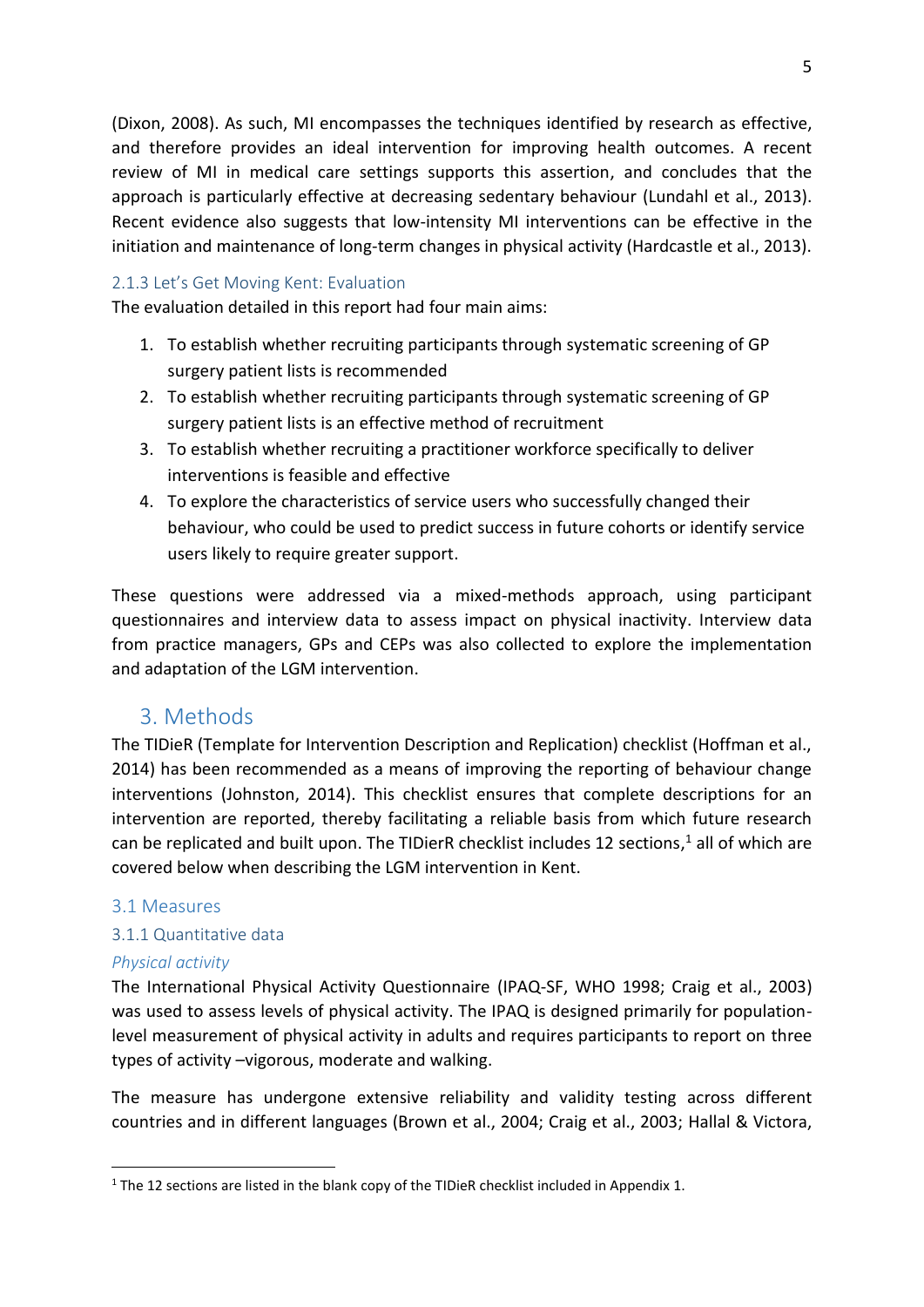(Dixon, 2008). As such, MI encompasses the techniques identified by research as effective, and therefore provides an ideal intervention for improving health outcomes. A recent review of MI in medical care settings supports this assertion, and concludes that the approach is particularly effective at decreasing sedentary behaviour (Lundahl et al., 2013). Recent evidence also suggests that low-intensity MI interventions can be effective in the initiation and maintenance of long-term changes in physical activity (Hardcastle et al., 2013).

#### 2.1.3 Let's Get Moving Kent: Evaluation

The evaluation detailed in this report had four main aims:

- 1. To establish whether recruiting participants through systematic screening of GP surgery patient lists is recommended
- 2. To establish whether recruiting participants through systematic screening of GP surgery patient lists is an effective method of recruitment
- 3. To establish whether recruiting a practitioner workforce specifically to deliver interventions is feasible and effective
- 4. To explore the characteristics of service users who successfully changed their behaviour, who could be used to predict success in future cohorts or identify service users likely to require greater support.

These questions were addressed via a mixed-methods approach, using participant questionnaires and interview data to assess impact on physical inactivity. Interview data from practice managers, GPs and CEPs was also collected to explore the implementation and adaptation of the LGM intervention.

#### 3. Methods

The TIDieR (Template for Intervention Description and Replication) checklist (Hoffman et al., 2014) has been recommended as a means of improving the reporting of behaviour change interventions (Johnston, 2014). This checklist ensures that complete descriptions for an intervention are reported, thereby facilitating a reliable basis from which future research can be replicated and built upon. The TIDierR checklist includes 12 sections,<sup>1</sup> all of which are covered below when describing the LGM intervention in Kent.

#### <span id="page-10-0"></span>3.1 Measures

#### 3.1.1 Quantitative data

#### *Physical activity*

.

The International Physical Activity Questionnaire (IPAQ-SF, WHO 1998; Craig et al., 2003) was used to assess levels of physical activity. The IPAQ is designed primarily for populationlevel measurement of physical activity in adults and requires participants to report on three types of activity -vigorous, moderate and walking.

<span id="page-10-1"></span>The measure has undergone extensive reliability and validity testing across different countries and in different languages (Brown et al., 2004; Craig et al., 2003; Hallal & Victora,

 $1$  The 12 sections are listed in the blank copy of the TIDieR checklist included in Appendix 1.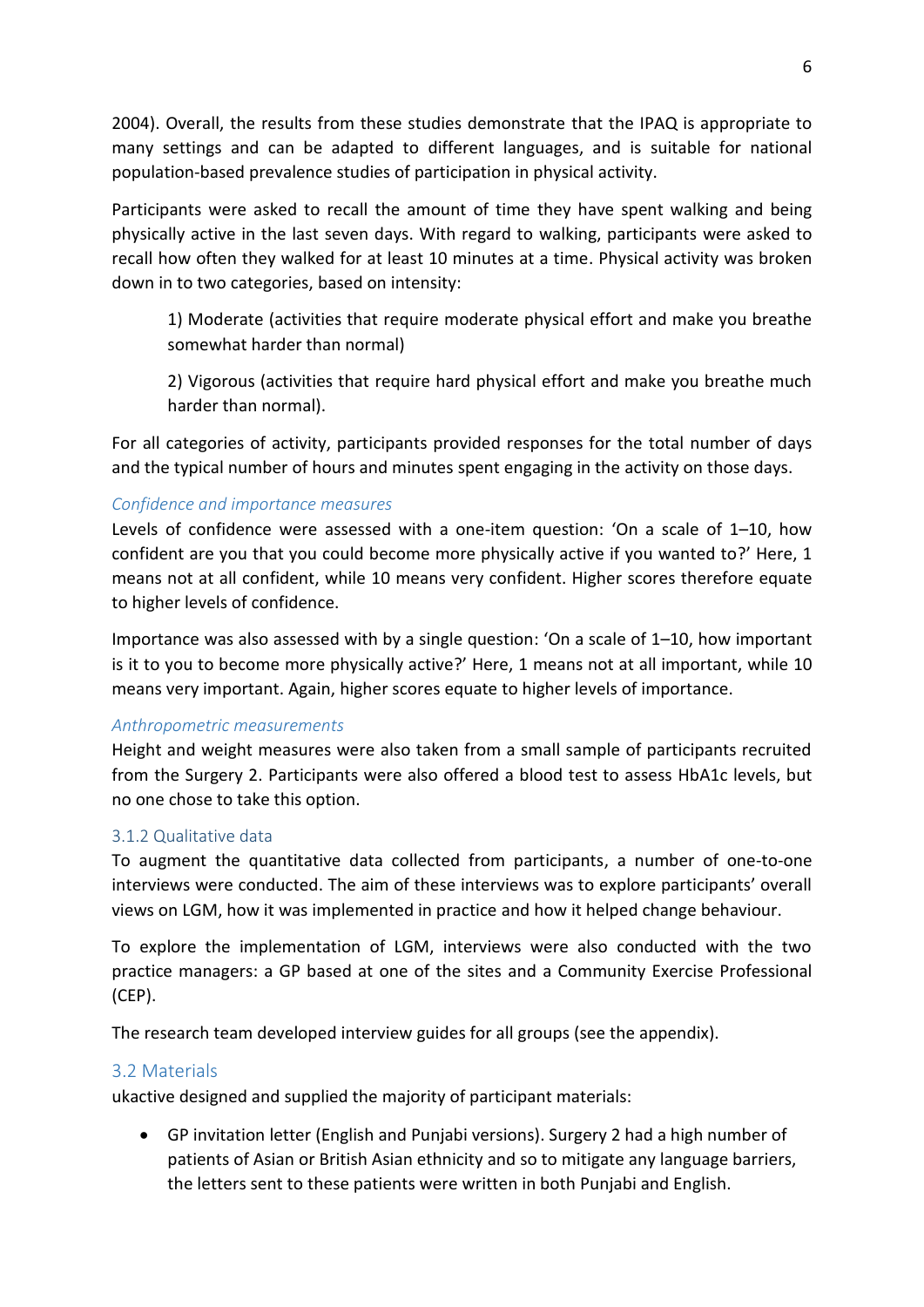2004). Overall, the results from these studies demonstrate that the IPAQ is appropriate to many settings and can be adapted to different languages, and is suitable for national population-based prevalence studies of participation in physical activity.

Participants were asked to recall the amount of time they have spent walking and being physically active in the last seven days. With regard to walking, participants were asked to recall how often they walked for at least 10 minutes at a time. Physical activity was broken down in to two categories, based on intensity:

 1) Moderate (activities that require moderate physical effort and make you breathe somewhat harder than normal)

 2) Vigorous (activities that require hard physical effort and make you breathe much harder than normal).

For all categories of activity, participants provided responses for the total number of days and the typical number of hours and minutes spent engaging in the activity on those days.

#### *Confidence and importance measures*

Levels of confidence were assessed with a one-item question: 'On a scale of  $1-10$ , how confident are you that you could become more physically active if you wanted to?' Here, 1 means not at all confident, while 10 means very confident. Higher scores therefore equate to higher levels of confidence.

Importance was also assessed with by a single question: 'On a scale of  $1-10$ , how important is it to you to become more physically active?' Here, 1 means not at all important, while 10 means very important. Again, higher scores equate to higher levels of importance.

#### *Anthropometric measurements*

Height and weight measures were also taken from a small sample of participants recruited from the Surgery 2. Participants were also offered a blood test to assess HbA1c levels, but no one chose to take this option.

#### 3.1.2 Qualitative data

To augment the quantitative data collected from participants, a number of one-to-one interviews were conducted. The aim of these interviews was to explore participants' overall views on LGM, how it was implemented in practice and how it helped change behaviour.

To explore the implementation of LGM, interviews were also conducted with the two practice managers: a GP based at one of the sites and a Community Exercise Professional (CEP).

The research team developed interview guides for all groups (see the appendix).

#### 3.2 Materials

ukactive designed and supplied the majority of participant materials:

 GP invitation letter (English and Punjabi versions). Surgery 2 had a high number of patients of Asian or British Asian ethnicity and so to mitigate any language barriers, the letters sent to these patients were written in both Punjabi and English.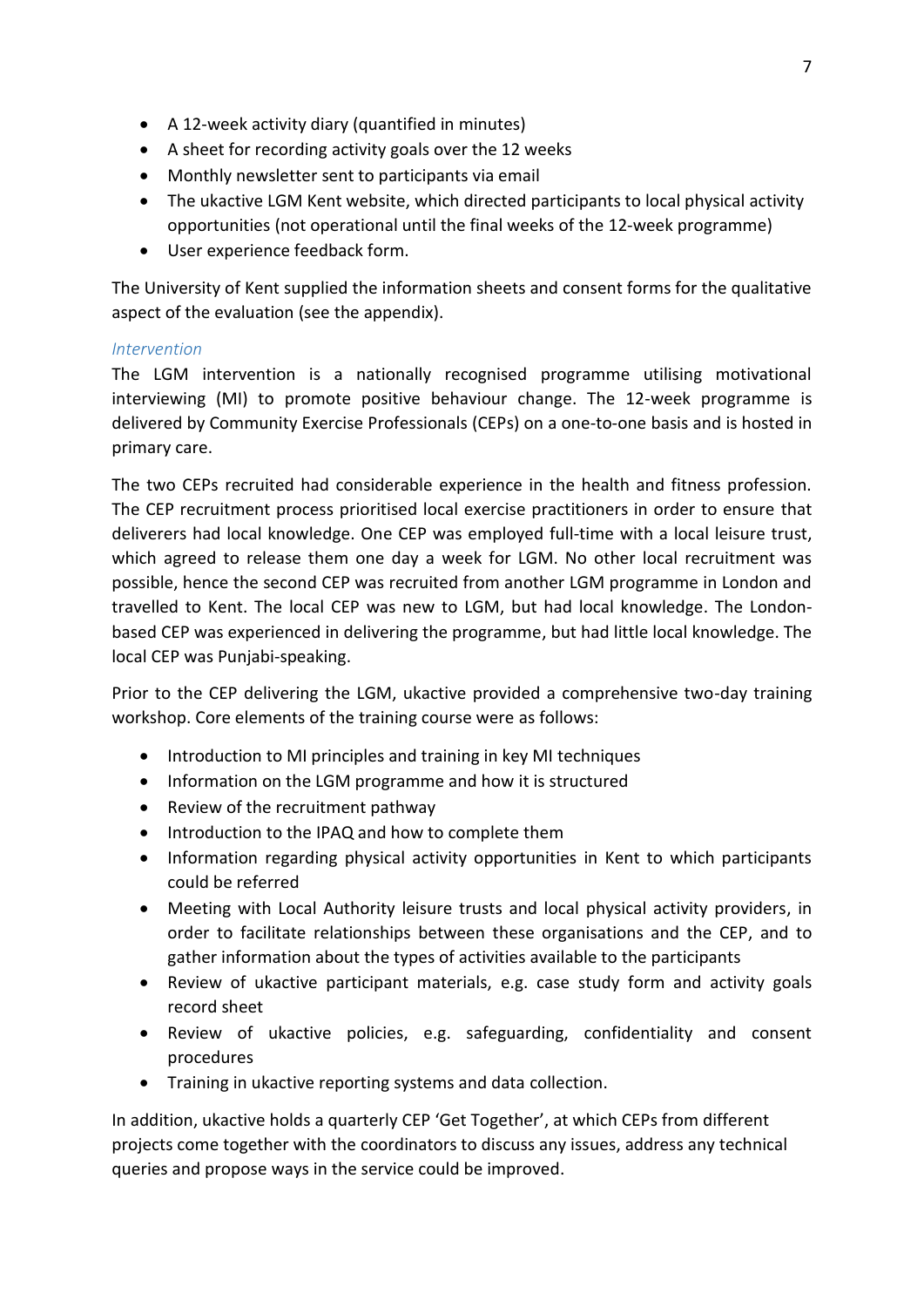- A 12-week activity diary (quantified in minutes)
- A sheet for recording activity goals over the 12 weeks
- Monthly newsletter sent to participants via email
- The ukactive LGM Kent website, which directed participants to local physical activity opportunities (not operational until the final weeks of the 12-week programme)
- User experience feedback form.

The University of Kent supplied the information sheets and consent forms for the qualitative aspect of the evaluation (see the appendix).

#### *Intervention*

The LGM intervention is a nationally recognised programme utilising motivational interviewing (MI) to promote positive behaviour change. The 12-week programme is delivered by Community Exercise Professionals (CEPs) on a one-to-one basis and is hosted in primary care.

The two CEPs recruited had considerable experience in the health and fitness profession. The CEP recruitment process prioritised local exercise practitioners in order to ensure that deliverers had local knowledge. One CEP was employed full-time with a local leisure trust, which agreed to release them one day a week for LGM. No other local recruitment was possible, hence the second CEP was recruited from another LGM programme in London and travelled to Kent. The local CEP was new to LGM, but had local knowledge. The Londonbased CEP was experienced in delivering the programme, but had little local knowledge. The local CEP was Punjabi-speaking.

Prior to the CEP delivering the LGM, ukactive provided a comprehensive two-day training workshop. Core elements of the training course were as follows:

- Introduction to MI principles and training in key MI techniques
- Information on the LGM programme and how it is structured
- Review of the recruitment pathway
- Introduction to the IPAQ and how to complete them
- Information regarding physical activity opportunities in Kent to which participants could be referred
- Meeting with Local Authority leisure trusts and local physical activity providers, in order to facilitate relationships between these organisations and the CEP, and to gather information about the types of activities available to the participants
- Review of ukactive participant materials, e.g. case study form and activity goals record sheet
- <span id="page-12-0"></span> Review of ukactive policies, e.g. safeguarding, confidentiality and consent procedures
- Training in ukactive reporting systems and data collection.

In addition, ukactive holds a quarterly CEP 'Get Together', at which CEPs from different projects come together with the coordinators to discuss any issues, address any technical queries and propose ways in the service could be improved.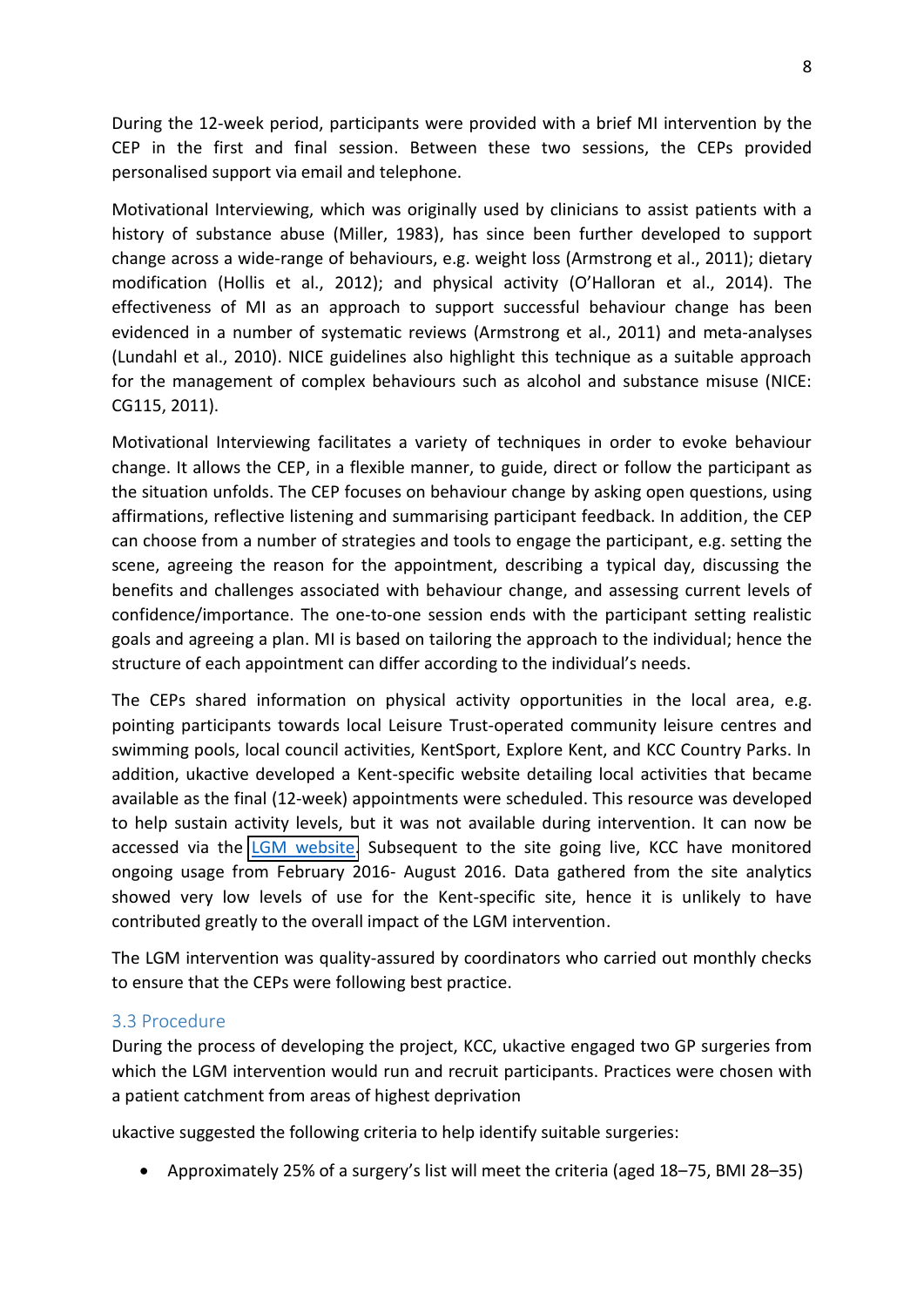During the 12-week period, participants were provided with a brief MI intervention by the CEP in the first and final session. Between these two sessions, the CEPs provided personalised support via email and telephone.

Motivational Interviewing, which was originally used by clinicians to assist patients with a history of substance abuse (Miller, 1983), has since been further developed to support change across a wide-range of behaviours, e.g. weight loss (Armstrong et al., 2011); dietary modification (Hollis et al., 2012); and physical activity (O'Halloran et al., 2014). The effectiveness of MI as an approach to support successful behaviour change has been evidenced in a number of systematic reviews (Armstrong et al., 2011) and meta-analyses (Lundahl et al., 2010). NICE guidelines also highlight this technique as a suitable approach for the management of complex behaviours such as alcohol and substance misuse (NICE: CG115, 2011).

Motivational Interviewing facilitates a variety of techniques in order to evoke behaviour change. It allows the CEP, in a flexible manner, to guide, direct or follow the participant as the situation unfolds. The CEP focuses on behaviour change by asking open questions, using affirmations, reflective listening and summarising participant feedback. In addition, the CEP can choose from a number of strategies and tools to engage the participant, e.g. setting the scene, agreeing the reason for the appointment, describing a typical day, discussing the benefits and challenges associated with behaviour change, and assessing current levels of confidence/importance. The one-to-one session ends with the participant setting realistic goals and agreeing a plan. MI is based on tailoring the approach to the individual; hence the structure of each appointment can differ according to the individual's needs.

The CEPs shared information on physical activity opportunities in the local area, e.g. pointing participants towards local Leisure Trust-operated community leisure centres and swimming pools, local council activities, KentSport, Explore Kent, and KCC Country Parks. In addition, ukactive developed a Kent-specific website detailing local activities that became available as the final (12-week) appointments were scheduled. This resource was developed to help sustain activity levels, but it was not available during intervention. It can now be accessed via the [LGM website.](http://letsgetmoving.org.uk/kent/) Subsequent to the site going live, KCC have monitored ongoing usage from February 2016- August 2016. Data gathered from the site analytics showed very low levels of use for the Kent-specific site, hence it is unlikely to have contributed greatly to the overall impact of the LGM intervention.

The LGM intervention was quality-assured by coordinators who carried out monthly checks to ensure that the CEPs were following best practice.

#### 3.3 Procedure

During the process of developing the project, KCC, ukactive engaged two GP surgeries from which the LGM intervention would run and recruit participants. Practices were chosen with a patient catchment from areas of highest deprivation

ukactive suggested the following criteria to help identify suitable surgeries:

• Approximately 25% of a surgery's list will meet the criteria (aged  $18-75$ , BMI 28-35)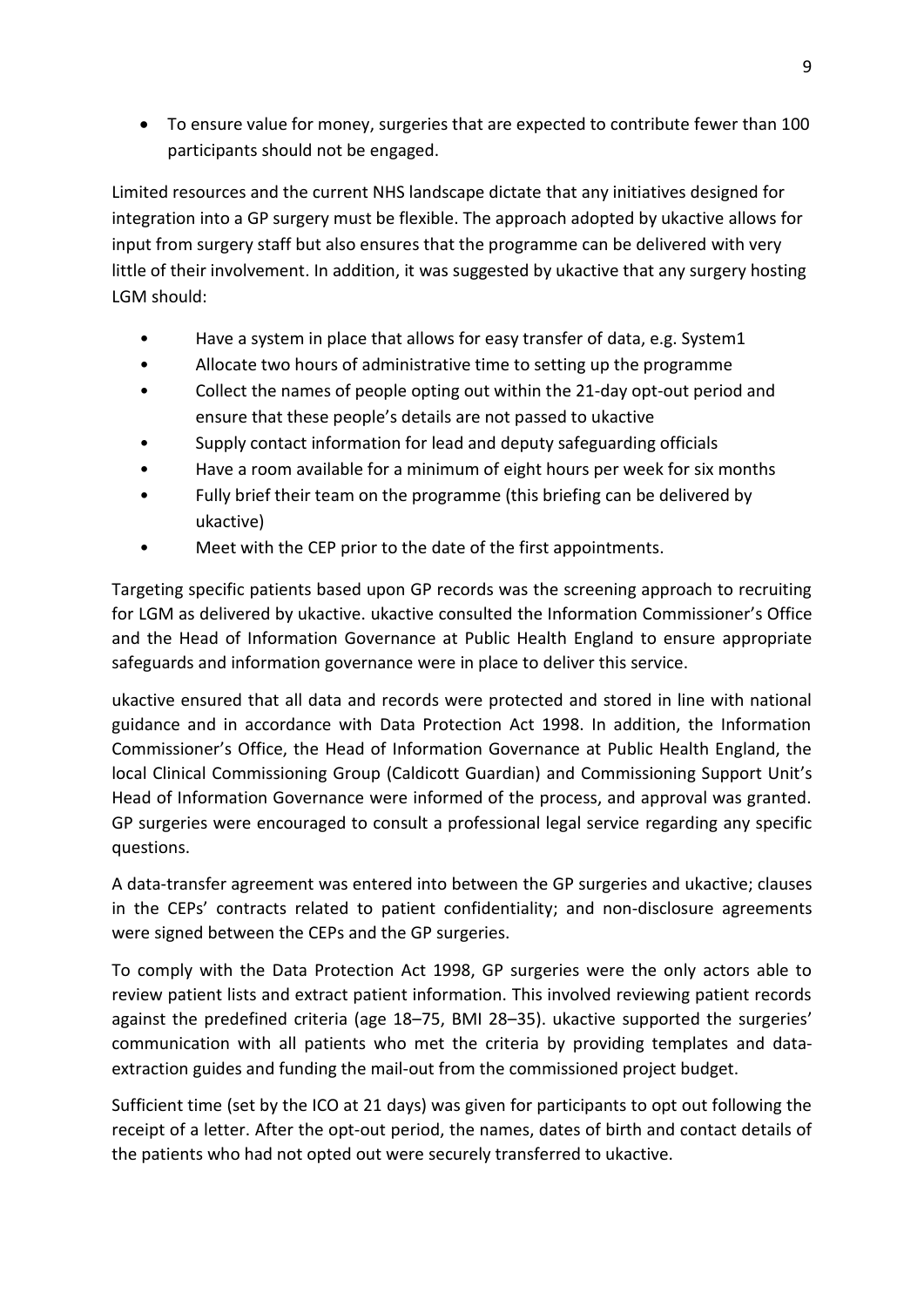To ensure value for money, surgeries that are expected to contribute fewer than 100 participants should not be engaged.

Limited resources and the current NHS landscape dictate that any initiatives designed for integration into a GP surgery must be flexible. The approach adopted by ukactive allows for input from surgery staff but also ensures that the programme can be delivered with very little of their involvement. In addition, it was suggested by ukactive that any surgery hosting LGM should:

- Have a system in place that allows for easy transfer of data, e.g. System1
- Allocate two hours of administrative time to setting up the programme
- Collect the names of people opting out within the 21-day opt-out period and ensure that these people's details are not passed to ukactive
- Supply contact information for lead and deputy safeguarding officials
- Have a room available for a minimum of eight hours per week for six months
- Fully brief their team on the programme (this briefing can be delivered by ukactive)
- Meet with the CEP prior to the date of the first appointments.

Targeting specific patients based upon GP records was the screening approach to recruiting for LGM as delivered by ukactive. ukactive consulted the Information Commissioner's Office and the Head of Information Governance at Public Health England to ensure appropriate safeguards and information governance were in place to deliver this service.

ukactive ensured that all data and records were protected and stored in line with national guidance and in accordance with Data Protection Act 1998. In addition, the Information Commissioner's Office, the Head of Information Governance at Public Health England, the local Clinical Commissioning Group (Caldicott Guardian) and Commissioning Support Unit's Head of Information Governance were informed of the process, and approval was granted. GP surgeries were encouraged to consult a professional legal service regarding any specific questions.

A data-transfer agreement was entered into between the GP surgeries and ukactive; clauses in the CEPs' contracts related to patient confidentiality; and non-disclosure agreements were signed between the CEPs and the GP surgeries.

To comply with the Data Protection Act 1998, GP surgeries were the only actors able to review patient lists and extract patient information. This involved reviewing patient records against the predefined criteria (age 18–75, BMI 28–35). ukactive supported the surgeries' communication with all patients who met the criteria by providing templates and dataextraction guides and funding the mail-out from the commissioned project budget.

Sufficient time (set by the ICO at 21 days) was given for participants to opt out following the receipt of a letter. After the opt-out period, the names, dates of birth and contact details of the patients who had not opted out were securely transferred to ukactive.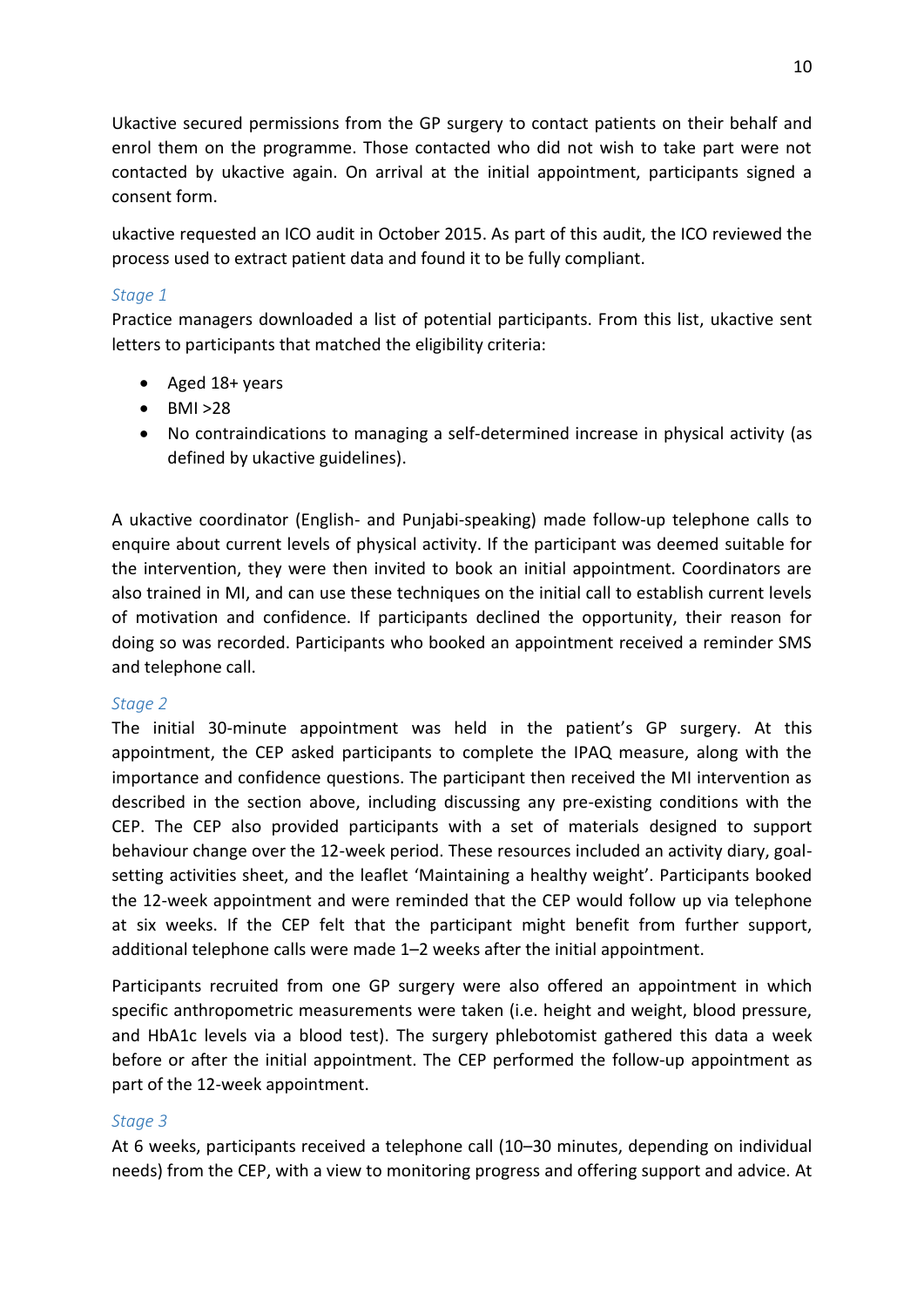Ukactive secured permissions from the GP surgery to contact patients on their behalf and enrol them on the programme. Those contacted who did not wish to take part were not contacted by ukactive again. On arrival at the initial appointment, participants signed a consent form.

ukactive requested an ICO audit in October 2015. As part of this audit, the ICO reviewed the process used to extract patient data and found it to be fully compliant.

#### *Stage 1*

Practice managers downloaded a list of potential participants. From this list, ukactive sent letters to participants that matched the eligibility criteria:

- Aged 18+ years
- $-BMI > 28$
- No contraindications to managing a self-determined increase in physical activity (as defined by ukactive guidelines).

A ukactive coordinator (English- and Punjabi-speaking) made follow-up telephone calls to enquire about current levels of physical activity. If the participant was deemed suitable for the intervention, they were then invited to book an initial appointment. Coordinators are also trained in MI, and can use these techniques on the initial call to establish current levels of motivation and confidence. If participants declined the opportunity, their reason for doing so was recorded. Participants who booked an appointment received a reminder SMS and telephone call.

#### *Stage 2*

The initial 30-minute appointment was held in the patient's GP surgery. At this appointment, the CEP asked participants to complete the IPAQ measure, along with the importance and confidence questions. The participant then received the MI intervention as described in the section above, including discussing any pre-existing conditions with the CEP. The CEP also provided participants with a set of materials designed to support behaviour change over the 12-week period. These resources included an activity diary, goalsetting activities sheet, and the leaflet 'Maintaining a healthy weight'. Participants booked the 12-week appointment and were reminded that the CEP would follow up via telephone at six weeks. If the CEP felt that the participant might benefit from further support, additional telephone calls were made 1–2 weeks after the initial appointment.

Participants recruited from one GP surgery were also offered an appointment in which specific anthropometric measurements were taken (i.e. height and weight, blood pressure, and HbA1c levels via a blood test). The surgery phlebotomist gathered this data a week before or after the initial appointment. The CEP performed the follow-up appointment as part of the 12-week appointment.

#### *Stage 3*

At 6 weeks, participants received a telephone call (10-30 minutes, depending on individual needs) from the CEP, with a view to monitoring progress and offering support and advice. At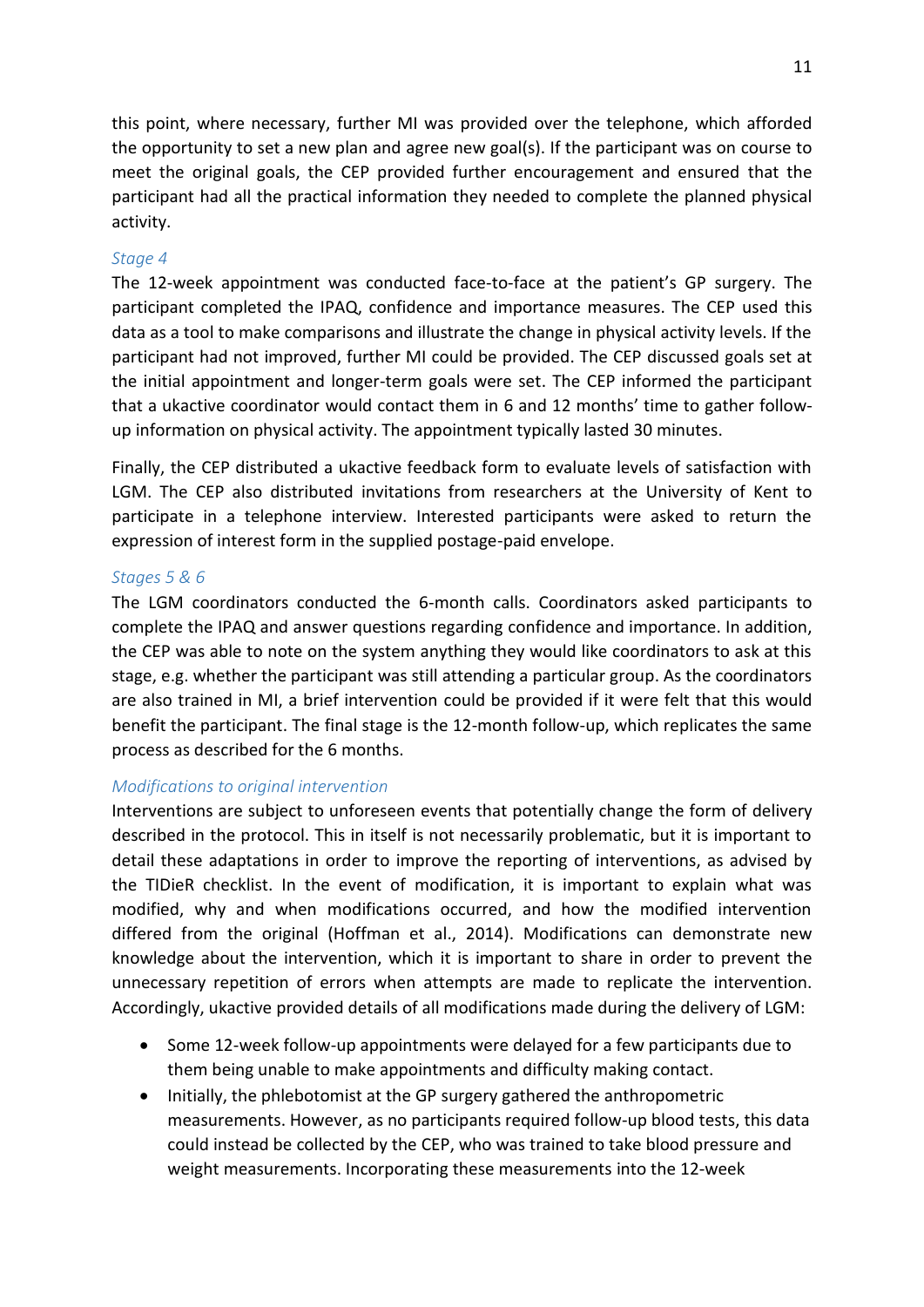this point, where necessary, further MI was provided over the telephone, which afforded the opportunity to set a new plan and agree new goal(s). If the participant was on course to meet the original goals, the CEP provided further encouragement and ensured that the participant had all the practical information they needed to complete the planned physical activity.

#### *Stage 4*

The 12-week appointment was conducted face-to-face at the patient's GP surgery. The participant completed the IPAQ, confidence and importance measures. The CEP used this data as a tool to make comparisons and illustrate the change in physical activity levels. If the participant had not improved, further MI could be provided. The CEP discussed goals set at the initial appointment and longer-term goals were set. The CEP informed the participant that a ukactive coordinator would contact them in 6 and 12 months' time to gather followup information on physical activity. The appointment typically lasted 30 minutes.

<span id="page-16-1"></span><span id="page-16-0"></span>Finally, the CEP distributed a ukactive feedback form to evaluate levels of satisfaction with LGM. The CEP also distributed invitations from researchers at the University of Kent to participate in a telephone interview. Interested participants were asked to return the expression of interest form in the supplied postage-paid envelope.

#### *Stages 5 & 6*

The LGM coordinators conducted the 6-month calls. Coordinators asked participants to complete the IPAQ and answer questions regarding confidence and importance. In addition, the CEP was able to note on the system anything they would like coordinators to ask at this stage, e.g. whether the participant was still attending a particular group. As the coordinators are also trained in MI, a brief intervention could be provided if it were felt that this would benefit the participant. The final stage is the 12-month follow-up, which replicates the same process as described for the 6 months.

#### *Modifications to original intervention*

Interventions are subject to unforeseen events that potentially change the form of delivery described in the protocol. This in itself is not necessarily problematic, but it is important to detail these adaptations in order to improve the reporting of interventions, as advised by the TIDieR checklist. In the event of modification, it is important to explain what was modified, why and when modifications occurred, and how the modified intervention differed from the original (Hoffman et al., 2014). Modifications can demonstrate new knowledge about the intervention, which it is important to share in order to prevent the unnecessary repetition of errors when attempts are made to replicate the intervention. Accordingly, ukactive provided details of all modifications made during the delivery of LGM:

- Some 12-week follow-up appointments were delayed for a few participants due to them being unable to make appointments and difficulty making contact.
- <span id="page-16-2"></span>• Initially, the phlebotomist at the GP surgery gathered the anthropometric measurements. However, as no participants required follow-up blood tests, this data could instead be collected by the CEP, who was trained to take blood pressure and weight measurements. Incorporating these measurements into the 12-week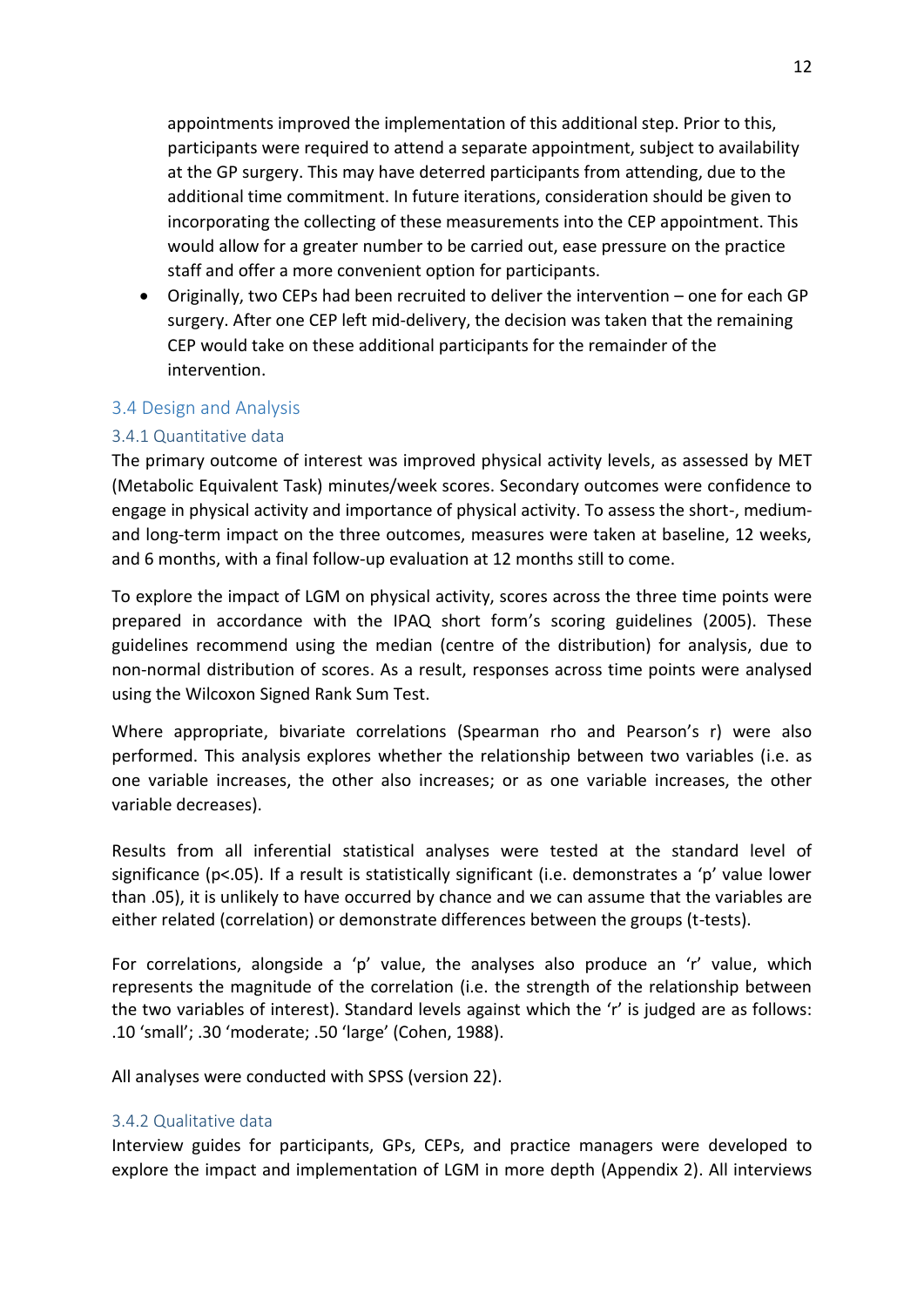appointments improved the implementation of this additional step. Prior to this, participants were required to attend a separate appointment, subject to availability at the GP surgery. This may have deterred participants from attending, due to the additional time commitment. In future iterations, consideration should be given to incorporating the collecting of these measurements into the CEP appointment. This would allow for a greater number to be carried out, ease pressure on the practice staff and offer a more convenient option for participants.

<span id="page-17-0"></span>• Originally, two CEPs had been recruited to deliver the intervention – one for each GP surgery. After one CEP left mid-delivery, the decision was taken that the remaining CEP would take on these additional participants for the remainder of the intervention.

#### <span id="page-17-1"></span>3.4 Design and Analysis

#### 3.4.1 Quantitative data

The primary outcome of interest was improved physical activity levels, as assessed by MET (Metabolic Equivalent Task) minutes/week scores. Secondary outcomes were confidence to engage in physical activity and importance of physical activity. To assess the short-, mediumand long-term impact on the three outcomes, measures were taken at baseline, 12 weeks, and 6 months, with a final follow-up evaluation at 12 months still to come.

To explore the impact of LGM on physical activity, scores across the three time points were prepared in accordance with the IPAQ short form's scoring guidelines (2005). These guidelines recommend using the median (centre of the distribution) for analysis, due to non-normal distribution of scores. As a result, responses across time points were analysed using the Wilcoxon Signed Rank Sum Test.

Where appropriate, bivariate correlations (Spearman rho and Pearson's r) were also performed. This analysis explores whether the relationship between two variables (i.e. as one variable increases, the other also increases; or as one variable increases, the other variable decreases).

Results from all inferential statistical analyses were tested at the standard level of significance (p<.05). If a result is statistically significant (i.e. demonstrates a 'p' value lower than .05), it is unlikely to have occurred by chance and we can assume that the variables are either related (correlation) or demonstrate differences between the groups (t-tests).

For correlations, alongside a 'p' value, the analyses also produce an 'r' value, which represents the magnitude of the correlation (i.e. the strength of the relationship between the two variables of interest). Standard levels against which the 'r' is judged are as follows: .10 'small'; .30 'moderate; .50 'large' (Cohen, 1988).

<span id="page-17-2"></span>All analyses were conducted with SPSS (version 22).

#### 3.4.2 Qualitative data

Interview guides for participants, GPs, CEPs, and practice managers were developed to explore the impact and implementation of LGM in more depth (Appendix 2). All interviews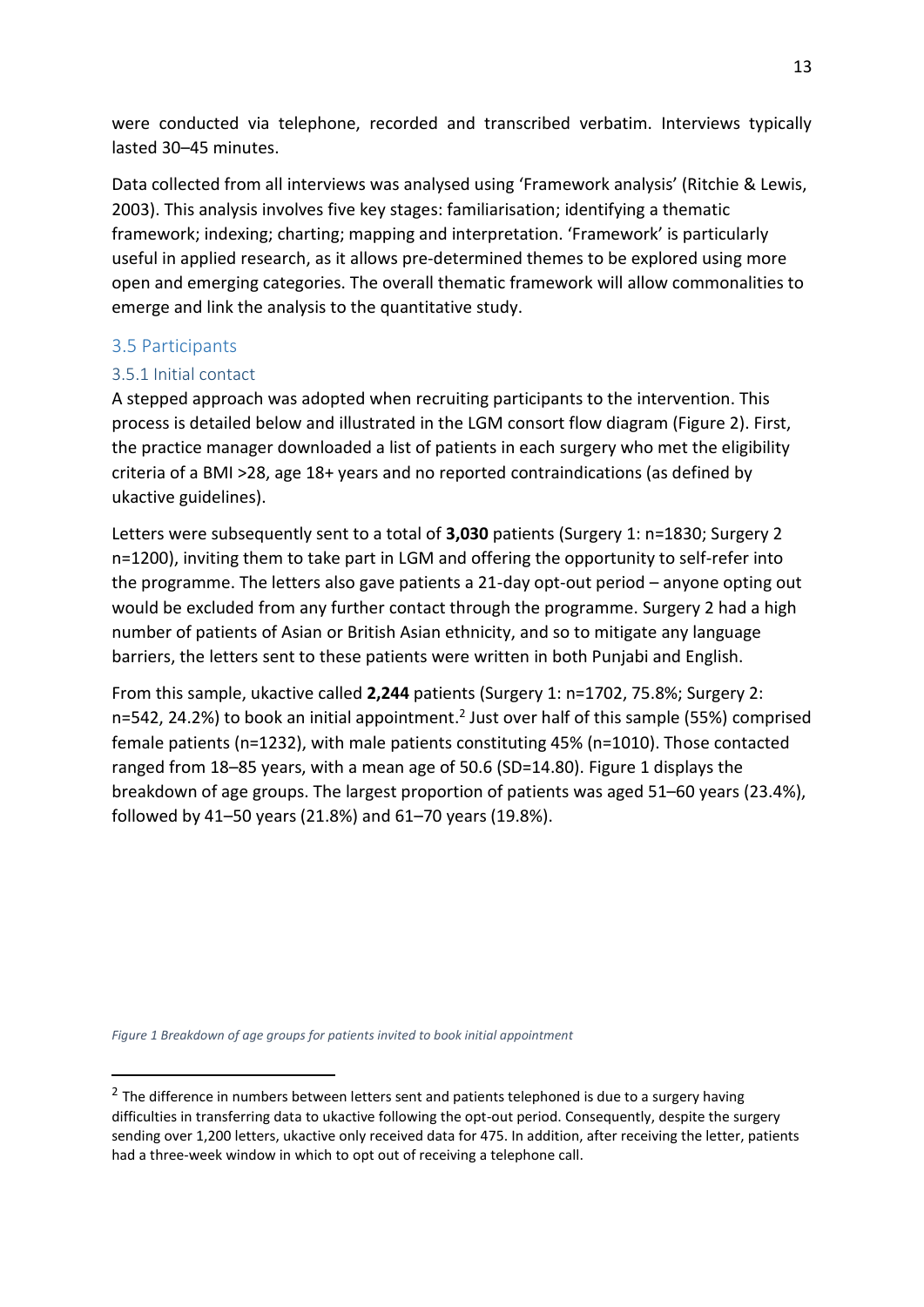were conducted via telephone, recorded and transcribed verbatim. Interviews typically lasted 30-45 minutes.

Data collected from all interviews was analysed using 'Framework analysis' (Ritchie & Lewis, 2003). This analysis involves five key stages: familiarisation; identifying a thematic framework; indexing; charting; mapping and interpretation. 'Framework' is particularly useful in applied research, as it allows pre-determined themes to be explored using more open and emerging categories. The overall thematic framework will allow commonalities to emerge and link the analysis to the quantitative study.

#### 3.5 Participants

1

#### 3.5.1 Initial contact

A stepped approach was adopted when recruiting participants to the intervention. This process is detailed below and illustrated in the LGM consort flow diagram (Figure 2). First, the practice manager downloaded a list of patients in each surgery who met the eligibility criteria of a BMI >28, age 18+ years and no reported contraindications (as defined by ukactive guidelines).

Letters were subsequently sent to a total of **3,030** patients (Surgery 1: n=1830; Surgery 2 n=1200), inviting them to take part in LGM and offering the opportunity to self-refer into the programme. The letters also gave patients a 21-day opt-out period  $-$  anyone opting out would be excluded from any further contact through the programme. Surgery 2 had a high number of patients of Asian or British Asian ethnicity, and so to mitigate any language barriers, the letters sent to these patients were written in both Punjabi and English.

From this sample, ukactive called **2,244** patients (Surgery 1: n=1702, 75.8%; Surgery 2: n=542, 24.2%) to book an initial appointment.<sup>2</sup> Just over half of this sample (55%) comprised female patients (n=1232), with male patients constituting 45% (n=1010). Those contacted ranged from  $18-85$  years, with a mean age of  $50.6$  (SD=14.80). Figure 1 displays the breakdown of age groups. The largest proportion of patients was aged  $51-60$  years (23.4%), followed by 41-50 years (21.8%) and  $61-70$  years (19.8%).

*Figure 1 Breakdown of age groups for patients invited to book initial appointment* 

<sup>&</sup>lt;sup>2</sup> The difference in numbers between letters sent and patients telephoned is due to a surgery having difficulties in transferring data to ukactive following the opt-out period. Consequently, despite the surgery sending over 1,200 letters, ukactive only received data for 475. In addition, after receiving the letter, patients had a three-week window in which to opt out of receiving a telephone call.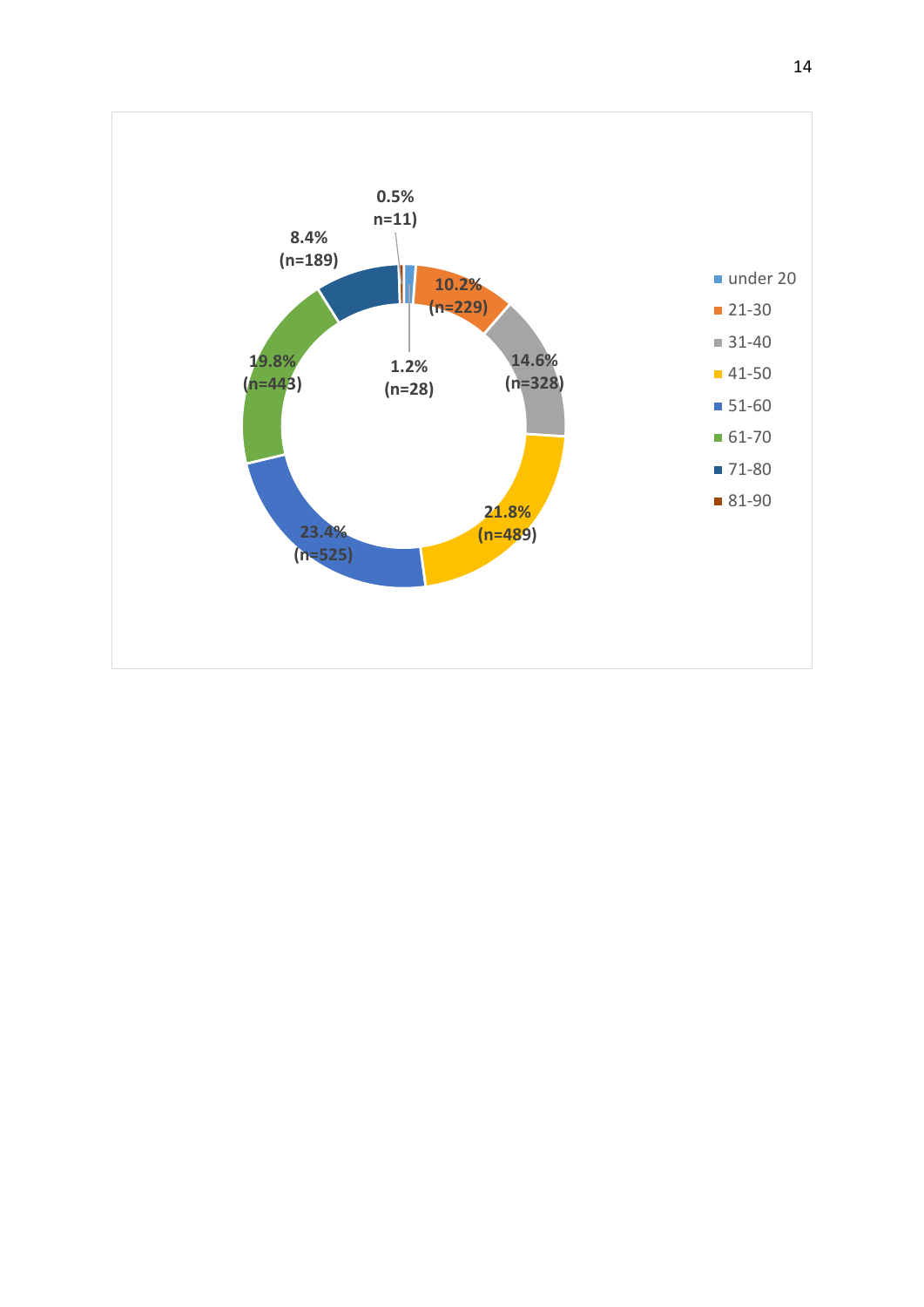<span id="page-19-0"></span>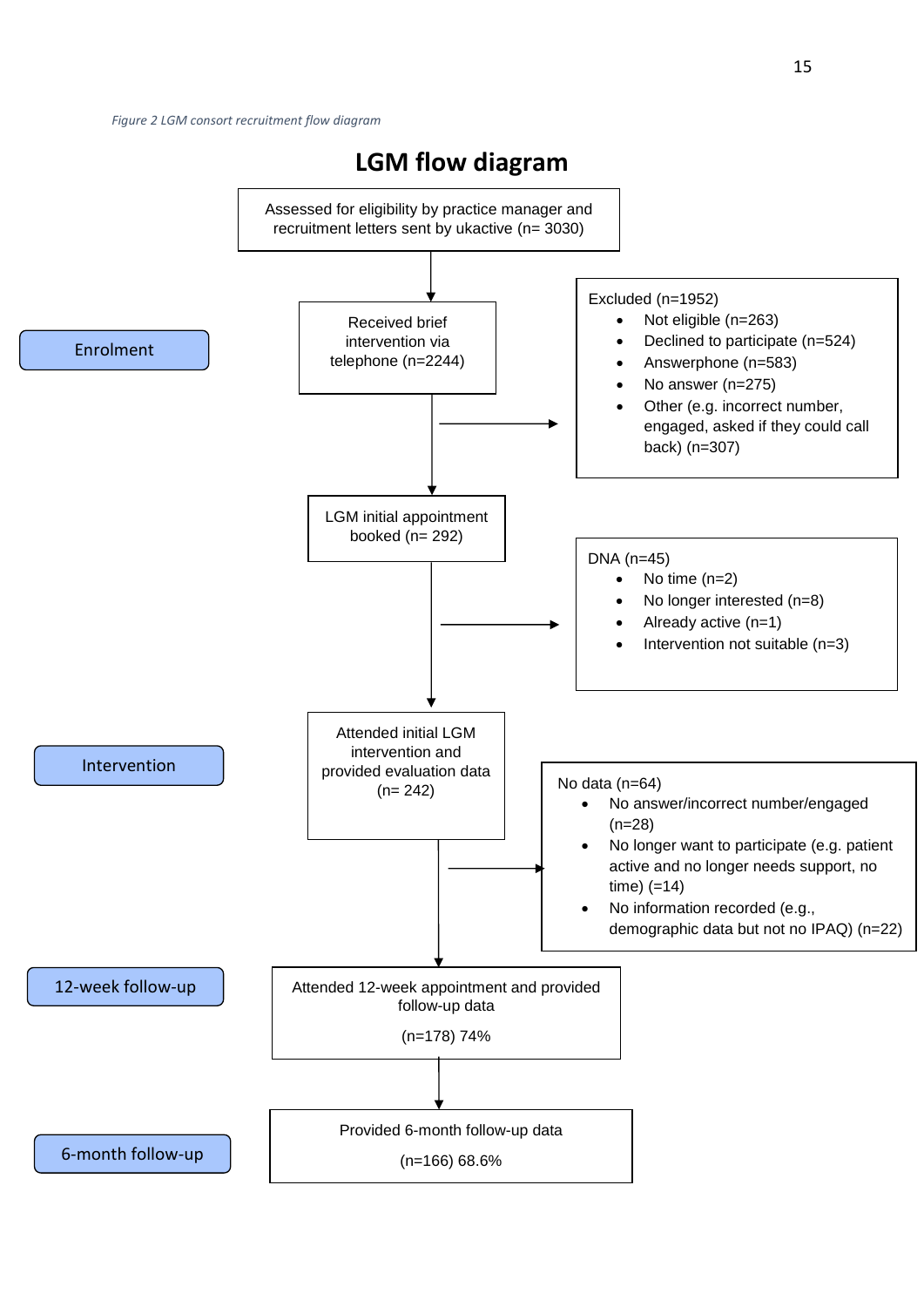<span id="page-20-1"></span><span id="page-20-0"></span>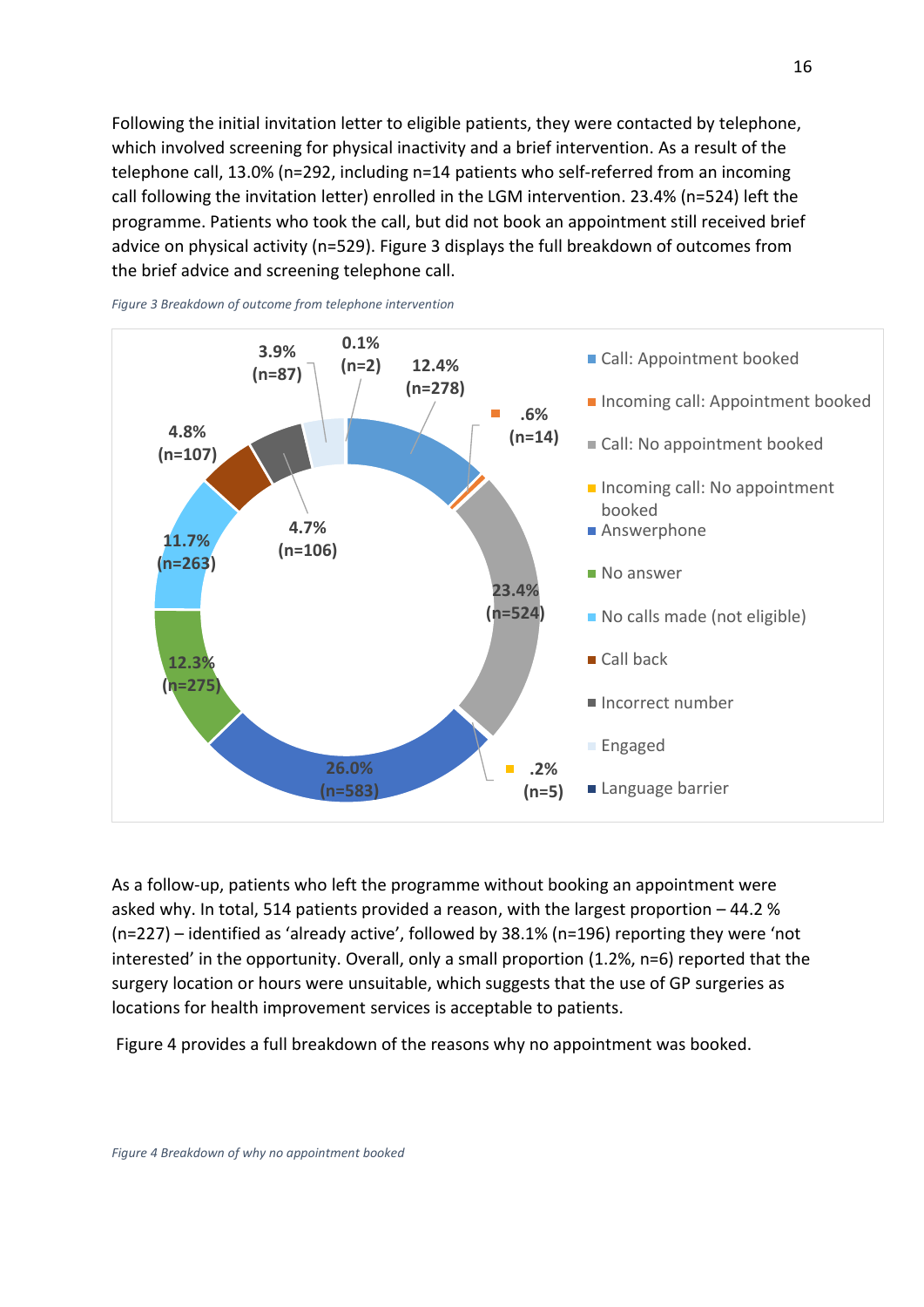Following the initial invitation letter to eligible patients, they were contacted by telephone, which involved screening for physical inactivity and a brief intervention. As a result of the telephone call, 13.0% (n=292, including n=14 patients who self-referred from an incoming call following the invitation letter) enrolled in the LGM intervention. 23.4% (n=524) left the programme. Patients who took the call, but did not book an appointment still received brief advice on physical activity (n=529). Figure 3 displays the full breakdown of outcomes from the brief advice and screening telephone call.



*Figure 3 Breakdown of outcome from telephone intervention* 

<span id="page-21-0"></span>As a follow-up, patients who left the programme without booking an appointment were asked why. In total, 514 patients provided a reason, with the largest proportion  $-44.2$  %  $(n=227)$  - identified as 'already active', followed by 38.1% (n=196) reporting they were 'not interested' in the opportunity. Overall, only a small proportion (1.2%, n=6) reported that the surgery location or hours were unsuitable, which suggests that the use of GP surgeries as locations for health improvement services is acceptable to patients.

Figure 4 provides a full breakdown of the reasons why no appointment was booked.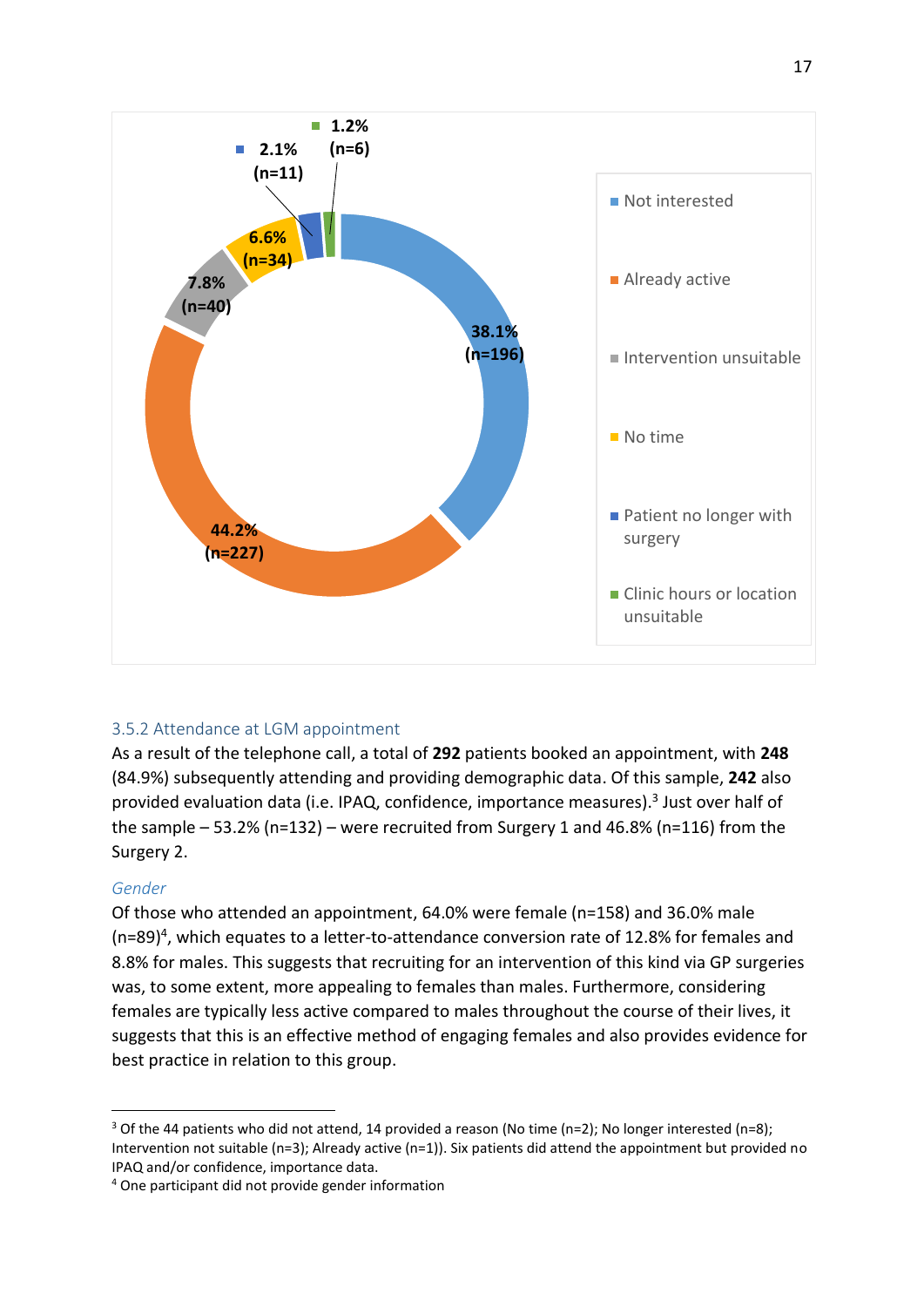

#### <span id="page-22-0"></span>3.5.2 Attendance at LGM appointment

As a result of the telephone call, a total of **292** patients booked an appointment, with **248**  (84.9%) subsequently attending and providing demographic data. Of this sample, **242** also provided evaluation data (i.e. IPAQ, confidence, importance measures).<sup>3</sup> Just over half of the sample  $-53.2\%$  (n=132) – were recruited from Surgery 1 and 46.8% (n=116) from the Surgery 2.

#### *Gender*

.

Of those who attended an appointment, 64.0% were female (n=158) and 36.0% male (n=89)<sup>4</sup>, which equates to a letter-to-attendance conversion rate of 12.8% for females and 8.8% for males. This suggests that recruiting for an intervention of this kind via GP surgeries was, to some extent, more appealing to females than males. Furthermore, considering females are typically less active compared to males throughout the course of their lives, it suggests that this is an effective method of engaging females and also provides evidence for best practice in relation to this group.

<sup>&</sup>lt;sup>3</sup> Of the 44 patients who did not attend, 14 provided a reason (No time (n=2); No longer interested (n=8); Intervention not suitable (n=3); Already active (n=1)). Six patients did attend the appointment but provided no IPAQ and/or confidence, importance data.

<sup>4</sup> One participant did not provide gender information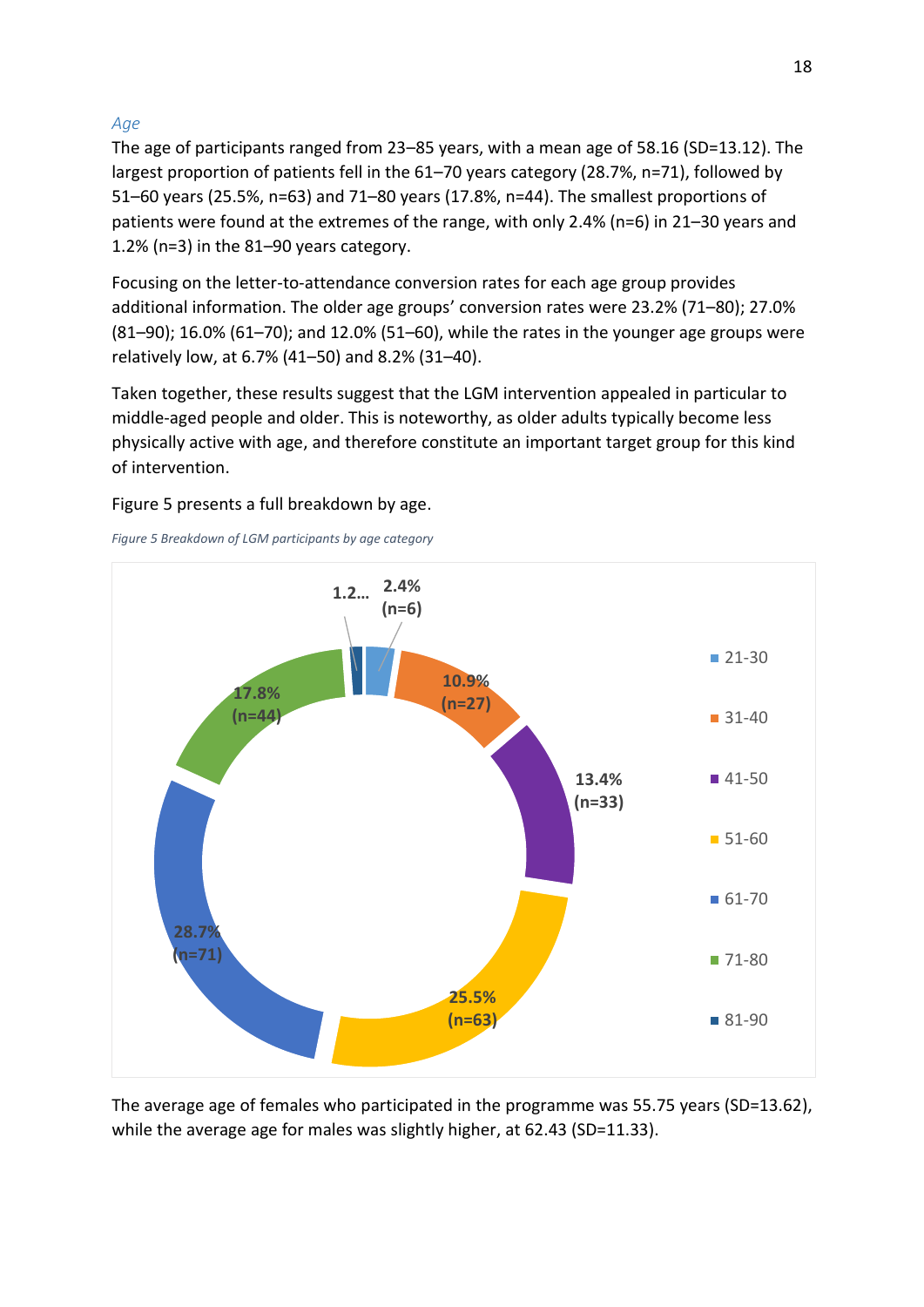#### *Age*

The age of participants ranged from 23-85 years, with a mean age of 58.16 (SD=13.12). The largest proportion of patients fell in the 61-70 years category (28.7%, n=71), followed by 51-60 years (25.5%, n=63) and 71-80 years (17.8%, n=44). The smallest proportions of patients were found at the extremes of the range, with only 2.4% (n=6) in 21 $-30$  years and 1.2% (n=3) in the  $81-90$  years category.

Focusing on the letter-to-attendance conversion rates for each age group provides additional information. The older age groups' conversion rates were 23.2% (71–80); 27.0%  $(81-90)$ ; 16.0% (61-70); and 12.0% (51-60), while the rates in the younger age groups were relatively low, at 6.7% (41–50) and 8.2% (31–40).

Taken together, these results suggest that the LGM intervention appealed in particular to middle-aged people and older. This is noteworthy, as older adults typically become less physically active with age, and therefore constitute an important target group for this kind of intervention.

Figure 5 presents a full breakdown by age.

*Figure 5 Breakdown of LGM participants by age category* 



The average age of females who participated in the programme was 55.75 years (SD=13.62), while the average age for males was slightly higher, at 62.43 (SD=11.33).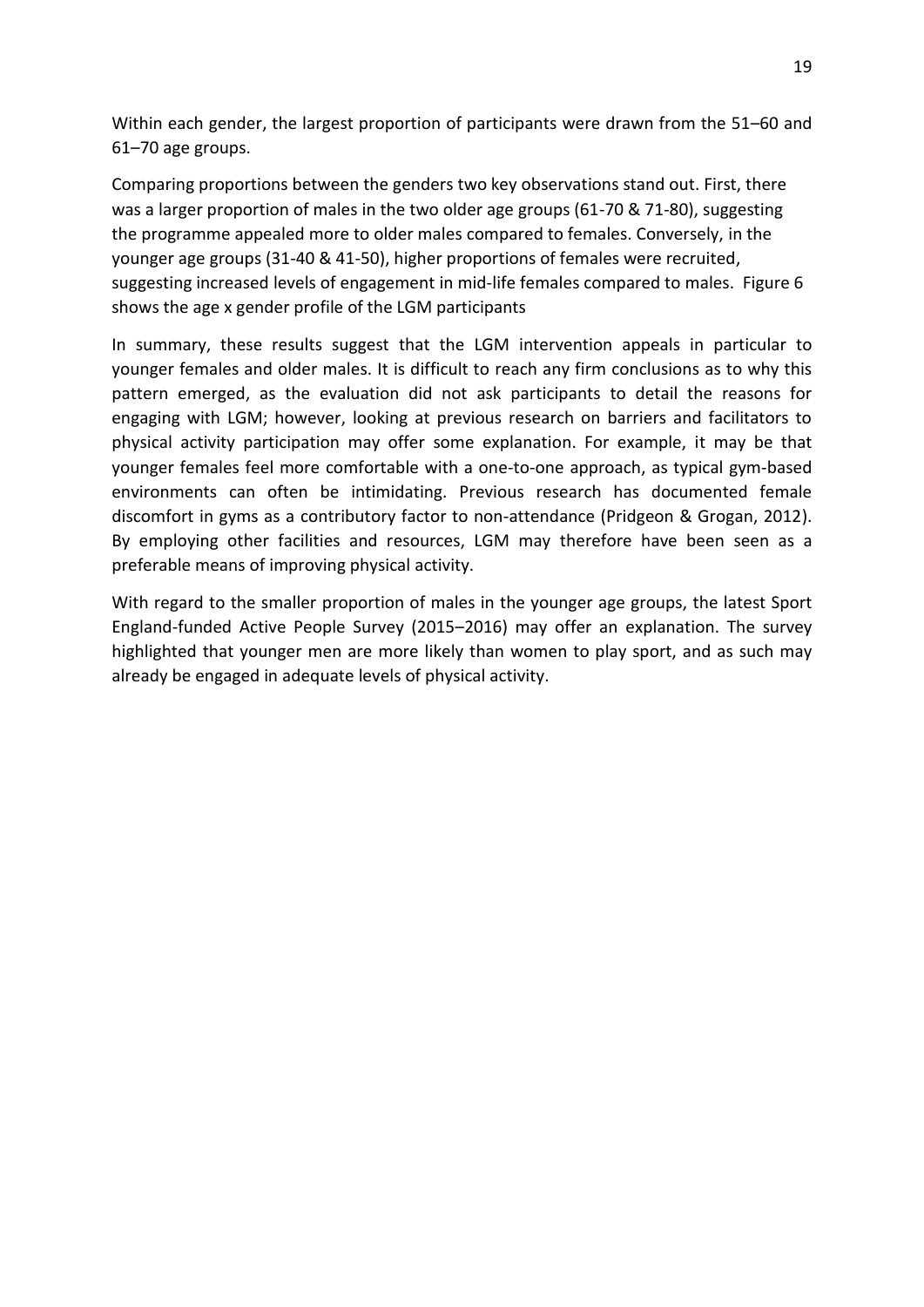<span id="page-24-0"></span>Within each gender, the largest proportion of participants were drawn from the 51–60 and  $61 - 70$  age groups.

Comparing proportions between the genders two key observations stand out. First, there was a larger proportion of males in the two older age groups (61-70 & 71-80), suggesting the programme appealed more to older males compared to females. Conversely, in the younger age groups (31-40 & 41-50), higher proportions of females were recruited, suggesting increased levels of engagement in mid-life females compared to males. Figure 6 shows the age x gender profile of the LGM participants

In summary, these results suggest that the LGM intervention appeals in particular to younger females and older males. It is difficult to reach any firm conclusions as to why this pattern emerged, as the evaluation did not ask participants to detail the reasons for engaging with LGM; however, looking at previous research on barriers and facilitators to physical activity participation may offer some explanation. For example, it may be that younger females feel more comfortable with a one-to-one approach, as typical gym-based environments can often be intimidating. Previous research has documented female discomfort in gyms as a contributory factor to non-attendance (Pridgeon & Grogan, 2012). By employing other facilities and resources, LGM may therefore have been seen as a preferable means of improving physical activity.

With regard to the smaller proportion of males in the younger age groups, the latest Sport England-funded Active People Survey (2015–2016) may offer an explanation. The survey highlighted that younger men are more likely than women to play sport, and as such may already be engaged in adequate levels of physical activity.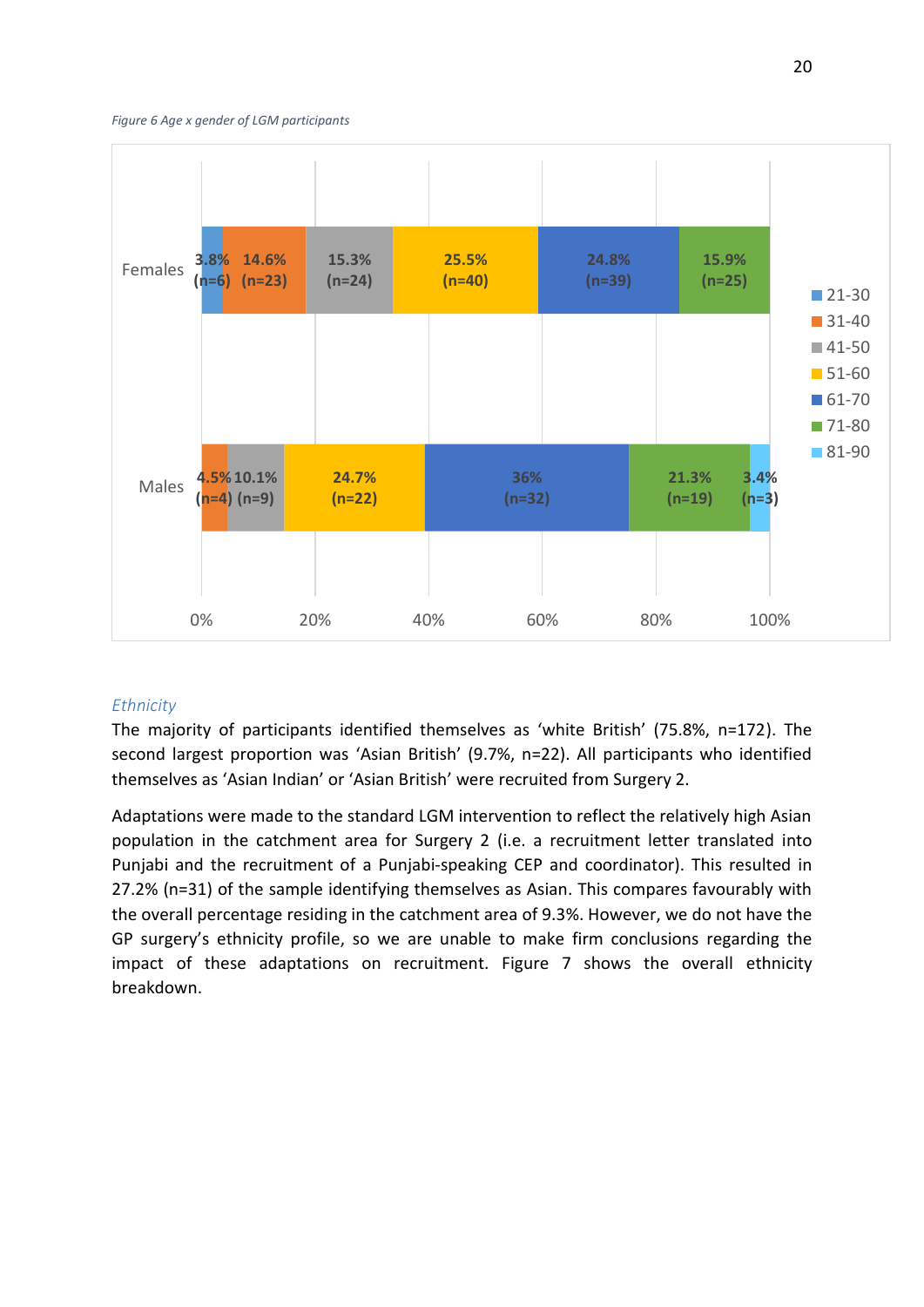<span id="page-25-0"></span>*Figure 6 Age x gender of LGM participants* 



#### *Ethnicity*

The majority of participants identified themselves as 'white British' (75.8%, n=172). The second largest proportion was 'Asian British' (9.7%, n=22). All participants who identified themselves as 'Asian Indian' or 'Asian British' were recruited from Surgery 2.

Adaptations were made to the standard LGM intervention to reflect the relatively high Asian population in the catchment area for Surgery 2 (i.e. a recruitment letter translated into Punjabi and the recruitment of a Punjabi-speaking CEP and coordinator). This resulted in 27.2% (n=31) of the sample identifying themselves as Asian. This compares favourably with the overall percentage residing in the catchment area of 9.3%. However, we do not have the GP surgery's ethnicity profile, so we are unable to make firm conclusions regarding the impact of these adaptations on recruitment. Figure 7 shows the overall ethnicity breakdown.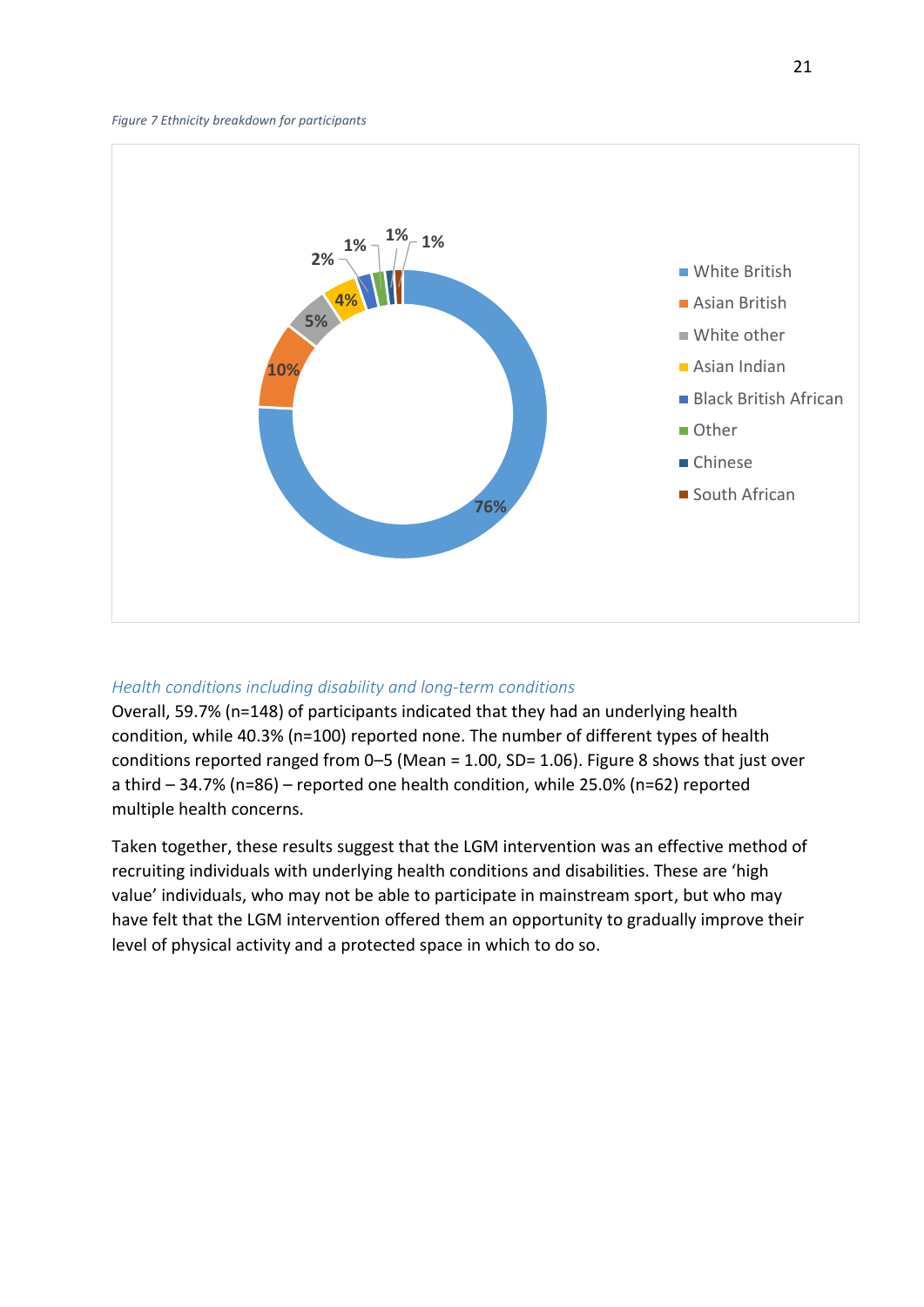<span id="page-26-0"></span>

#### *Health conditions including disability and long-term conditions*

Overall, 59.7% (n=148) of participants indicated that they had an underlying health condition, while 40.3% (n=100) reported none. The number of different types of health conditions reported ranged from  $0-5$  (Mean = 1.00, SD= 1.06). Figure 8 shows that just over a third - 34.7% (n=86) - reported one health condition, while 25.0% (n=62) reported multiple health concerns.

Taken together, these results suggest that the LGM intervention was an effective method of recruiting individuals with underlying health conditions and disabilities. These are 'high value' individuals, who may not be able to participate in mainstream sport, but who may have felt that the LGM intervention offered them an opportunity to gradually improve their level of physical activity and a protected space in which to do so.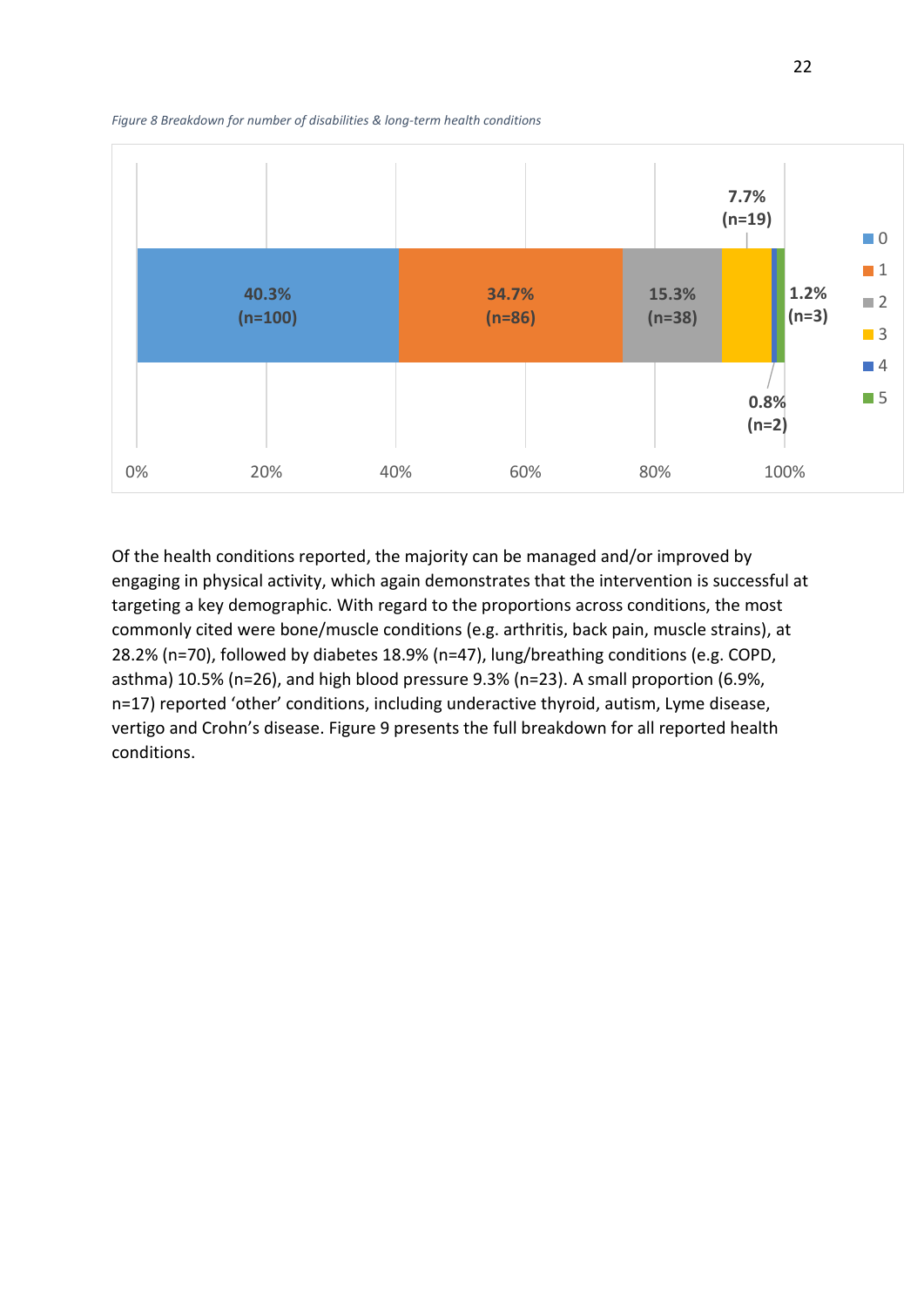<span id="page-27-1"></span>*Figure 8 Breakdown for number of disabilities & long-term health conditions* 



<span id="page-27-0"></span>Of the health conditions reported, the majority can be managed and/or improved by engaging in physical activity, which again demonstrates that the intervention is successful at targeting a key demographic. With regard to the proportions across conditions, the most commonly cited were bone/muscle conditions (e.g. arthritis, back pain, muscle strains), at 28.2% (n=70), followed by diabetes 18.9% (n=47), lung/breathing conditions (e.g. COPD, asthma) 10.5% (n=26), and high blood pressure 9.3% (n=23). A small proportion (6.9%, n=17) reported 'other' conditions, including underactive thyroid, autism, Lyme disease, vertigo and Crohn's disease. Figure 9 presents the full breakdown for all reported health conditions.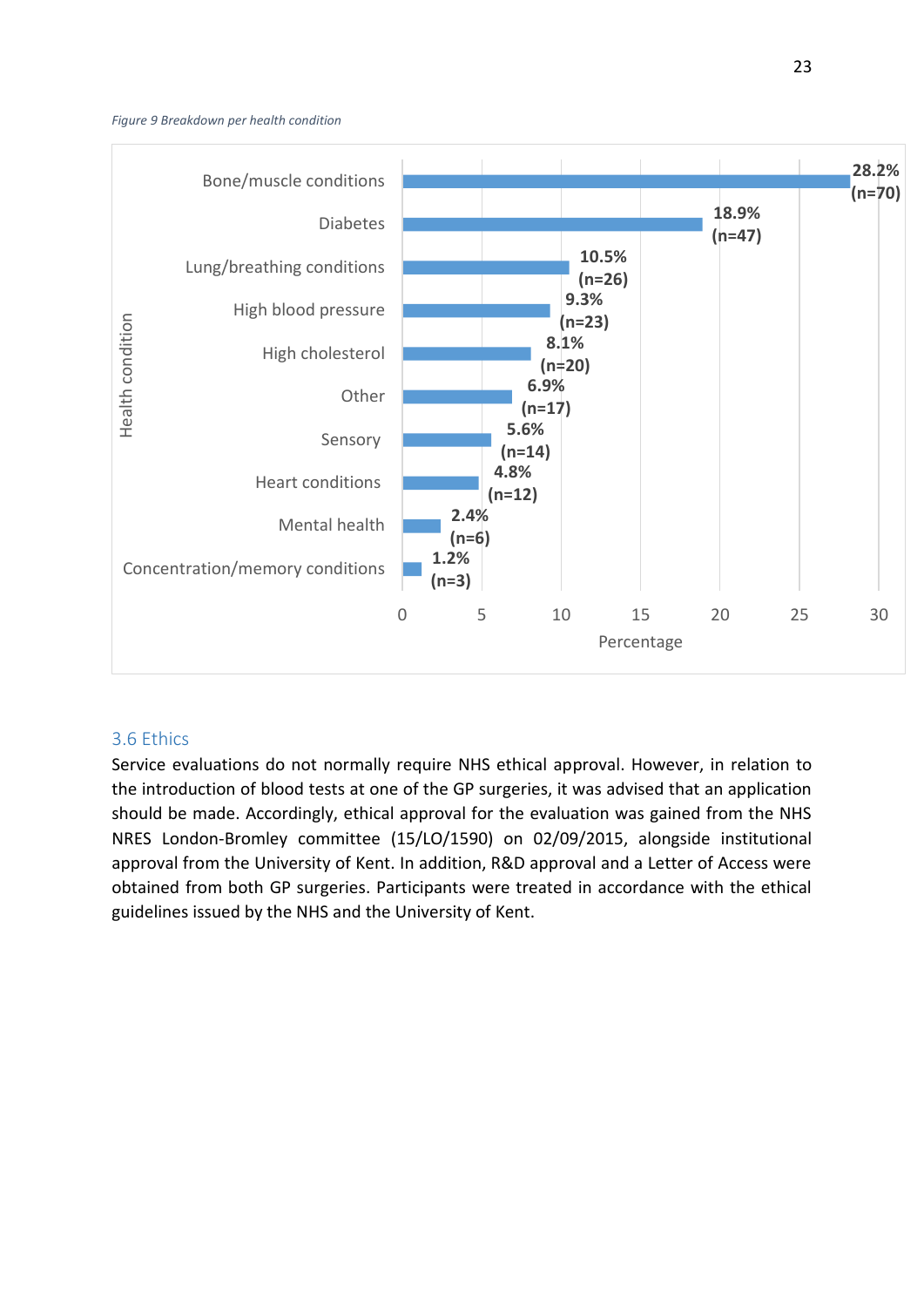#### <span id="page-28-0"></span>*Figure 9 Breakdown per health condition*

<span id="page-28-2"></span><span id="page-28-1"></span>

#### 3.6 Ethics

Service evaluations do not normally require NHS ethical approval. However, in relation to the introduction of blood tests at one of the GP surgeries, it was advised that an application should be made. Accordingly, ethical approval for the evaluation was gained from the NHS NRES London-Bromley committee (15/LO/1590) on 02/09/2015, alongside institutional approval from the University of Kent. In addition, R&D approval and a Letter of Access were obtained from both GP surgeries. Participants were treated in accordance with the ethical guidelines issued by the NHS and the University of Kent.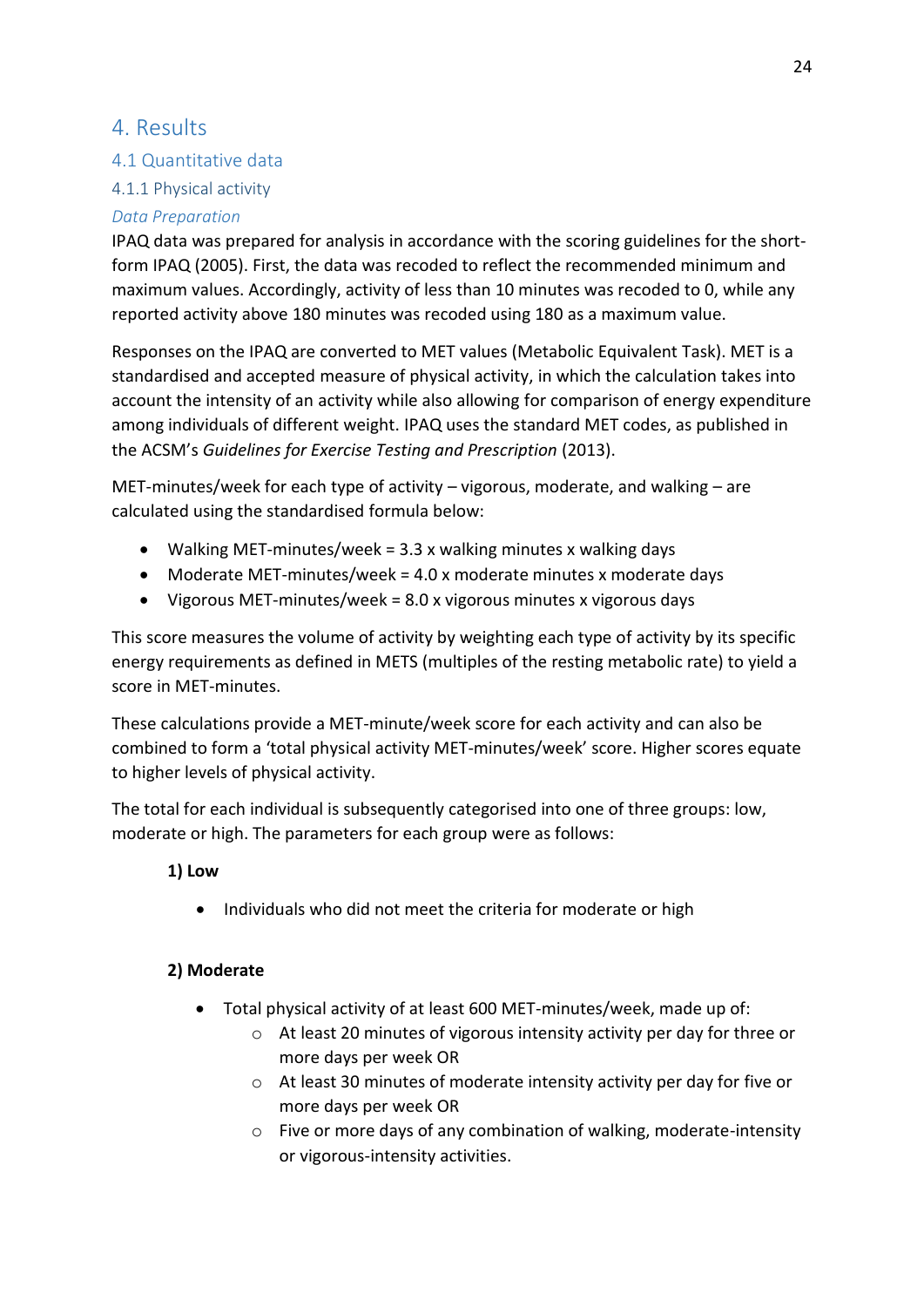### 4. Results

#### 4.1 Quantitative data

#### 4.1.1 Physical activity

#### *Data Preparation*

IPAQ data was prepared for analysis in accordance with the scoring guidelines for the shortform IPAQ (2005). First, the data was recoded to reflect the recommended minimum and maximum values. Accordingly, activity of less than 10 minutes was recoded to 0, while any reported activity above 180 minutes was recoded using 180 as a maximum value.

Responses on the IPAQ are converted to MET values (Metabolic Equivalent Task). MET is a standardised and accepted measure of physical activity, in which the calculation takes into account the intensity of an activity while also allowing for comparison of energy expenditure among individuals of different weight. IPAQ uses the standard MET codes, as published in the ACSM's Guidelines for Exercise Testing and Prescription (2013).

MET-minutes/week for each type of activity  $-$  vigorous, moderate, and walking  $-$  are calculated using the standardised formula below:

- <span id="page-29-0"></span>Walking MET-minutes/week = 3.3 x walking minutes x walking days
- $\bullet$  Moderate MET-minutes/week = 4.0 x moderate minutes x moderate days
- Vigorous MET-minutes/week = 8.0 x vigorous minutes x vigorous days

This score measures the volume of activity by weighting each type of activity by its specific energy requirements as defined in METS (multiples of the resting metabolic rate) to yield a score in MET-minutes.

These calculations provide a MET-minute/week score for each activity and can also be combined to form a 'total physical activity MET-minutes/week' score. Higher scores equate to higher levels of physical activity.

The total for each individual is subsequently categorised into one of three groups: low, moderate or high. The parameters for each group were as follows:

#### <span id="page-29-1"></span> **1) Low**

• Individuals who did not meet the criteria for moderate or high

#### **2) Moderate**

- Total physical activity of at least 600 MET-minutes/week, made up of:
	- o At least 20 minutes of vigorous intensity activity per day for three or more days per week OR
	- o At least 30 minutes of moderate intensity activity per day for five or more days per week OR
	- o Five or more days of any combination of walking, moderate-intensity or vigorous-intensity activities.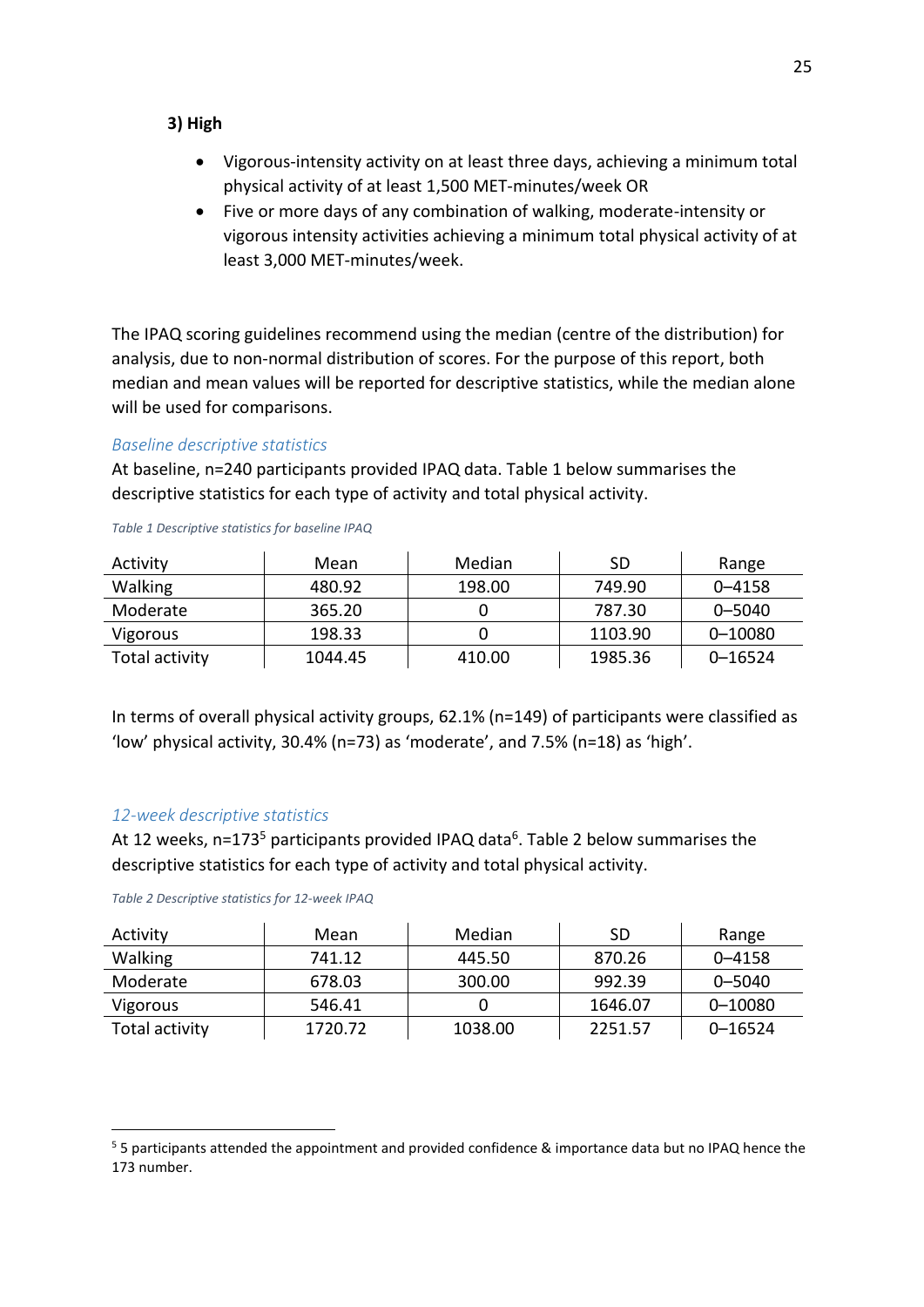#### **3) High**

- Vigorous-intensity activity on at least three days, achieving a minimum total physical activity of at least 1,500 MET-minutes/week OR
- Five or more days of any combination of walking, moderate-intensity or vigorous intensity activities achieving a minimum total physical activity of at least 3,000 MET-minutes/week.

<span id="page-30-1"></span>The IPAQ scoring guidelines recommend using the median (centre of the distribution) for analysis, due to non-normal distribution of scores. For the purpose of this report, both median and mean values will be reported for descriptive statistics, while the median alone will be used for comparisons.

#### *Baseline descriptive statistics*

At baseline, n=240 participants provided IPAQ data. Table 1 below summarises the descriptive statistics for each type of activity and total physical activity.

| Activity       | Mean    | Median | SD      | Range      |
|----------------|---------|--------|---------|------------|
| <b>Walking</b> | 480.92  | 198.00 | 749.90  | $0 - 4158$ |
| Moderate       | 365.20  |        | 787.30  | $0 - 5040$ |
| Vigorous       | 198.33  |        | 1103.90 | 0-10080    |
| Total activity | 1044.45 | 410.00 | 1985.36 | 0-16524    |

*Table 1 Descriptive statistics for baseline IPAQ* 

<span id="page-30-0"></span>In terms of overall physical activity groups, 62.1% (n=149) of participants were classified as 'low' physical activity, 30.4% (n=73) as 'moderate', and 7.5% (n=18) as 'high'.

#### *12-week descriptive statistics*

.

At 12 weeks, n=173<sup>5</sup> participants provided IPAQ data<sup>6</sup>. Table 2 below summarises the descriptive statistics for each type of activity and total physical activity.

| Activity       | Mean    | Median  | SD      | Range       |
|----------------|---------|---------|---------|-------------|
| <b>Walking</b> | 741.12  | 445.50  | 870.26  | $0 - 4158$  |
| Moderate       | 678.03  | 300.00  | 992.39  | $0 - 5040$  |
| Vigorous       | 546.41  |         | 1646.07 | 0-10080     |
| Total activity | 1720.72 | 1038.00 | 2251.57 | $0 - 16524$ |

<sup>&</sup>lt;sup>5</sup> 5 participants attended the appointment and provided confidence & importance data but no IPAQ hence the 173 number.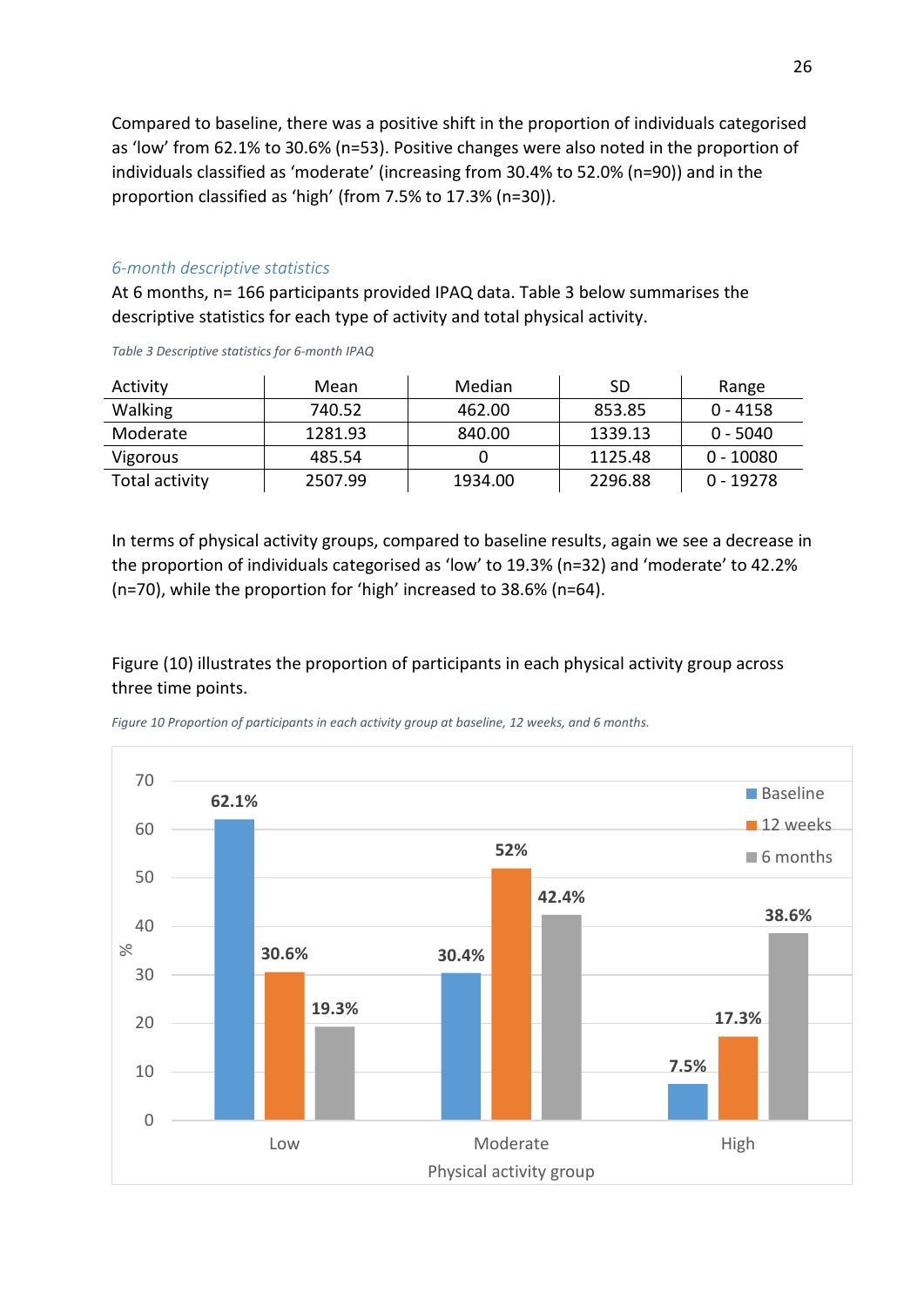Compared to baseline, there was a positive shift in the proportion of individuals categorised as 'low' from 62.1% to 30.6% (n=53). Positive changes were also noted in the proportion of individuals classified as 'moderate' (increasing from 30.4% to 52.0% (n=90)) and in the proportion classified as 'high' (from 7.5% to 17.3% (n=30)).

#### *6-month descriptive statistics*

At 6 months, n= 166 participants provided IPAQ data. Table 3 below summarises the descriptive statistics for each type of activity and total physical activity.

| Activity       | Mean    | Median  | <b>SD</b> | Range       |
|----------------|---------|---------|-----------|-------------|
| <b>Walking</b> | 740.52  | 462.00  | 853.85    | $0 - 4158$  |
| Moderate       | 1281.93 | 840.00  | 1339.13   | $0 - 5040$  |
| Vigorous       | 485.54  |         | 1125.48   | $0 - 10080$ |
| Total activity | 2507.99 | 1934.00 | 2296.88   | $0 - 19278$ |

*Table 3 Descriptive statistics for 6-month IPAQ* 

In terms of physical activity groups, compared to baseline results, again we see a decrease in the proportion of individuals categorised as 'low' to 19.3% ( $n=32$ ) and 'moderate' to 42.2% (n=70), while the proportion for 'high' increased to 38.6% (n=64).

<span id="page-31-0"></span>Figure (10) illustrates the proportion of participants in each physical activity group across three time points.



*Figure 10 Proportion of participants in each activity group at baseline, 12 weeks, and 6 months.*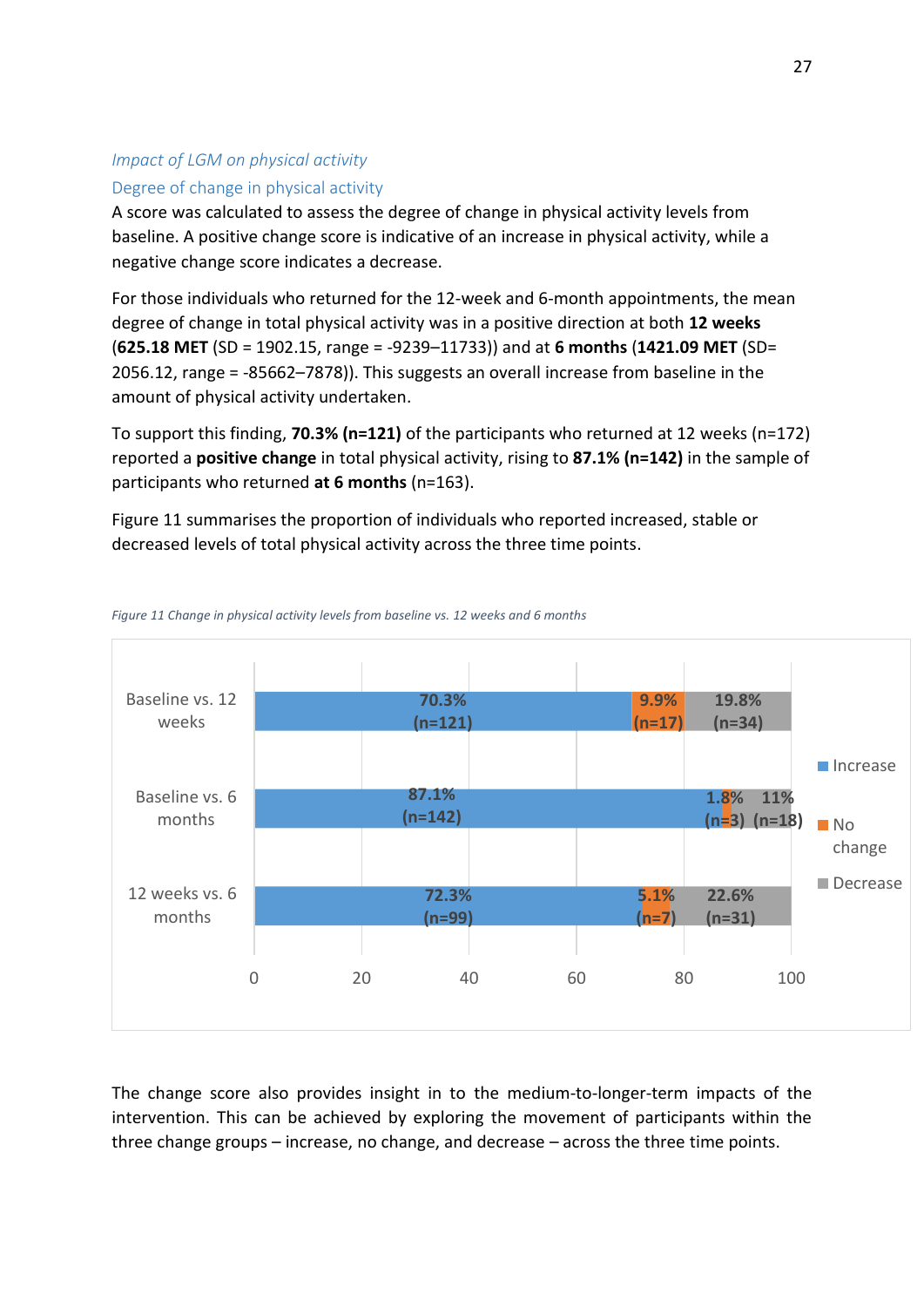#### *Impact of LGM on physical activity*

#### Degree of change in physical activity

A score was calculated to assess the degree of change in physical activity levels from baseline. A positive change score is indicative of an increase in physical activity, while a negative change score indicates a decrease.

For those individuals who returned for the 12-week and 6-month appointments, the mean degree of change in total physical activity was in a positive direction at both **12 weeks (625.18 MET** (SD = 1902.15, range = -9239-11733)) and at 6 months (1421.09 MET (SD= 2056.12, range = -85662–7878)). This suggests an overall increase from baseline in the amount of physical activity undertaken.

To support this finding, **70.3% (n=121)** of the participants who returned at 12 weeks (n=172) reported a **positive change** in total physical activity, rising to **87.1% (n=142)** in the sample of participants who returned **at 6 months** (n=163).

Figure 11 summarises the proportion of individuals who reported increased, stable or decreased levels of total physical activity across the three time points.





The change score also provides insight in to the medium-to-longer-term impacts of the intervention. This can be achieved by exploring the movement of participants within the three change groups  $-$  increase, no change, and decrease  $-$  across the three time points.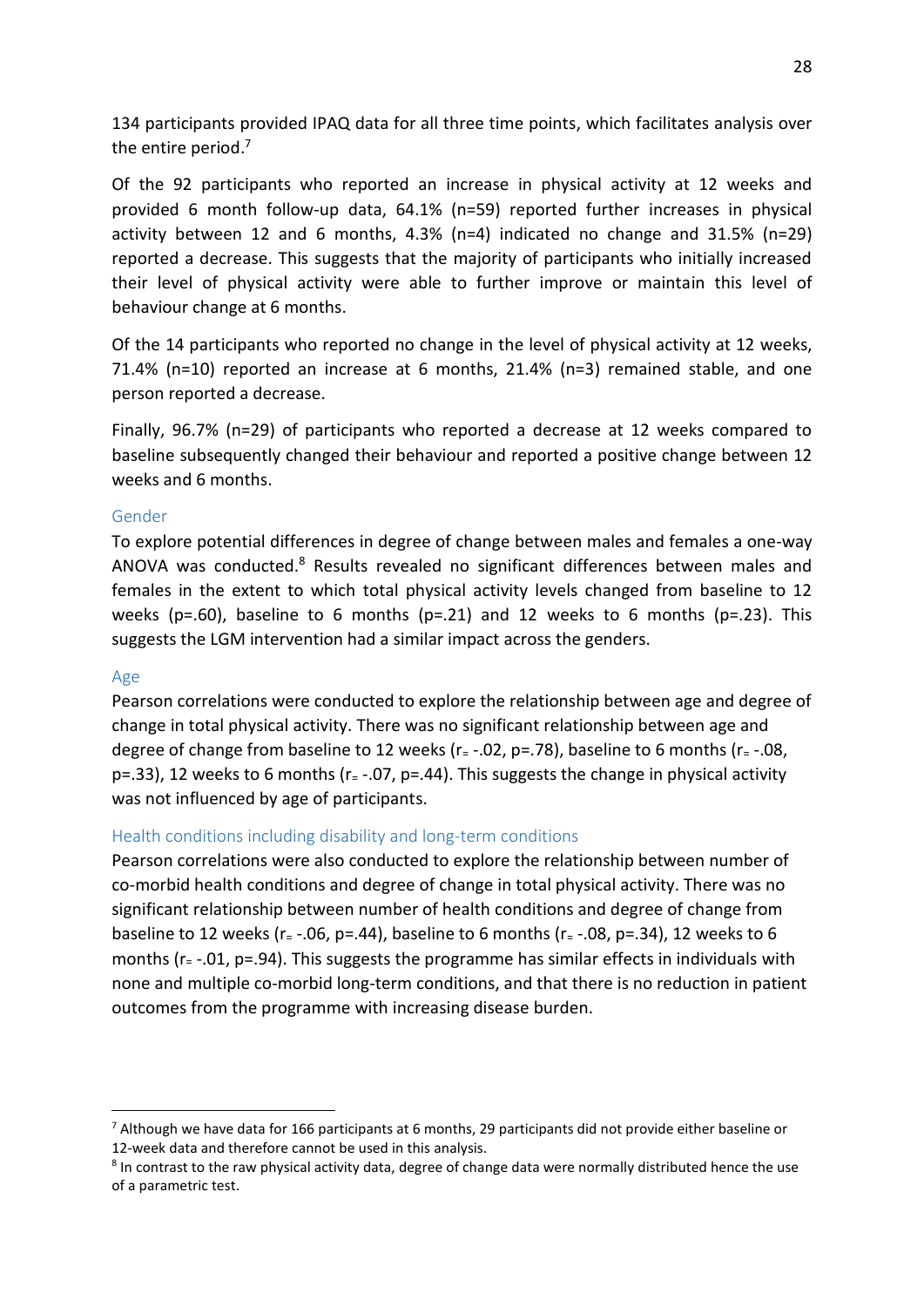134 participants provided IPAQ data for all three time points, which facilitates analysis over the entire period.<sup>7</sup>

Of the 92 participants who reported an increase in physical activity at 12 weeks and provided 6 month follow-up data, 64.1% (n=59) reported further increases in physical activity between 12 and 6 months, 4.3% (n=4) indicated no change and 31.5% (n=29) reported a decrease. This suggests that the majority of participants who initially increased their level of physical activity were able to further improve or maintain this level of behaviour change at 6 months.

Of the 14 participants who reported no change in the level of physical activity at 12 weeks, 71.4% (n=10) reported an increase at 6 months, 21.4% (n=3) remained stable, and one person reported a decrease.

Finally, 96.7% (n=29) of participants who reported a decrease at 12 weeks compared to baseline subsequently changed their behaviour and reported a positive change between 12 weeks and 6 months.

#### Gender

To explore potential differences in degree of change between males and females a one-way ANOVA was conducted.<sup>8</sup> Results revealed no significant differences between males and females in the extent to which total physical activity levels changed from baseline to 12 weeks ( $p=.60$ ), baseline to 6 months ( $p=.21$ ) and 12 weeks to 6 months ( $p=.23$ ). This suggests the LGM intervention had a similar impact across the genders.

#### Age

.

Pearson correlations were conducted to explore the relationship between age and degree of change in total physical activity. There was no significant relationship between age and degree of change from baseline to 12 weeks ( $r = -0.02$ ,  $p = 0.78$ ), baseline to 6 months ( $r = -0.08$ , p=.33), 12 weeks to 6 months ( $r = -07$ , p=.44). This suggests the change in physical activity was not influenced by age of participants.

#### Health conditions including disability and long-term conditions

Pearson correlations were also conducted to explore the relationship between number of co-morbid health conditions and degree of change in total physical activity. There was no significant relationship between number of health conditions and degree of change from baseline to 12 weeks ( $r = -.06$ ,  $p = .44$ ), baseline to 6 months ( $r = -.08$ ,  $p = .34$ ), 12 weeks to 6 months (r= -.01, p=.94). This suggests the programme has similar effects in individuals with none and multiple co-morbid long-term conditions, and that there is no reduction in patient outcomes from the programme with increasing disease burden.

<sup>&</sup>lt;sup>7</sup> Although we have data for 166 participants at 6 months, 29 participants did not provide either baseline or 12-week data and therefore cannot be used in this analysis.

<sup>&</sup>lt;sup>8</sup> In contrast to the raw physical activity data, degree of change data were normally distributed hence the use of a parametric test.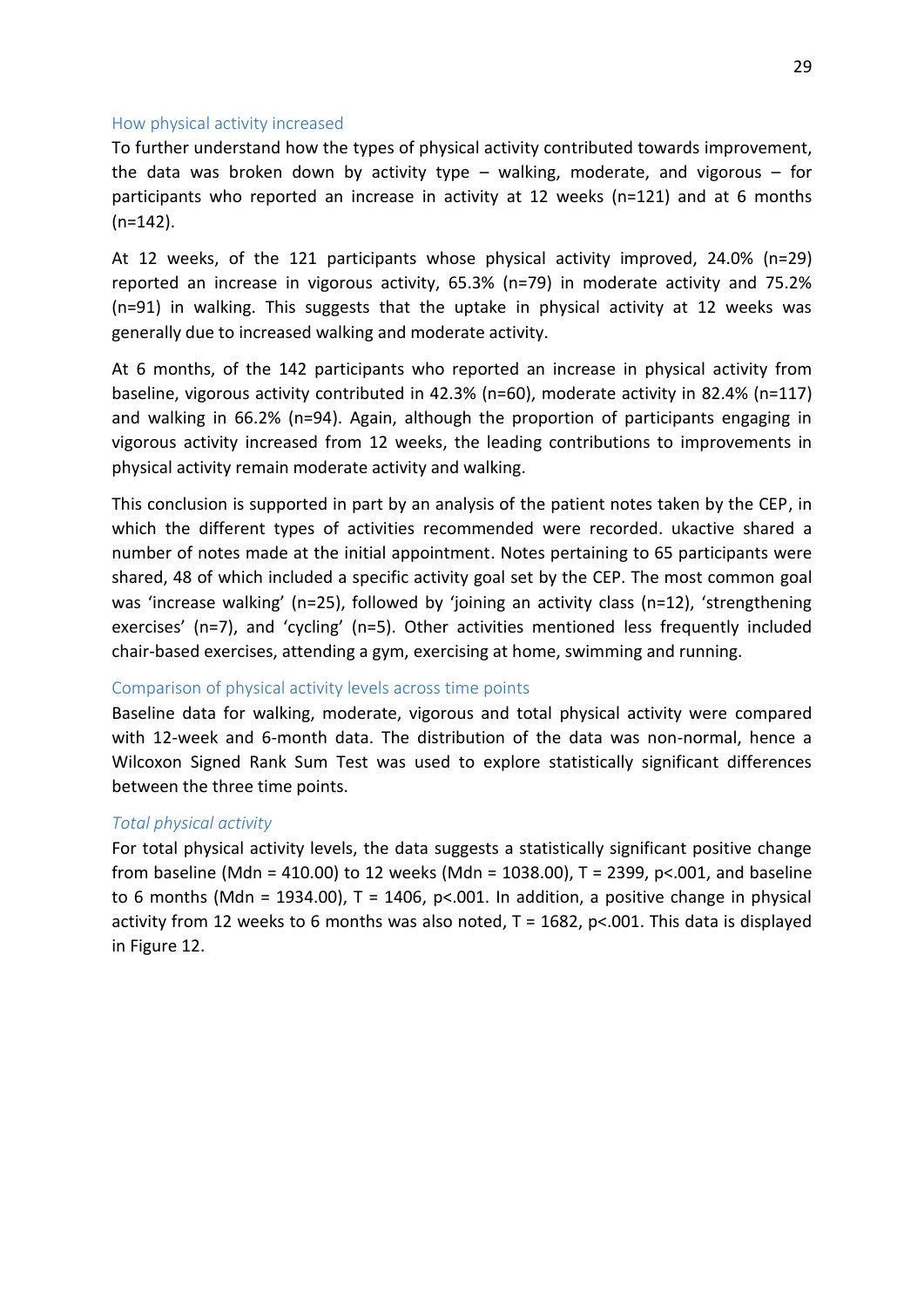#### <span id="page-34-0"></span>How physical activity increased

To further understand how the types of physical activity contributed towards improvement, the data was broken down by activity type  $-$  walking, moderate, and vigorous  $-$  for participants who reported an increase in activity at 12 weeks (n=121) and at 6 months (n=142).

At 12 weeks, of the 121 participants whose physical activity improved, 24.0% (n=29) reported an increase in vigorous activity, 65.3% (n=79) in moderate activity and 75.2% (n=91) in walking. This suggests that the uptake in physical activity at 12 weeks was generally due to increased walking and moderate activity.

At 6 months, of the 142 participants who reported an increase in physical activity from baseline, vigorous activity contributed in 42.3% (n=60), moderate activity in 82.4% (n=117) and walking in 66.2% (n=94). Again, although the proportion of participants engaging in vigorous activity increased from 12 weeks, the leading contributions to improvements in physical activity remain moderate activity and walking.

This conclusion is supported in part by an analysis of the patient notes taken by the CEP, in which the different types of activities recommended were recorded. ukactive shared a number of notes made at the initial appointment. Notes pertaining to 65 participants were shared, 48 of which included a specific activity goal set by the CEP. The most common goal was 'increase walking' (n=25), followed by 'joining an activity class (n=12), 'strengthening exercises' (n=7), and 'cycling' (n=5). Other activities mentioned less frequently included chair-based exercises, attending a gym, exercising at home, swimming and running.

#### Comparison of physical activity levels across time points

Baseline data for walking, moderate, vigorous and total physical activity were compared with 12-week and 6-month data. The distribution of the data was non-normal, hence a Wilcoxon Signed Rank Sum Test was used to explore statistically significant differences between the three time points.

#### *Total physical activity*

For total physical activity levels, the data suggests a statistically significant positive change from baseline (Mdn = 410.00) to 12 weeks (Mdn = 1038.00), T = 2399, p<.001, and baseline to 6 months (Mdn = 1934.00),  $T = 1406$ ,  $p< .001$ . In addition, a positive change in physical activity from 12 weeks to 6 months was also noted,  $T = 1682$ , p<.001. This data is displayed in Figure 12.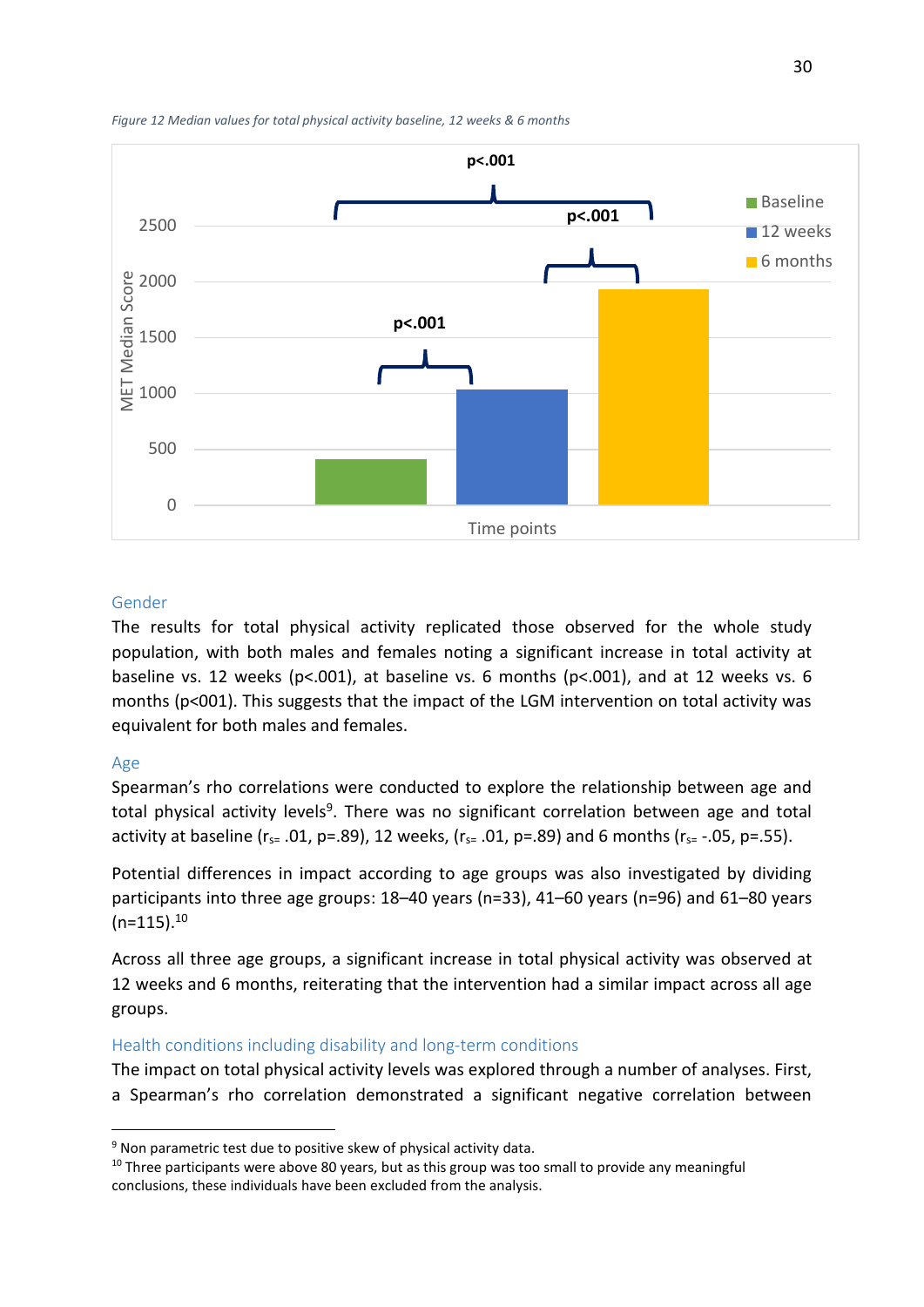



#### Gender

<span id="page-35-0"></span>The results for total physical activity replicated those observed for the whole study population, with both males and females noting a significant increase in total activity at baseline vs. 12 weeks (p<.001), at baseline vs. 6 months (p<.001), and at 12 weeks vs. 6 months (p<001). This suggests that the impact of the LGM intervention on total activity was equivalent for both males and females.

#### Age

.

Spearman's rho correlations were conducted to explore the relationship between age and total physical activity levels<sup>9</sup>. There was no significant correlation between age and total activity at baseline ( $r_{s=}$  .01, p=.89), 12 weeks, ( $r_{s=}$  .01, p=.89) and 6 months ( $r_{s=}$  -.05, p=.55).

Potential differences in impact according to age groups was also investigated by dividing participants into three age groups: 18-40 years (n=33), 41-60 years (n=96) and 61-80 years  $(n=115).^{10}$ 

Across all three age groups, a significant increase in total physical activity was observed at 12 weeks and 6 months, reiterating that the intervention had a similar impact across all age groups.

#### Health conditions including disability and long-term conditions

The impact on total physical activity levels was explored through a number of analyses. First, a Spearman's rho correlation demonstrated a significant negative correlation between

<sup>&</sup>lt;sup>9</sup> Non parametric test due to positive skew of physical activity data.

<sup>&</sup>lt;sup>10</sup> Three participants were above 80 years, but as this group was too small to provide any meaningful conclusions, these individuals have been excluded from the analysis.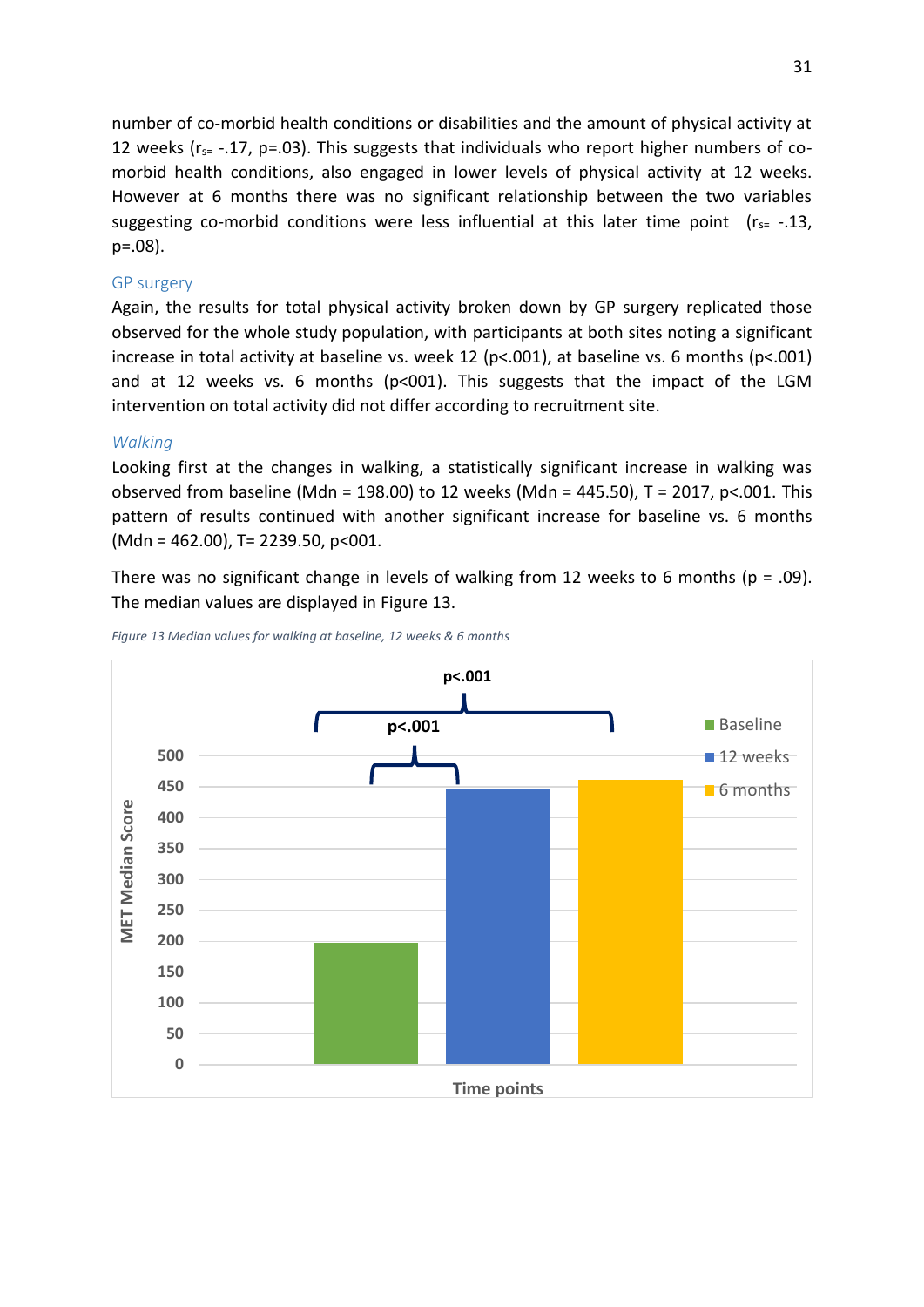number of co-morbid health conditions or disabilities and the amount of physical activity at 12 weeks ( $r_{s=}$  -.17, p=.03). This suggests that individuals who report higher numbers of comorbid health conditions, also engaged in lower levels of physical activity at 12 weeks. However at 6 months there was no significant relationship between the two variables suggesting co-morbid conditions were less influential at this later time point ( $r_{s=}$  -.13, p=.08).

#### GP surgery

Again, the results for total physical activity broken down by GP surgery replicated those observed for the whole study population, with participants at both sites noting a significant increase in total activity at baseline vs. week 12 (p<.001), at baseline vs. 6 months (p<.001) and at 12 weeks vs. 6 months (p<001). This suggests that the impact of the LGM intervention on total activity did not differ according to recruitment site.

#### *Walking*

Looking first at the changes in walking, a statistically significant increase in walking was observed from baseline (Mdn = 198.00) to 12 weeks (Mdn = 445.50), T = 2017, p<.001. This pattern of results continued with another significant increase for baseline vs. 6 months (Mdn = 462.00), T= 2239.50, p<001.

There was no significant change in levels of walking from 12 weeks to 6 months ( $p = .09$ ). The median values are displayed in Figure 13.



*Figure 13 Median values for walking at baseline, 12 weeks & 6 months*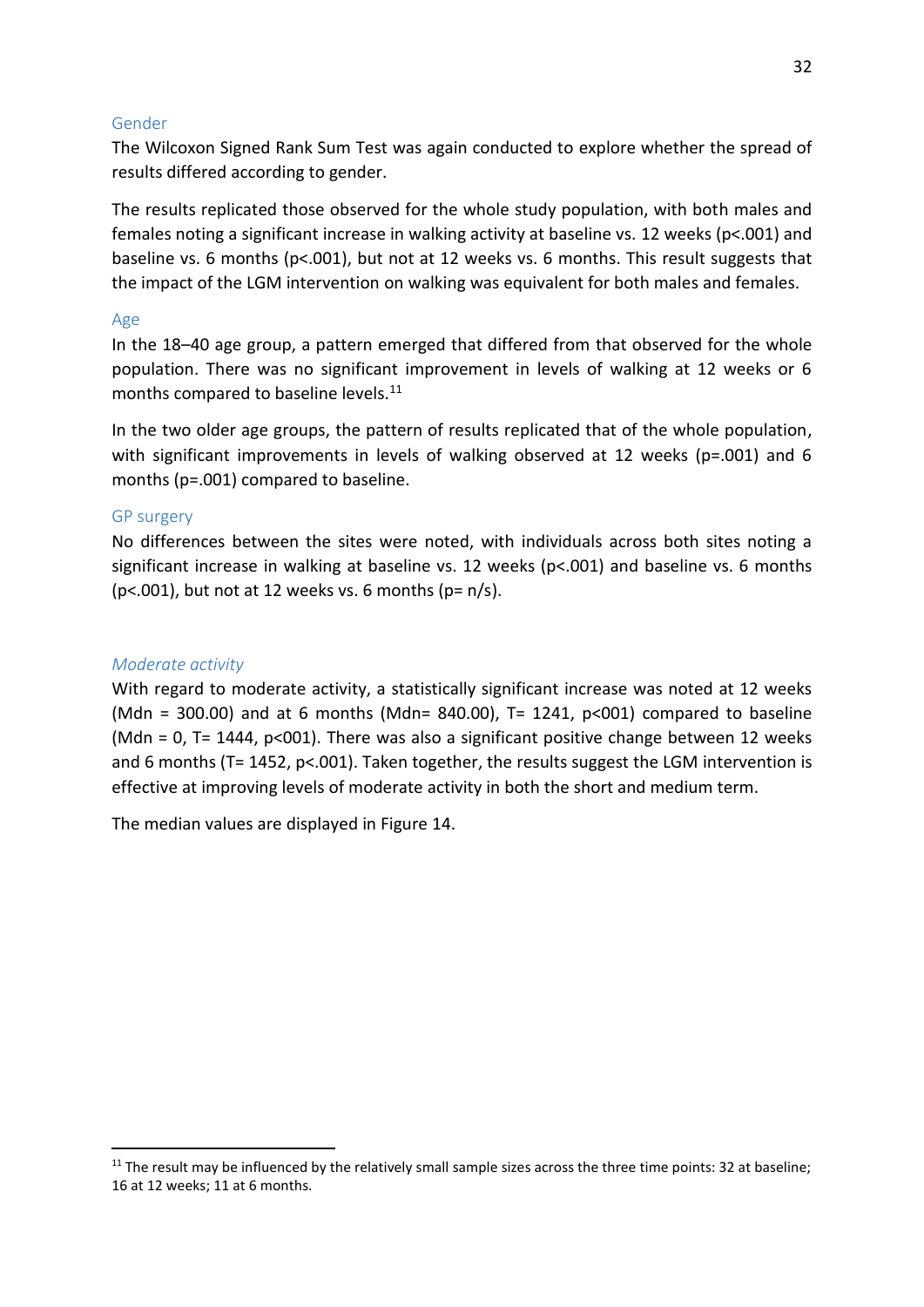#### <span id="page-37-0"></span>Gender

The Wilcoxon Signed Rank Sum Test was again conducted to explore whether the spread of results differed according to gender.

The results replicated those observed for the whole study population, with both males and females noting a significant increase in walking activity at baseline vs. 12 weeks (p<.001) and baseline vs. 6 months ( $p$ <.001), but not at 12 weeks vs. 6 months. This result suggests that the impact of the LGM intervention on walking was equivalent for both males and females.

#### Age

In the 18–40 age group, a pattern emerged that differed from that observed for the whole population. There was no significant improvement in levels of walking at 12 weeks or 6 months compared to baseline levels.<sup>11</sup>

In the two older age groups, the pattern of results replicated that of the whole population, with significant improvements in levels of walking observed at 12 weeks ( $p=.001$ ) and 6 months (p=.001) compared to baseline.

#### GP surgery

No differences between the sites were noted, with individuals across both sites noting a significant increase in walking at baseline vs. 12 weeks ( $p<0.001$ ) and baseline vs. 6 months ( $p$ <.001), but not at 12 weeks vs. 6 months ( $p = n/s$ ).

#### *Moderate activity*

.

With regard to moderate activity, a statistically significant increase was noted at 12 weeks (Mdn = 300.00) and at 6 months (Mdn= 840.00), T= 1241,  $p<001$  compared to baseline (Mdn = 0, T= 1444,  $p$ <001). There was also a significant positive change between 12 weeks and 6 months (T= 1452, p<.001). Taken together, the results suggest the LGM intervention is effective at improving levels of moderate activity in both the short and medium term.

The median values are displayed in Figure 14.

<sup>&</sup>lt;sup>11</sup> The result may be influenced by the relatively small sample sizes across the three time points: 32 at baseline; 16 at 12 weeks; 11 at 6 months.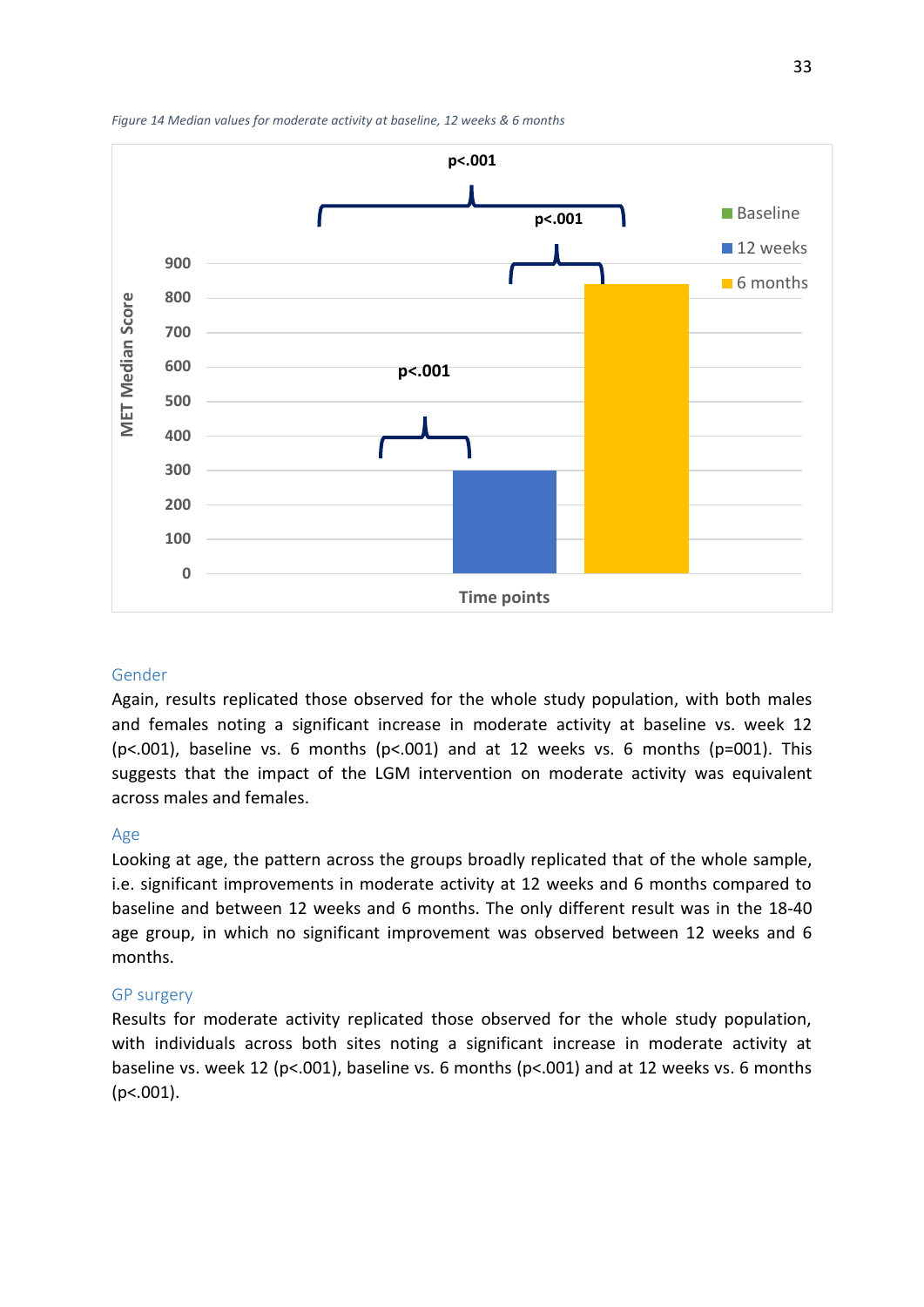

*Figure 14 Median values for moderate activity at baseline, 12 weeks & 6 months* 

#### Gender

Again, results replicated those observed for the whole study population, with both males and females noting a significant increase in moderate activity at baseline vs. week 12 ( $p$ <.001), baseline vs. 6 months ( $p$ <.001) and at 12 weeks vs. 6 months ( $p$ =001). This suggests that the impact of the LGM intervention on moderate activity was equivalent across males and females.

#### Age

Looking at age, the pattern across the groups broadly replicated that of the whole sample, i.e. significant improvements in moderate activity at 12 weeks and 6 months compared to baseline and between 12 weeks and 6 months. The only different result was in the 18-40 age group, in which no significant improvement was observed between 12 weeks and 6 months.

#### GP surgery

Results for moderate activity replicated those observed for the whole study population, with individuals across both sites noting a significant increase in moderate activity at baseline vs. week 12 (p<.001), baseline vs. 6 months (p<.001) and at 12 weeks vs. 6 months (p<.001).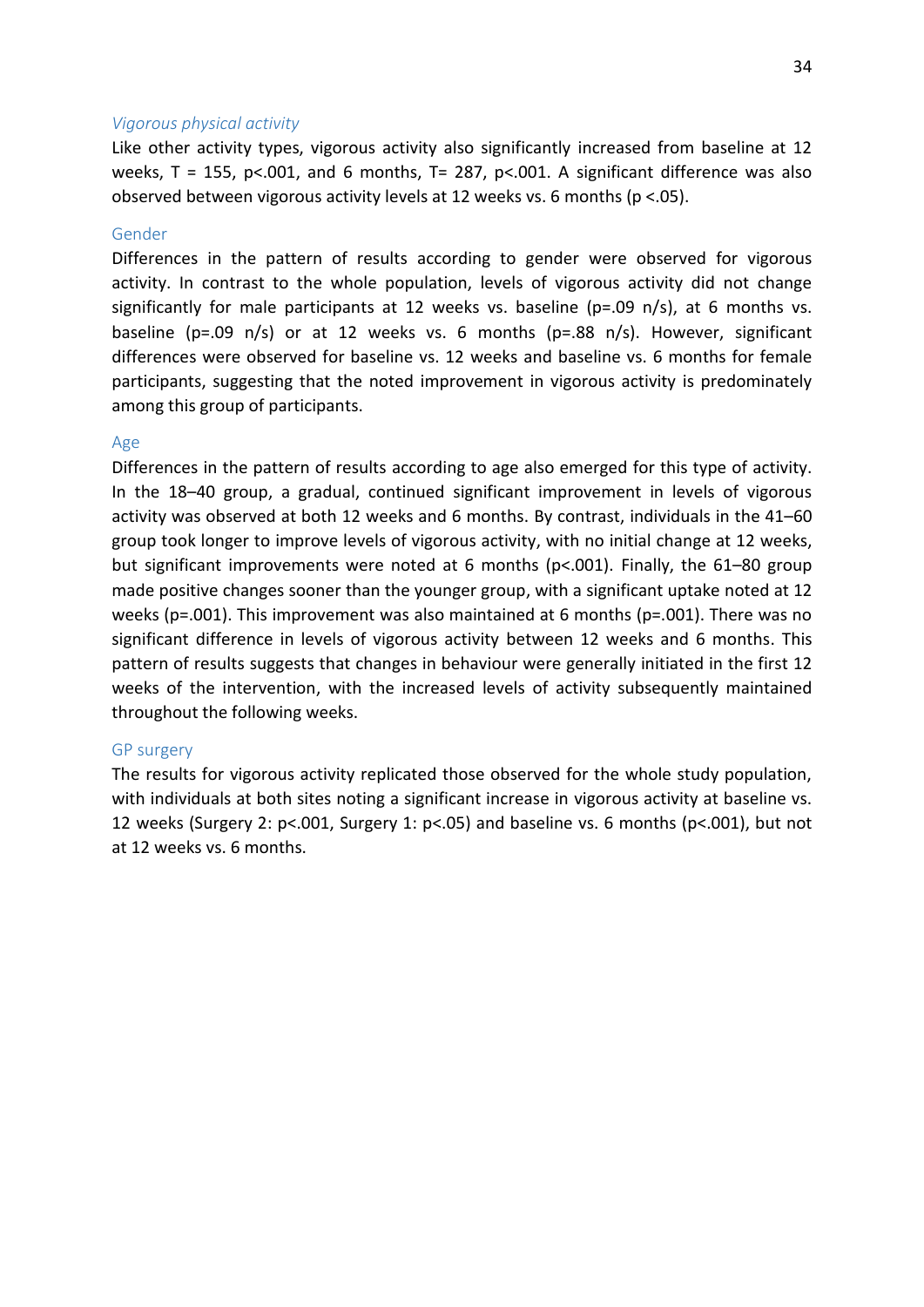#### <span id="page-39-0"></span>*Vigorous physical activity*

Like other activity types, vigorous activity also significantly increased from baseline at 12 weeks,  $T = 155$ ,  $p < .001$ , and 6 months,  $T = 287$ ,  $p < .001$ . A significant difference was also observed between vigorous activity levels at 12 weeks vs. 6 months (p <.05).

#### Gender

Differences in the pattern of results according to gender were observed for vigorous activity. In contrast to the whole population, levels of vigorous activity did not change significantly for male participants at 12 weeks vs. baseline ( $p=.09$  n/s), at 6 months vs. baseline ( $p=.09$  n/s) or at 12 weeks vs. 6 months ( $p=.88$  n/s). However, significant differences were observed for baseline vs. 12 weeks and baseline vs. 6 months for female participants, suggesting that the noted improvement in vigorous activity is predominately among this group of participants.

#### Age

<span id="page-39-1"></span>Differences in the pattern of results according to age also emerged for this type of activity. In the 18-40 group, a gradual, continued significant improvement in levels of vigorous activity was observed at both 12 weeks and 6 months. By contrast, individuals in the 41-60 group took longer to improve levels of vigorous activity, with no initial change at 12 weeks, but significant improvements were noted at 6 months ( $p<0.001$ ). Finally, the 61–80 group made positive changes sooner than the younger group, with a significant uptake noted at 12 weeks ( $p=.001$ ). This improvement was also maintained at 6 months ( $p=.001$ ). There was no significant difference in levels of vigorous activity between 12 weeks and 6 months. This pattern of results suggests that changes in behaviour were generally initiated in the first 12 weeks of the intervention, with the increased levels of activity subsequently maintained throughout the following weeks.

#### GP surgery

The results for vigorous activity replicated those observed for the whole study population, with individuals at both sites noting a significant increase in vigorous activity at baseline vs. 12 weeks (Surgery 2: p<.001, Surgery 1: p<.05) and baseline vs. 6 months (p<.001), but not at 12 weeks vs. 6 months.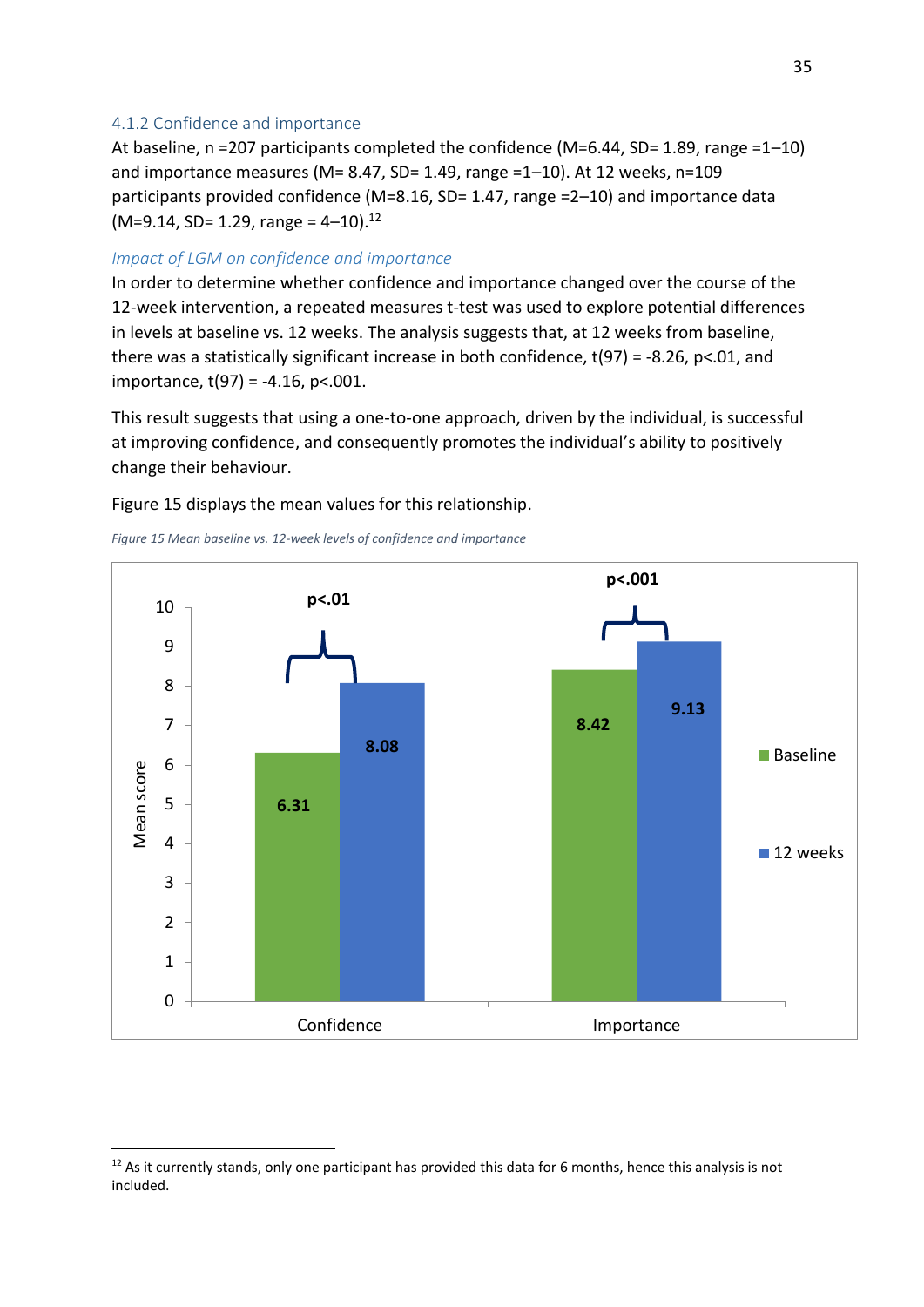#### 4.1.2 Confidence and importance

At baseline, n =207 participants completed the confidence (M=6.44, SD= 1.89, range =1-10) and importance measures (M= 8.47, SD= 1.49, range =1-10). At 12 weeks, n=109 participants provided confidence (M=8.16, SD= 1.47, range =2 $-10$ ) and importance data  $(M=9.14, SD= 1.29, range = 4-10).$ <sup>12</sup>

#### *Impact of LGM on confidence and importance*

In order to determine whether confidence and importance changed over the course of the 12-week intervention, a repeated measures t-test was used to explore potential differences in levels at baseline vs. 12 weeks. The analysis suggests that, at 12 weeks from baseline, there was a statistically significant increase in both confidence, t(97) = -8.26, p<.01, and importance,  $t(97) = -4.16$ , p<.001.

This result suggests that using a one-to-one approach, driven by the individual, is successful at improving confidence, and consequently promotes the individual's ability to positively change their behaviour.

Figure 15 displays the mean values for this relationship.

*Figure 15 Mean baseline vs. 12-week levels of confidence and importance* 

.



<sup>&</sup>lt;sup>12</sup> As it currently stands, only one participant has provided this data for 6 months, hence this analysis is not included.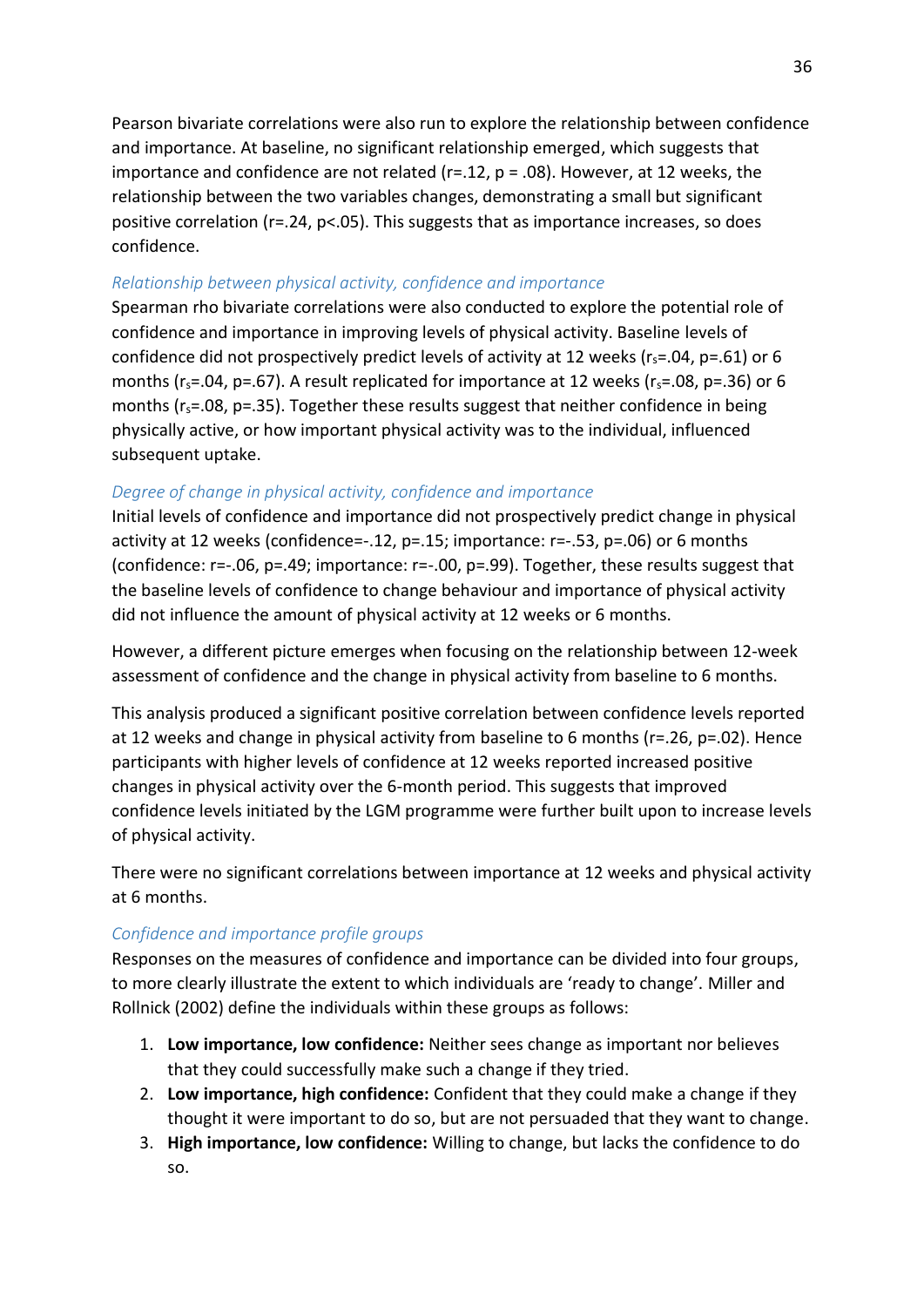Pearson bivariate correlations were also run to explore the relationship between confidence and importance. At baseline, no significant relationship emerged, which suggests that importance and confidence are not related ( $r=12$ ,  $p=.08$ ). However, at 12 weeks, the relationship between the two variables changes, demonstrating a small but significant positive correlation (r=.24, p<.05). This suggests that as importance increases, so does confidence.

#### *Relationship between physical activity, confidence and importance*

<span id="page-41-0"></span>Spearman rho bivariate correlations were also conducted to explore the potential role of confidence and importance in improving levels of physical activity. Baseline levels of confidence did not prospectively predict levels of activity at 12 weeks ( $r_s$ =.04, p=.61) or 6 months ( $r_s$ =.04, p=.67). A result replicated for importance at 12 weeks ( $r_s$ =.08, p=.36) or 6 months ( $r_s$ =.08, p=.35). Together these results suggest that neither confidence in being physically active, or how important physical activity was to the individual, influenced subsequent uptake.

#### *Degree of change in physical activity, confidence and importance*

Initial levels of confidence and importance did not prospectively predict change in physical activity at 12 weeks (confidence=-.12, p=.15; importance: r=-.53, p=.06) or 6 months (confidence: r=-.06, p=.49; importance: r=-.00, p=.99). Together, these results suggest that the baseline levels of confidence to change behaviour and importance of physical activity did not influence the amount of physical activity at 12 weeks or 6 months.

However, a different picture emerges when focusing on the relationship between 12-week assessment of confidence and the change in physical activity from baseline to 6 months.

This analysis produced a significant positive correlation between confidence levels reported at 12 weeks and change in physical activity from baseline to 6 months (r=.26, p=.02). Hence participants with higher levels of confidence at 12 weeks reported increased positive changes in physical activity over the 6-month period. This suggests that improved confidence levels initiated by the LGM programme were further built upon to increase levels of physical activity.

There were no significant correlations between importance at 12 weeks and physical activity at 6 months.

#### *Confidence and importance profile groups*

Responses on the measures of confidence and importance can be divided into four groups, to more clearly illustrate the extent to which individuals are 'ready to change'. Miller and Rollnick (2002) define the individuals within these groups as follows:

- 1. **Low importance, low confidence:** Neither sees change as important nor believes that they could successfully make such a change if they tried.
- 2. **Low importance, high confidence:** Confident that they could make a change if they thought it were important to do so, but are not persuaded that they want to change.
- 3. **High importance, low confidence:** Willing to change, but lacks the confidence to do so.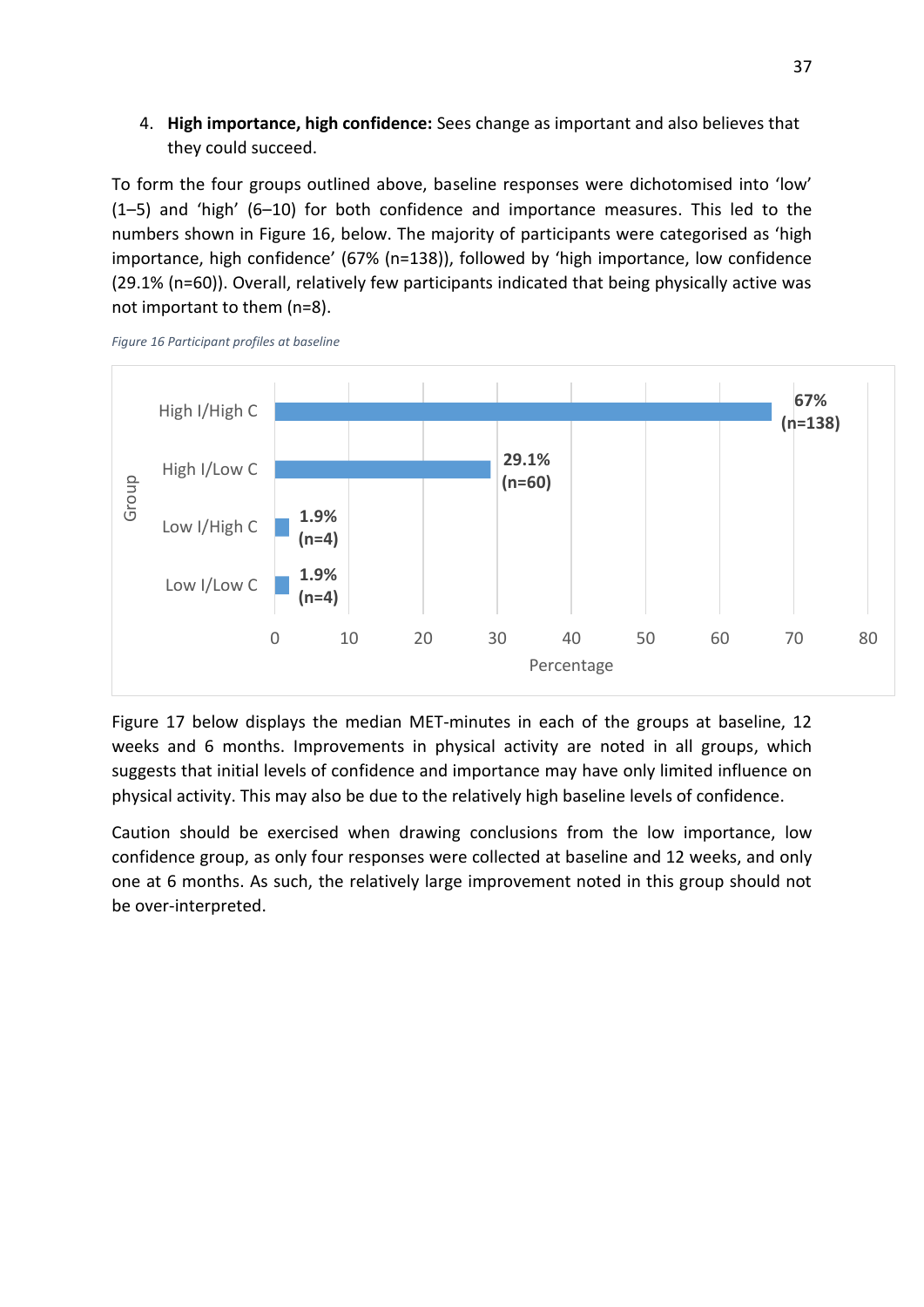#### <span id="page-42-2"></span>4. **High importance, high confidence:** Sees change as important and also believes that they could succeed.

To form the four groups outlined above, baseline responses were dichotomised into 'low'  $(1-5)$  and 'high'  $(6-10)$  for both confidence and importance measures. This led to the numbers shown in Figure 16, below. The majority of participants were categorised as 'high importance, high confidence' (67% (n=138)), followed by 'high importance, low confidence (29.1% (n=60)). Overall, relatively few participants indicated that being physically active was not important to them (n=8).



*Figure 16 Participant profiles at baseline* 

<span id="page-42-0"></span>Figure 17 below displays the median MET-minutes in each of the groups at baseline, 12 weeks and 6 months. Improvements in physical activity are noted in all groups, which suggests that initial levels of confidence and importance may have only limited influence on physical activity. This may also be due to the relatively high baseline levels of confidence.

<span id="page-42-1"></span>Caution should be exercised when drawing conclusions from the low importance, low confidence group, as only four responses were collected at baseline and 12 weeks, and only one at 6 months. As such, the relatively large improvement noted in this group should not be over-interpreted.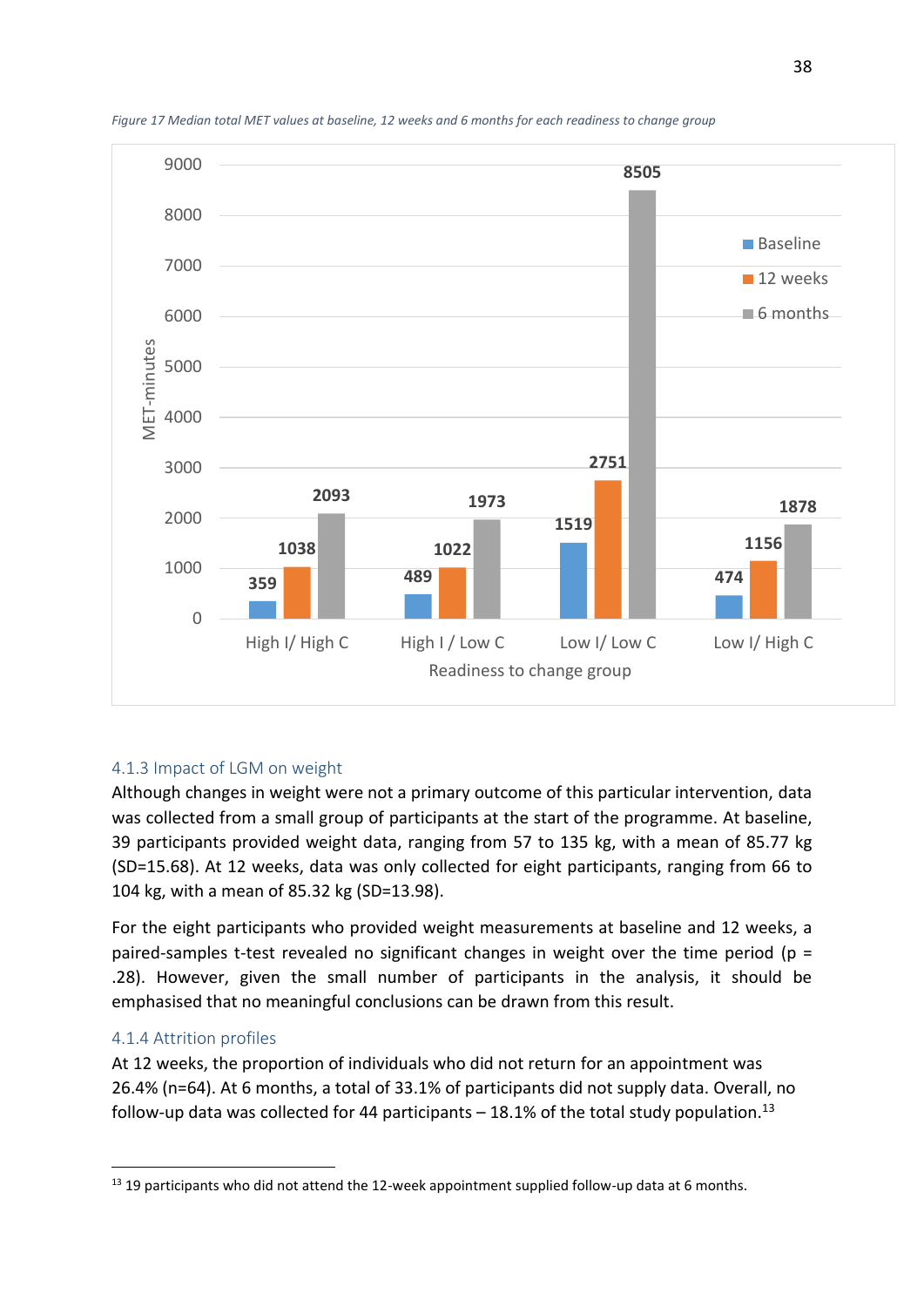

*Figure 17 Median total MET values at baseline, 12 weeks and 6 months for each readiness to change group* 

#### <span id="page-43-0"></span>4.1.3 Impact of LGM on weight

Although changes in weight were not a primary outcome of this particular intervention, data was collected from a small group of participants at the start of the programme. At baseline, 39 participants provided weight data, ranging from 57 to 135 kg, with a mean of 85.77 kg (SD=15.68). At 12 weeks, data was only collected for eight participants, ranging from 66 to 104 kg, with a mean of 85.32 kg (SD=13.98).

For the eight participants who provided weight measurements at baseline and 12 weeks, a paired-samples t-test revealed no significant changes in weight over the time period ( $p =$ .28). However, given the small number of participants in the analysis, it should be emphasised that no meaningful conclusions can be drawn from this result.

#### 4.1.4 Attrition profiles

.

At 12 weeks, the proportion of individuals who did not return for an appointment was 26.4% (n=64). At 6 months, a total of 33.1% of participants did not supply data. Overall, no follow-up data was collected for 44 participants  $-$  18.1% of the total study population.<sup>13</sup>

<sup>&</sup>lt;sup>13</sup> 19 participants who did not attend the 12-week appointment supplied follow-up data at 6 months.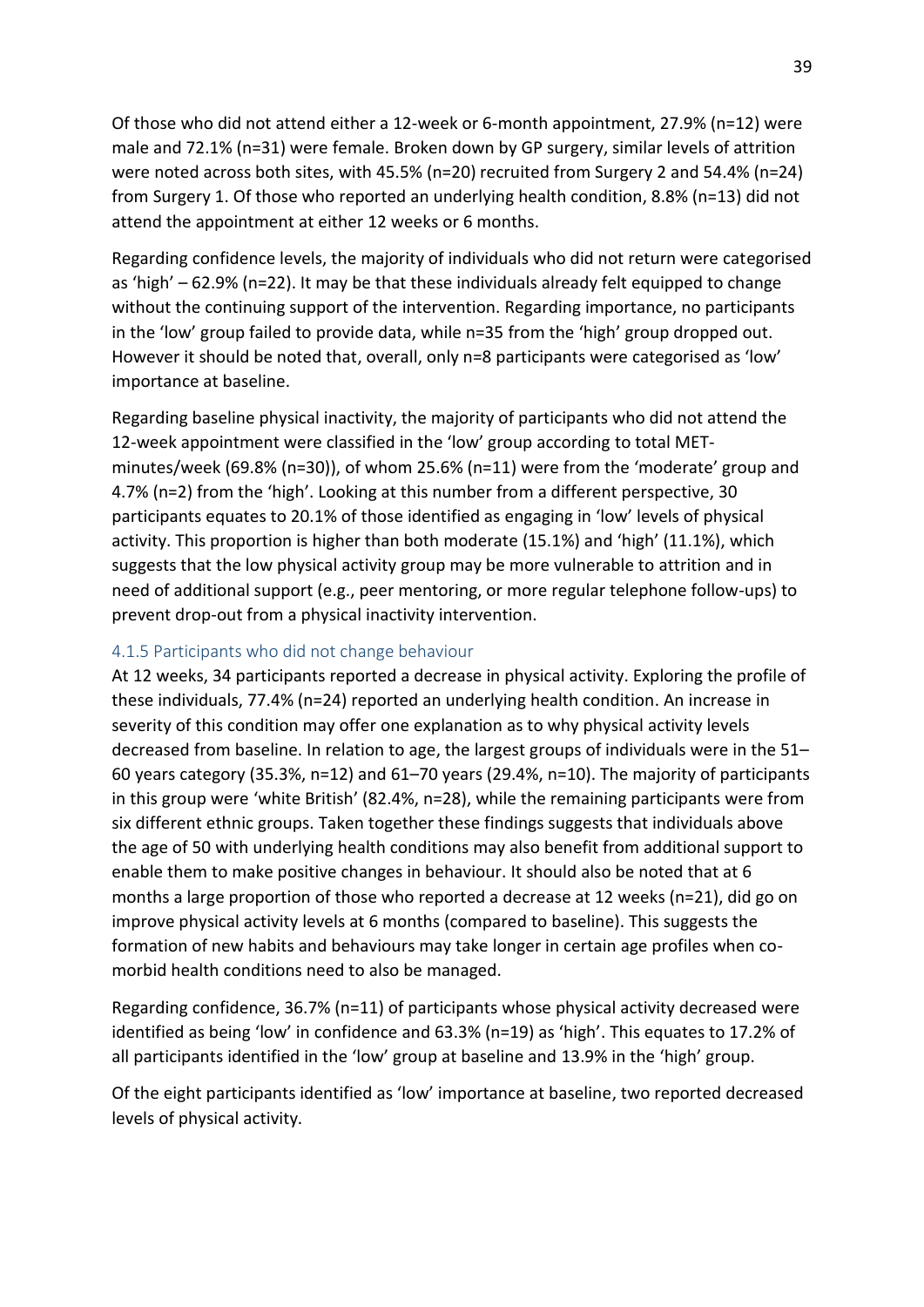<span id="page-44-1"></span><span id="page-44-0"></span>Of those who did not attend either a 12-week or 6-month appointment, 27.9% (n=12) were male and 72.1% (n=31) were female. Broken down by GP surgery, similar levels of attrition were noted across both sites, with 45.5% (n=20) recruited from Surgery 2 and 54.4% (n=24) from Surgery 1. Of those who reported an underlying health condition, 8.8% (n=13) did not attend the appointment at either 12 weeks or 6 months.

Regarding confidence levels, the majority of individuals who did not return were categorised as 'high'  $-62.9\%$  (n=22). It may be that these individuals already felt equipped to change without the continuing support of the intervention. Regarding importance, no participants in the 'low' group failed to provide data, while n=35 from the 'high' group dropped out. However it should be noted that, overall, only n=8 participants were categorised as 'low' importance at baseline.

Regarding baseline physical inactivity, the majority of participants who did not attend the 12-week appointment were classified in the 'low' group according to total METminutes/week (69.8% (n=30)), of whom 25.6% (n=11) were from the 'moderate' group and 4.7% (n=2) from the 'high'. Looking at this number from a different perspective, 30 participants equates to 20.1% of those identified as engaging in 'low' levels of physical activity. This proportion is higher than both moderate (15.1%) and 'high' (11.1%), which suggests that the low physical activity group may be more vulnerable to attrition and in need of additional support (e.g., peer mentoring, or more regular telephone follow-ups) to prevent drop-out from a physical inactivity intervention.

#### 4.1.5 Participants who did not change behaviour

At 12 weeks, 34 participants reported a decrease in physical activity. Exploring the profile of these individuals, 77.4% (n=24) reported an underlying health condition. An increase in severity of this condition may offer one explanation as to why physical activity levels decreased from baseline. In relation to age, the largest groups of individuals were in the 51– 60 years category (35.3%, n=12) and 61–70 years (29.4%, n=10). The majority of participants in this group were 'white British' (82.4%, n=28), while the remaining participants were from six different ethnic groups. Taken together these findings suggests that individuals above the age of 50 with underlying health conditions may also benefit from additional support to enable them to make positive changes in behaviour. It should also be noted that at 6 months a large proportion of those who reported a decrease at 12 weeks (n=21), did go on improve physical activity levels at 6 months (compared to baseline). This suggests the formation of new habits and behaviours may take longer in certain age profiles when comorbid health conditions need to also be managed.

Regarding confidence, 36.7% (n=11) of participants whose physical activity decreased were identified as being 'low' in confidence and  $63.3\%$  (n=19) as 'high'. This equates to 17.2% of all participants identified in the 'low' group at baseline and 13.9% in the 'high' group.

Of the eight participants identified as 'low' importance at baseline, two reported decreased levels of physical activity.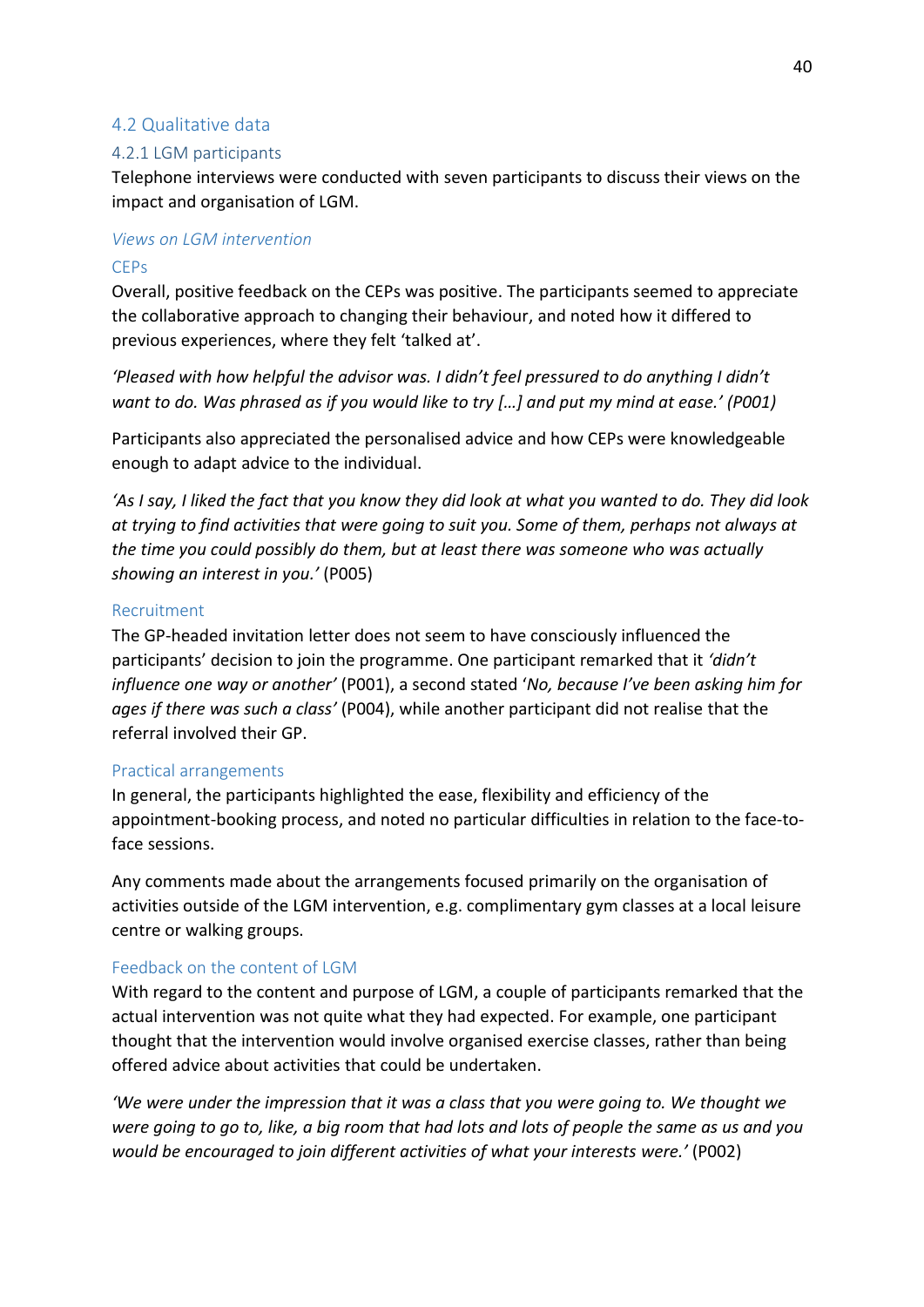#### 4.2 Qualitative data

#### 4.2.1 LGM participants

Telephone interviews were conducted with seven participants to discuss their views on the impact and organisation of LGM.

#### *Views on LGM intervention*  **CEPs**

Overall, positive feedback on the CEPs was positive. The participants seemed to appreciate the collaborative approach to changing their behaviour, and noted how it differed to previous experiences, where they felt 'talked at'.

*Pleased with how helpful the advisor was. I didn't feel pressured to do anything I didn't want to do. Was phrased as if you would like to try [...] and put my mind at ease.*<sup>*'*</sup> (P001)

Participants also appreciated the personalised advice and how CEPs were knowledgeable enough to adapt advice to the individual.

*けAs I say, I liked the fact that you know they did look at what you wanted to do. They did look at trying to find activities that were going to suit you. Some of them, perhaps not always at the time you could possibly do them, but at least there was someone who was actually showing an interest in you.げ* (P005)

#### Recruitment

The GP-headed invitation letter does not seem to have consciously influenced the participants' decision to join the programme. One participant remarked that it 'didn't *influence one way or another'* (P001), a second stated 'No, because I've been asking him for *ages if there was such a class<sup>'</sup>* (P004), while another participant did not realise that the referral involved their GP.

#### Practical arrangements

In general, the participants highlighted the ease, flexibility and efficiency of the appointment-booking process, and noted no particular difficulties in relation to the face-toface sessions.

Any comments made about the arrangements focused primarily on the organisation of activities outside of the LGM intervention, e.g. complimentary gym classes at a local leisure centre or walking groups.

#### Feedback on the content of LGM

With regard to the content and purpose of LGM, a couple of participants remarked that the actual intervention was not quite what they had expected. For example, one participant thought that the intervention would involve organised exercise classes, rather than being offered advice about activities that could be undertaken.

*<i>We were under the impression that it was a class that you were going to. We thought we were going to go to, like, a big room that had lots and lots of people the same as us and you would be encouraged to join different activities of what your interests were.*<sup>*'*</sup> (P002)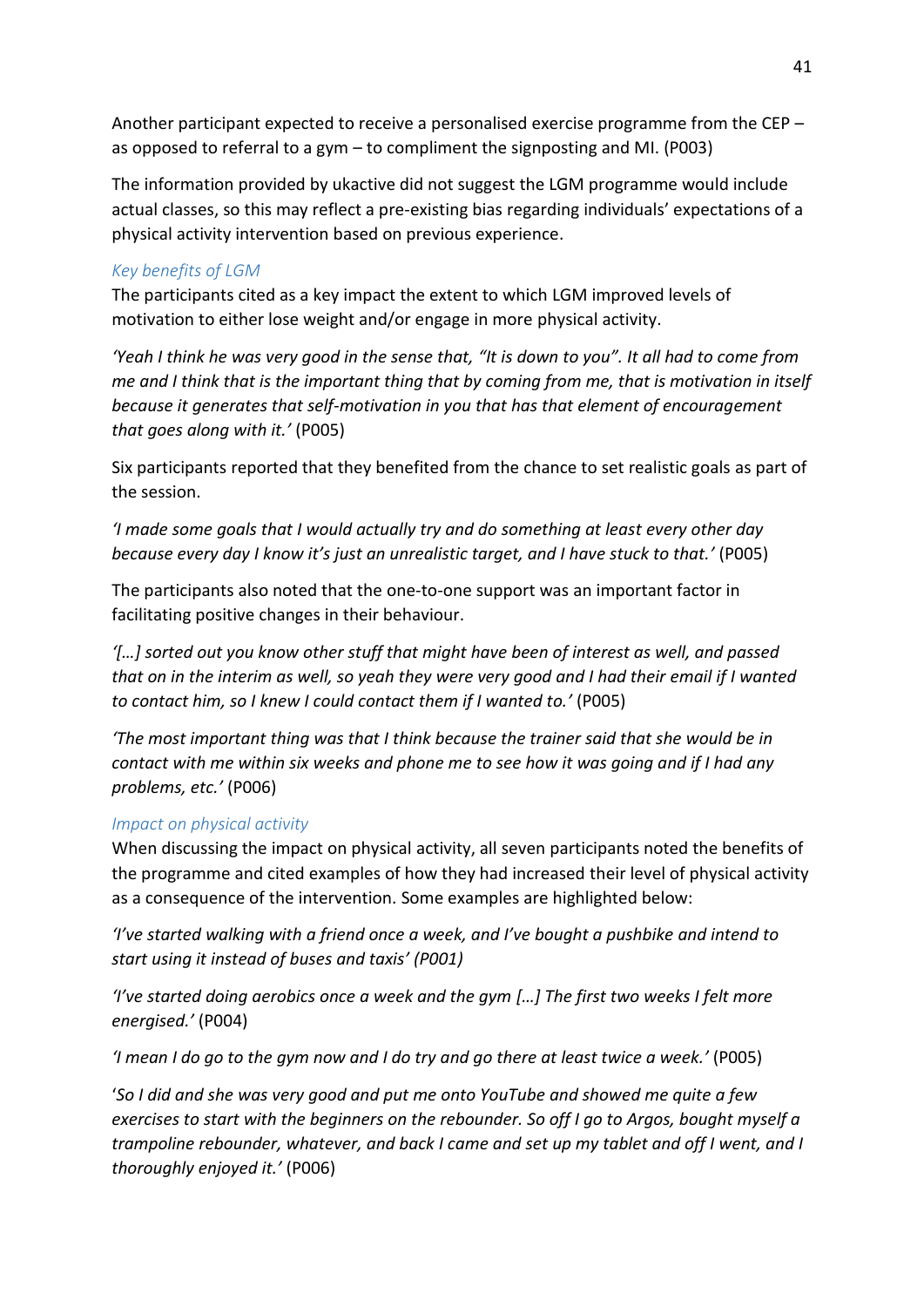Another participant expected to receive a personalised exercise programme from the CEP  $$ as opposed to referral to a gym  $-$  to compliment the signposting and MI. (P003)

<span id="page-46-1"></span><span id="page-46-0"></span>The information provided by ukactive did not suggest the LGM programme would include actual classes, so this may reflect a pre-existing bias regarding individuals' expectations of a physical activity intervention based on previous experience.

#### *Key benefits of LGM*

The participants cited as a key impact the extent to which LGM improved levels of motivation to either lose weight and/or engage in more physical activity.

*けYeah I think he was very good in the sense that, さIt is down to youざ. It all had to come from me and I think that is the important thing that by coming from me, that is motivation in itself because it generates that self-motivation in you that has that element of encouragement that goes along with it.げ* (P005)

Six participants reported that they benefited from the chance to set realistic goals as part of the session.

*けI made some goals that I would actually try and do something at least every other day because every day I know it's just an unrealistic target, and I have stuck to that.'* (P005)

The participants also noted that the one-to-one support was an important factor in facilitating positive changes in their behaviour.

*けぷぐへ sorted out you know other stuff that might have been of interest as well, and passed that on in the interim as well, so yeah they were very good and I had their email if I wanted to contact him, so I knew I could contact them if I wanted to.*<sup>*'*</sup> (P005)

*けThe most important thing was that I think because the trainer said that she would be in contact with me within six weeks and phone me to see how it was going and if I had any problems, etc.げ* (P006)

#### *Impact on physical activity*

When discussing the impact on physical activity, all seven participants noted the benefits of the programme and cited examples of how they had increased their level of physical activity as a consequence of the intervention. Some examples are highlighted below:

*I've started walking with a friend once a week, and I've bought a pushbike and intend to start using it instead of buses and taxisげ (P001)* 

*I've started doing aerobics once a week and the gym [...] The first two weeks I felt more energised.'* (P004)

*けI mean I do go to the gym now and I do try and go there at least twice a week.げ* (P005)

け*So I did and she was very good and put me onto YouTube and showed me quite a few exercises to start with the beginners on the rebounder. So off I go to Argos, bought myself a trampoline rebounder, whatever, and back I came and set up my tablet and off I went, and I thoroughly enjoyed it.げ* (P006)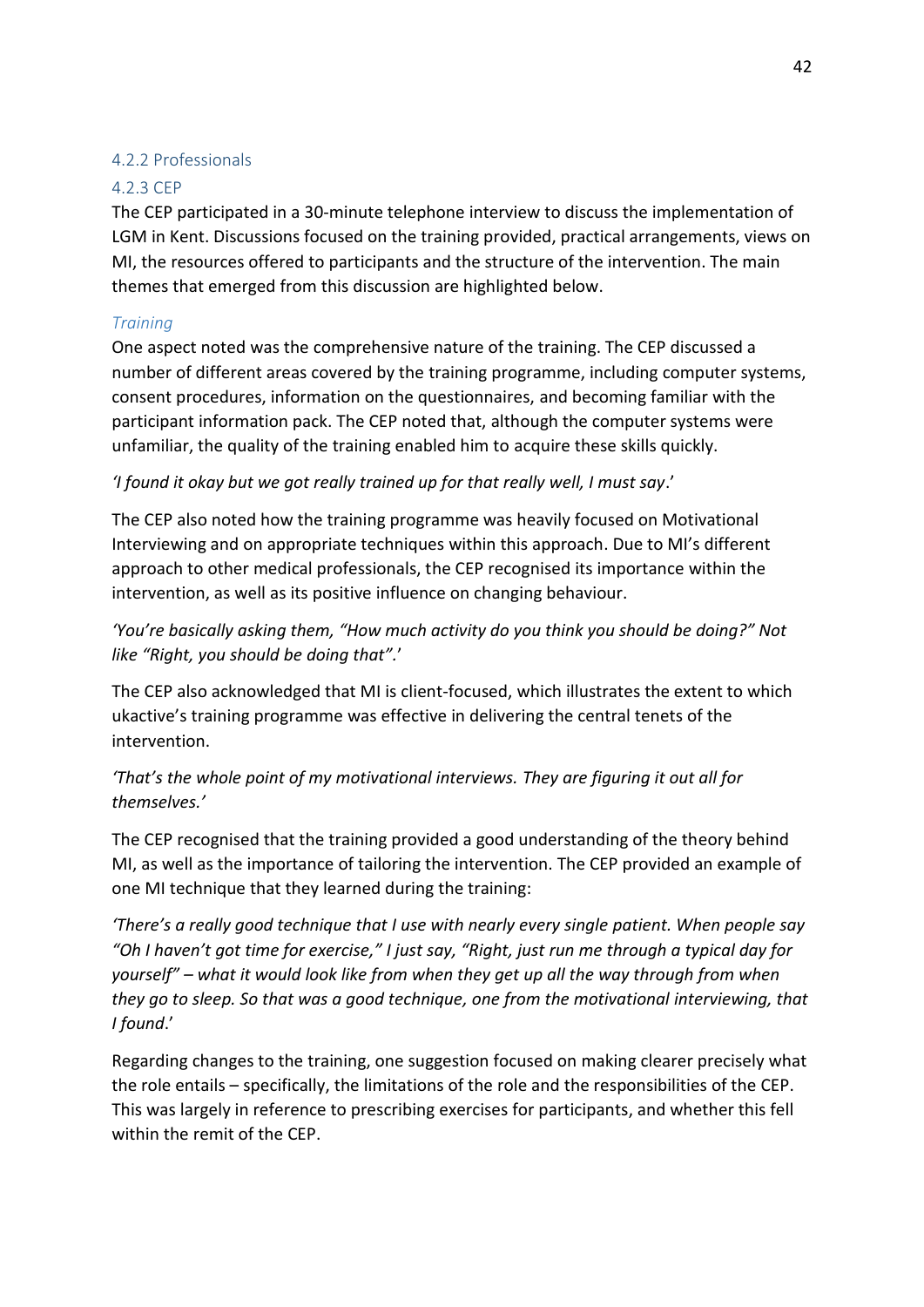#### 4.2.2 Professionals

#### 4.2.3 CEP

The CEP participated in a 30-minute telephone interview to discuss the implementation of LGM in Kent. Discussions focused on the training provided, practical arrangements, views on MI, the resources offered to participants and the structure of the intervention. The main themes that emerged from this discussion are highlighted below.

#### *Training*

One aspect noted was the comprehensive nature of the training. The CEP discussed a number of different areas covered by the training programme, including computer systems, consent procedures, information on the questionnaires, and becoming familiar with the participant information pack. The CEP noted that, although the computer systems were unfamiliar, the quality of the training enabled him to acquire these skills quickly.

*'I found it okay but we got really trained up for that really well, I must say.'* 

The CEP also noted how the training programme was heavily focused on Motivational Interviewing and on appropriate techniques within this approach. Due to MI's different approach to other medical professionals, the CEP recognised its importance within the intervention, as well as its positive influence on changing behaviour.

*You're basically asking them, "How much activity do you think you should be doing?" Not Hike "Right, you should be doing that".'* 

The CEP also acknowledged that MI is client-focused, which illustrates the extent to which ukactive's training programme was effective in delivering the central tenets of the intervention.

*'That's the whole point of my motivational interviews. They are figuring it out all for* themselves.'

The CEP recognised that the training provided a good understanding of the theory behind MI, as well as the importance of tailoring the intervention. The CEP provided an example of one MI technique that they learned during the training:

*'There's a really good technique that I use with nearly every single patient. When people say "Oh I haven't got time for exercise," I just say, "Right, just run me through a typical day for yourself" – what it would look like from when they get up all the way through from when they go to sleep. So that was a good technique, one from the motivational interviewing, that*  I found.'

Regarding changes to the training, one suggestion focused on making clearer precisely what the role entails – specifically, the limitations of the role and the responsibilities of the CEP. This was largely in reference to prescribing exercises for participants, and whether this fell within the remit of the CEP.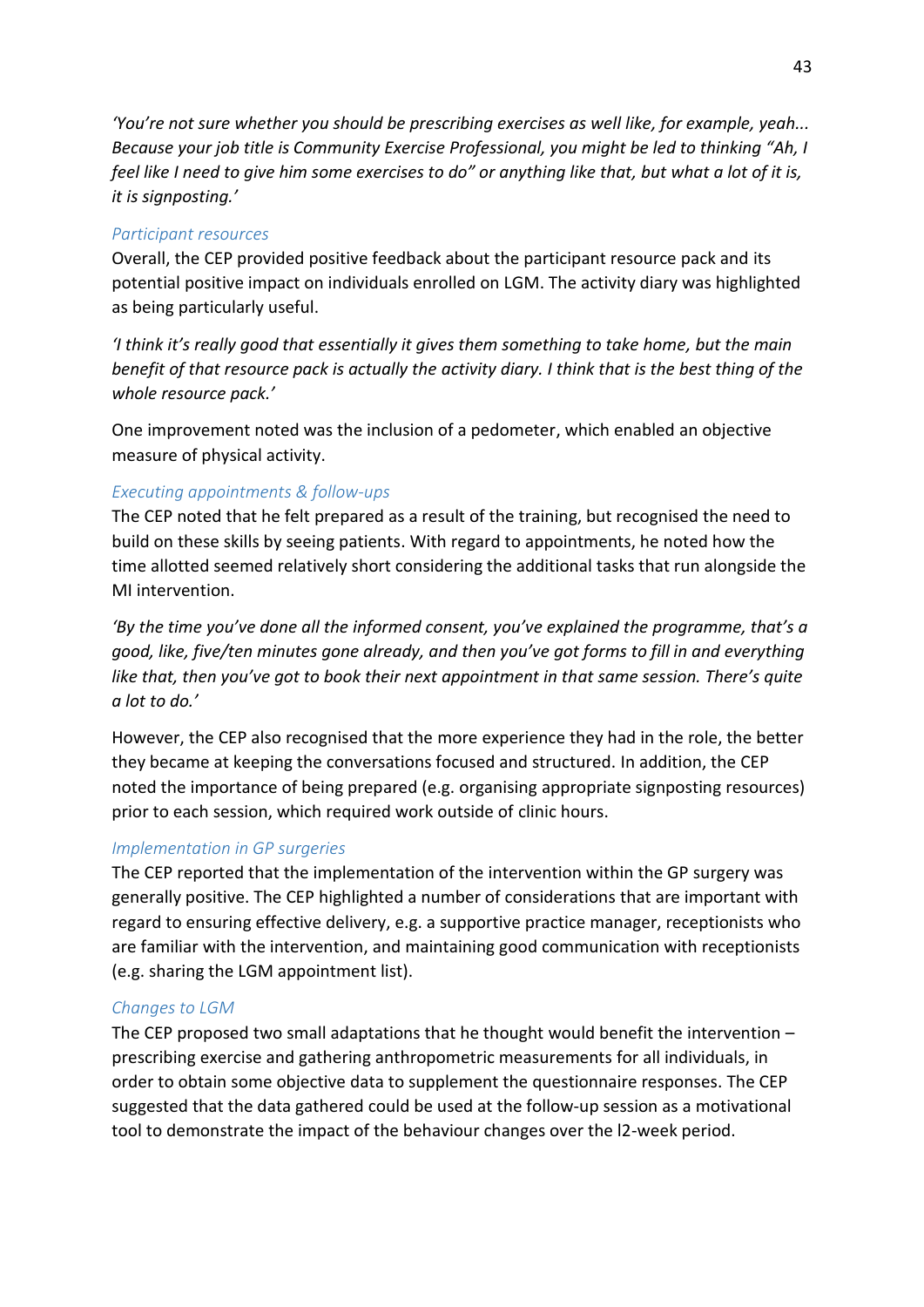*けYouげre not sure whether you should be prescribing exercises as well like, for example, yeah... Because your job title is Community Exercise Professional, you might be led to thinking "Ah, I feel like I need to give him some exercises to do" or anything like that, but what a lot of it is, it is signposting.げ*

#### <span id="page-48-0"></span>*Participant resources*

Overall, the CEP provided positive feedback about the participant resource pack and its potential positive impact on individuals enrolled on LGM. The activity diary was highlighted as being particularly useful.

*I* think it's really good that essentially it gives them something to take home, but the main *benefit of that resource pack is actually the activity diary. I think that is the best thing of the whole resource pack.'* 

One improvement noted was the inclusion of a pedometer, which enabled an objective measure of physical activity.

#### *Executing appointments & follow-ups*

The CEP noted that he felt prepared as a result of the training, but recognised the need to build on these skills by seeing patients. With regard to appointments, he noted how the time allotted seemed relatively short considering the additional tasks that run alongside the MI intervention.

*By the time you've done all the informed consent, you've explained the programme, that's a good, like, five/ten minutes gone already, and then you've got forms to fill in and everything like that, then you've got to book their next appointment in that same session. There's quite a lot to do.げ*

However, the CEP also recognised that the more experience they had in the role, the better they became at keeping the conversations focused and structured. In addition, the CEP noted the importance of being prepared (e.g. organising appropriate signposting resources) prior to each session, which required work outside of clinic hours.

#### *Implementation in GP surgeries*

The CEP reported that the implementation of the intervention within the GP surgery was generally positive. The CEP highlighted a number of considerations that are important with regard to ensuring effective delivery, e.g. a supportive practice manager, receptionists who are familiar with the intervention, and maintaining good communication with receptionists (e.g. sharing the LGM appointment list).

#### *Changes to LGM*

<span id="page-48-1"></span>The CEP proposed two small adaptations that he thought would benefit the intervention  $$ prescribing exercise and gathering anthropometric measurements for all individuals, in order to obtain some objective data to supplement the questionnaire responses. The CEP suggested that the data gathered could be used at the follow-up session as a motivational tool to demonstrate the impact of the behaviour changes over the l2-week period.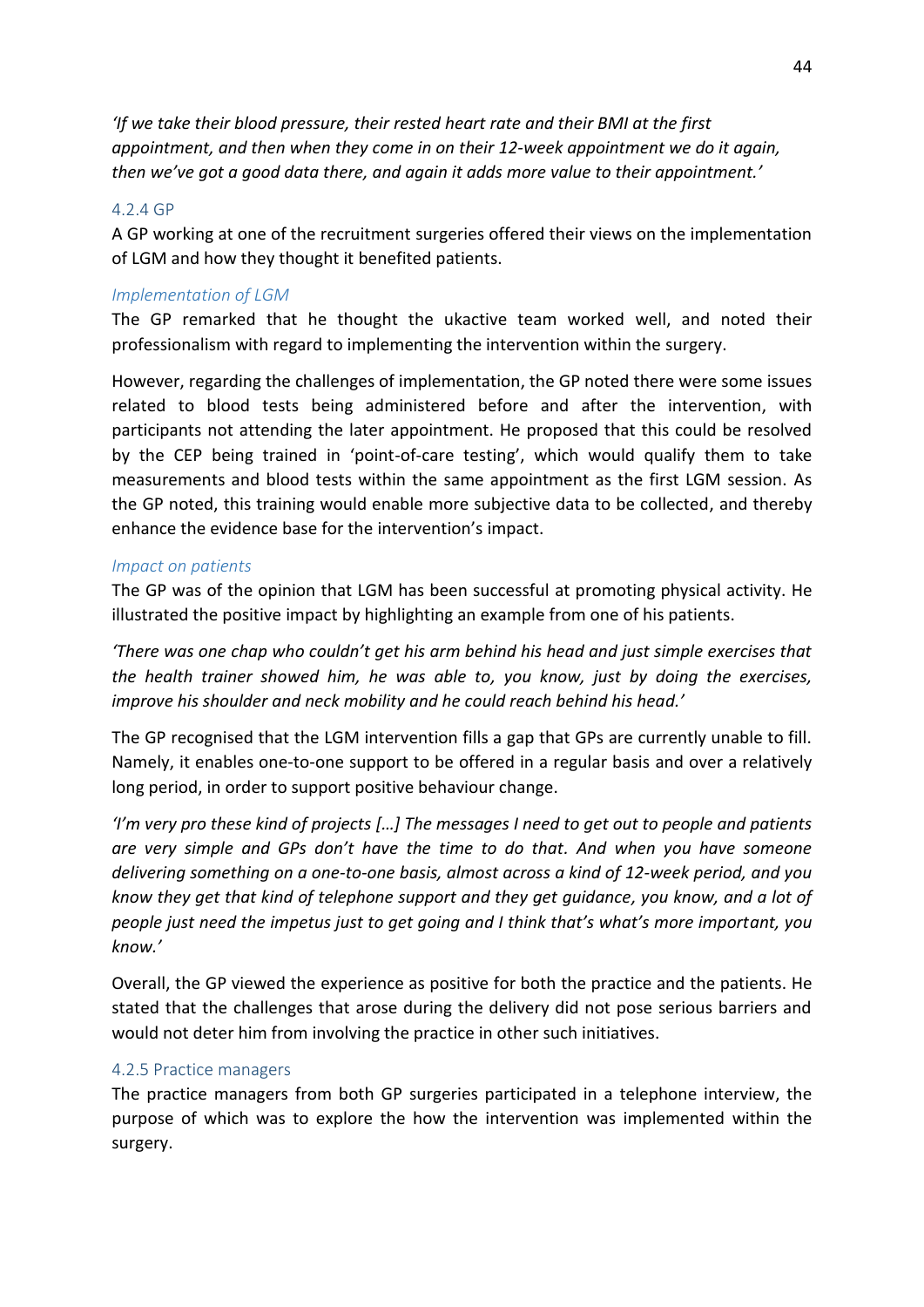*けIf we take their blood pressure, their rested heart rate and their BMI at the first appointment, and then when they come in on their 12-week appointment we do it again, then we've got a good data there, and again it adds more value to their appointment.<sup><i>'*</sup>

#### 4.2.4 GP

A GP working at one of the recruitment surgeries offered their views on the implementation of LGM and how they thought it benefited patients.

#### *Implementation of LGM*

The GP remarked that he thought the ukactive team worked well, and noted their professionalism with regard to implementing the intervention within the surgery.

However, regarding the challenges of implementation, the GP noted there were some issues related to blood tests being administered before and after the intervention, with participants not attending the later appointment. He proposed that this could be resolved by the CEP being trained in 'point-of-care testing', which would qualify them to take measurements and blood tests within the same appointment as the first LGM session. As the GP noted, this training would enable more subjective data to be collected, and thereby enhance the evidence base for the intervention's impact.

#### *Impact on patients*

The GP was of the opinion that LGM has been successful at promoting physical activity. He illustrated the positive impact by highlighting an example from one of his patients.

*There was one chap who couldn't get his arm behind his head and just simple exercises that the health trainer showed him, he was able to, you know, just by doing the exercises, improve his shoulder and neck mobility and he could reach behind his head.'* 

The GP recognised that the LGM intervention fills a gap that GPs are currently unable to fill. Namely, it enables one-to-one support to be offered in a regular basis and over a relatively long period, in order to support positive behaviour change.

*'I'm very pro these kind of projects [...] The messages I need to get out to people and patients are very simple and GPs don't have the time to do that. And when you have someone delivering something on a one-to-one basis, almost across a kind of 12-week period, and you know they get that kind of telephone support and they get guidance, you know, and a lot of*  people just need the impetus just to get going and I think that's what's more important, you *know.げ* 

Overall, the GP viewed the experience as positive for both the practice and the patients. He stated that the challenges that arose during the delivery did not pose serious barriers and would not deter him from involving the practice in other such initiatives.

#### 4.2.5 Practice managers

The practice managers from both GP surgeries participated in a telephone interview, the purpose of which was to explore the how the intervention was implemented within the surgery.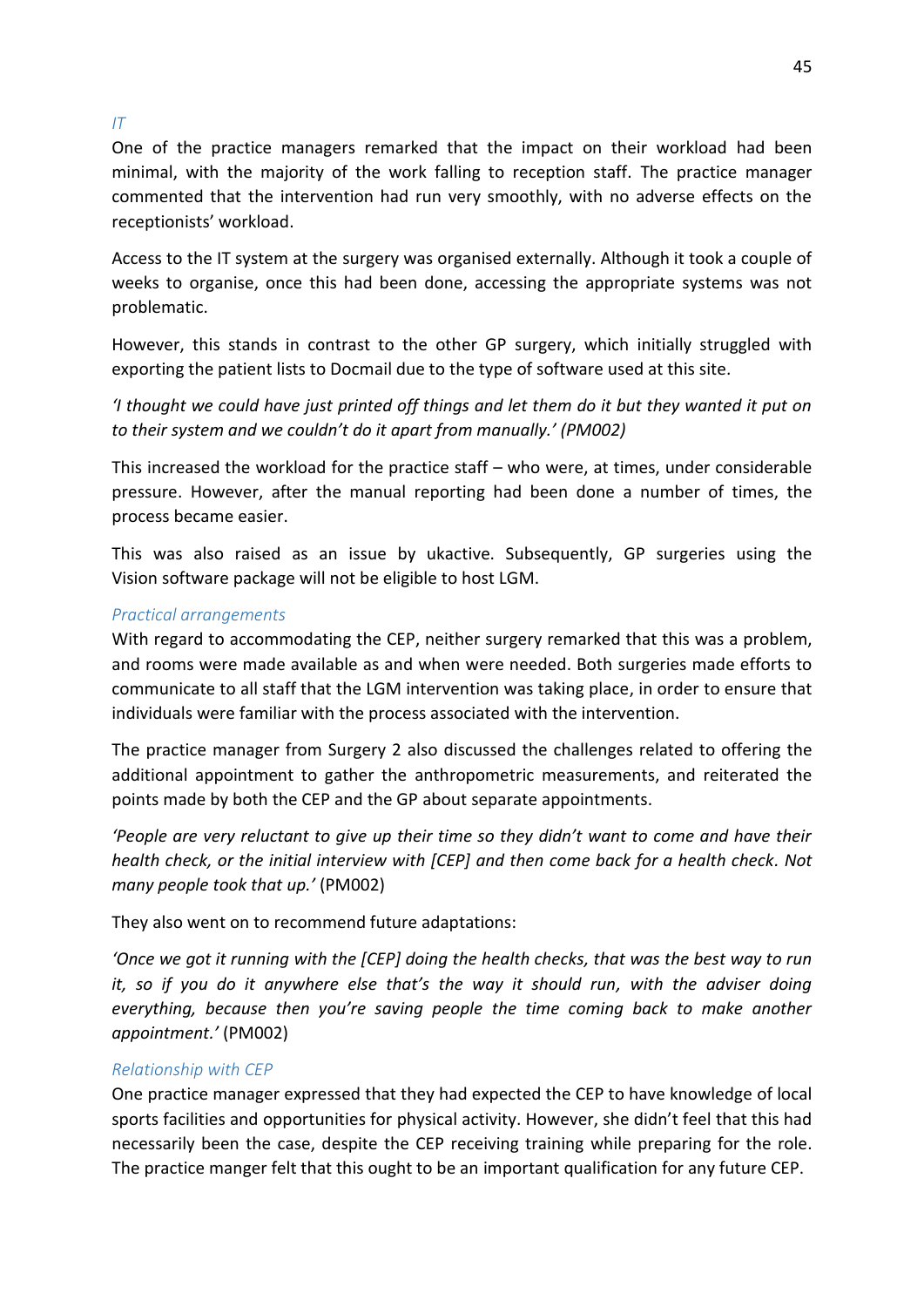#### *IT*

One of the practice managers remarked that the impact on their workload had been minimal, with the majority of the work falling to reception staff. The practice manager commented that the intervention had run very smoothly, with no adverse effects on the receptionists' workload.

Access to the IT system at the surgery was organised externally. Although it took a couple of weeks to organise, once this had been done, accessing the appropriate systems was not problematic.

However, this stands in contrast to the other GP surgery, which initially struggled with exporting the patient lists to Docmail due to the type of software used at this site.

*けI thought we could have just printed off things and let them do it but they wanted it put on to their system and we couldn't do it apart from manually.' (PM002)* 

This increased the workload for the practice staff  $-$  who were, at times, under considerable pressure. However, after the manual reporting had been done a number of times, the process became easier.

This was also raised as an issue by ukactive. Subsequently, GP surgeries using the Vision software package will not be eligible to host LGM.

#### *Practical arrangements*

With regard to accommodating the CEP, neither surgery remarked that this was a problem, and rooms were made available as and when were needed. Both surgeries made efforts to communicate to all staff that the LGM intervention was taking place, in order to ensure that individuals were familiar with the process associated with the intervention.

The practice manager from Surgery 2 also discussed the challenges related to offering the additional appointment to gather the anthropometric measurements, and reiterated the points made by both the CEP and the GP about separate appointments.

<span id="page-50-0"></span>*People are very reluctant to give up their time so they didn't want to come and have their health check, or the initial interview with [CEP] and then come back for a health check. Not many people took that up.*<sup>'</sup> (PM002)

They also went on to recommend future adaptations:

*けOnce we got it running with the [CEP] doing the health checks, that was the best way to run it, so if you do it anywhere else that's the way it should run, with the adviser doing everything, because then you're saving people the time coming back to make another appointmentくげ* (PM002)

#### *Relationship with CEP*

One practice manager expressed that they had expected the CEP to have knowledge of local sports facilities and opportunities for physical activity. However, she didn't feel that this had necessarily been the case, despite the CEP receiving training while preparing for the role. The practice manger felt that this ought to be an important qualification for any future CEP.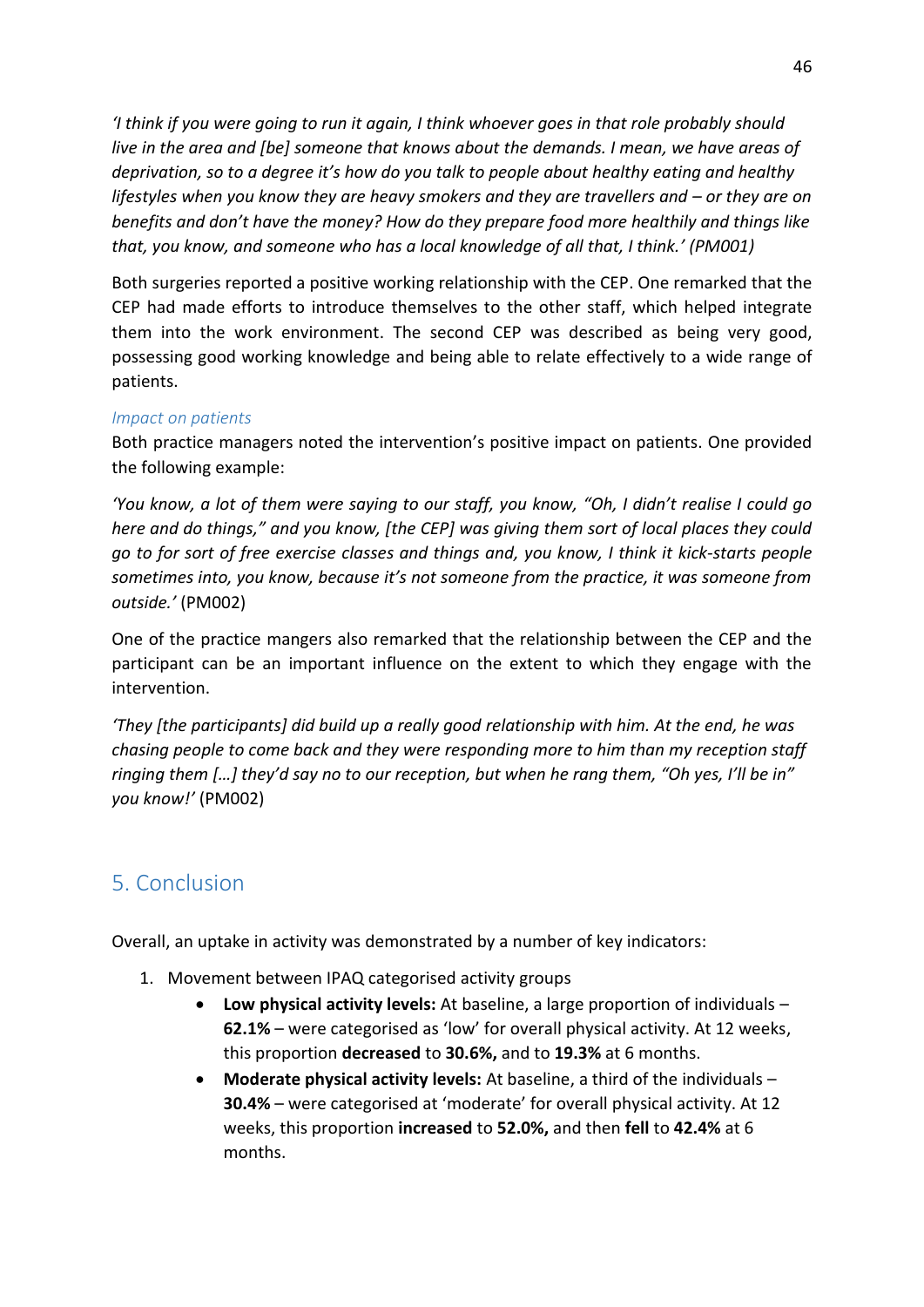*けI think if you were going to run it again, I think whoever goes in that role probably should live in the area and [be] someone that knows about the demands. I mean, we have areas of deprivation, so to a degree it's how do you talk to people about healthy eating and healthy lifestyles when you know they are heavy smokers and they are travellers and – or they are on benefits and don't have the money? How do they prepare food more healthily and things like that, you know, and someone who has a local knowledge of all that, I think.げ (PM001)* 

Both surgeries reported a positive working relationship with the CEP. One remarked that the CEP had made efforts to introduce themselves to the other staff, which helped integrate them into the work environment. The second CEP was described as being very good, possessing good working knowledge and being able to relate effectively to a wide range of patients.

#### *Impact on patients*

Both practice managers noted the intervention's positive impact on patients. One provided the following example:

*'You know, a lot of them were saying to our staff, you know, "Oh, I didn't realise I could go here and do things," and you know, [the CEP] was giving them sort of local places they could go to for sort of free exercise classes and things and, you know, I think it kick-starts people Sometimes into, you know, because it's not someone from the practice, it was someone from outside.げ* (PM002)

One of the practice mangers also remarked that the relationship between the CEP and the participant can be an important influence on the extent to which they engage with the intervention.

*けThey [the participants] did build up a really good relationship with him. At the end, he was chasing people to come back and they were responding more to him than my reception staff ringing them [...] they'd say no to our reception, but when he rang them, "Oh yes, I'll be in" you know!げ* (PM002)

# 5. Conclusion

Overall, an uptake in activity was demonstrated by a number of key indicators:

- 1. Movement between IPAQ categorised activity groups
	- **Low physical activity levels:** At baseline, a large proportion of individuals **62.1%** – were categorised as 'low' for overall physical activity. At 12 weeks, this proportion **decreased** to **30.6%,** and to **19.3%** at 6 months.
	- **Moderate physical activity levels:** At baseline, a third of the individuals **30.4%** – were categorised at 'moderate' for overall physical activity. At 12 weeks, this proportion **increased** to **52.0%,** and then **fell** to **42.4%** at 6 months.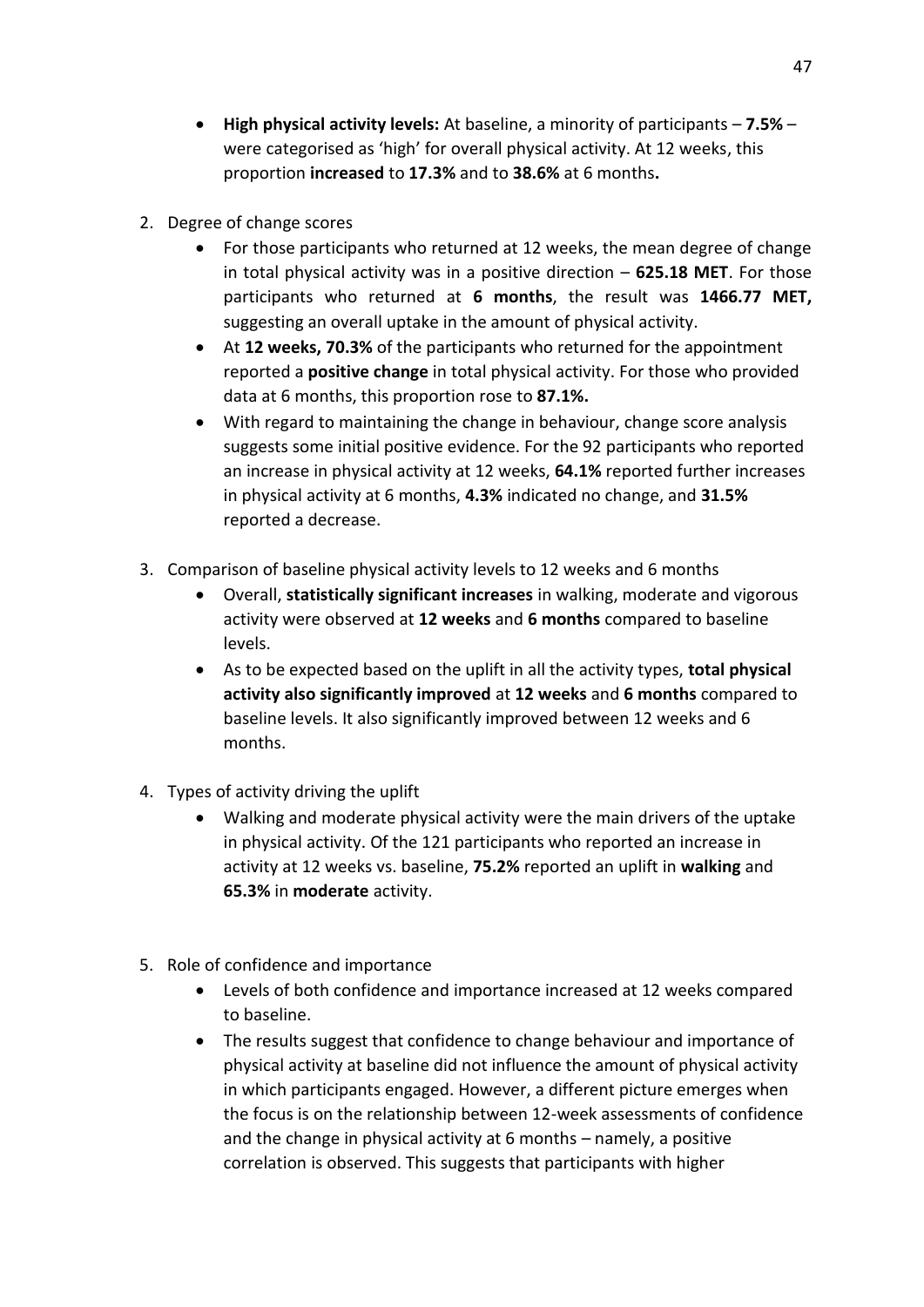- **•** High physical activity levels: At baseline, a minority of participants  $-7.5\%$  were categorised as 'high' for overall physical activity. At 12 weeks, this proportion **increased** to **17.3%** and to **38.6%** at 6 months**.**
- 2. Degree of change scores
	- For those participants who returned at 12 weeks, the mean degree of change in total physical activity was in a positive direction  $-625.18$  MET. For those participants who returned at **6 months**, the result was **1466.77 MET,**  suggesting an overall uptake in the amount of physical activity.
	- At **12 weeks, 70.3%** of the participants who returned for the appointment reported a **positive change** in total physical activity. For those who provided data at 6 months, this proportion rose to **87.1%.**
	- With regard to maintaining the change in behaviour, change score analysis suggests some initial positive evidence. For the 92 participants who reported an increase in physical activity at 12 weeks, **64.1%** reported further increases in physical activity at 6 months, **4.3%** indicated no change, and **31.5%** reported a decrease.
- 3. Comparison of baseline physical activity levels to 12 weeks and 6 months
	- Overall, **statistically significant increases** in walking, moderate and vigorous activity were observed at **12 weeks** and **6 months** compared to baseline levels.
	- As to be expected based on the uplift in all the activity types, **total physical activity also significantly improved** at **12 weeks** and **6 months** compared to baseline levels. It also significantly improved between 12 weeks and 6 months.
- 4. Types of activity driving the uplift
	- Walking and moderate physical activity were the main drivers of the uptake in physical activity. Of the 121 participants who reported an increase in activity at 12 weeks vs. baseline, **75.2%** reported an uplift in **walking** and **65.3%** in **moderate** activity.
- 5. Role of confidence and importance
	- Levels of both confidence and importance increased at 12 weeks compared to baseline.
	- The results suggest that confidence to change behaviour and importance of physical activity at baseline did not influence the amount of physical activity in which participants engaged. However, a different picture emerges when the focus is on the relationship between 12-week assessments of confidence and the change in physical activity at 6 months  $-$  namely, a positive correlation is observed. This suggests that participants with higher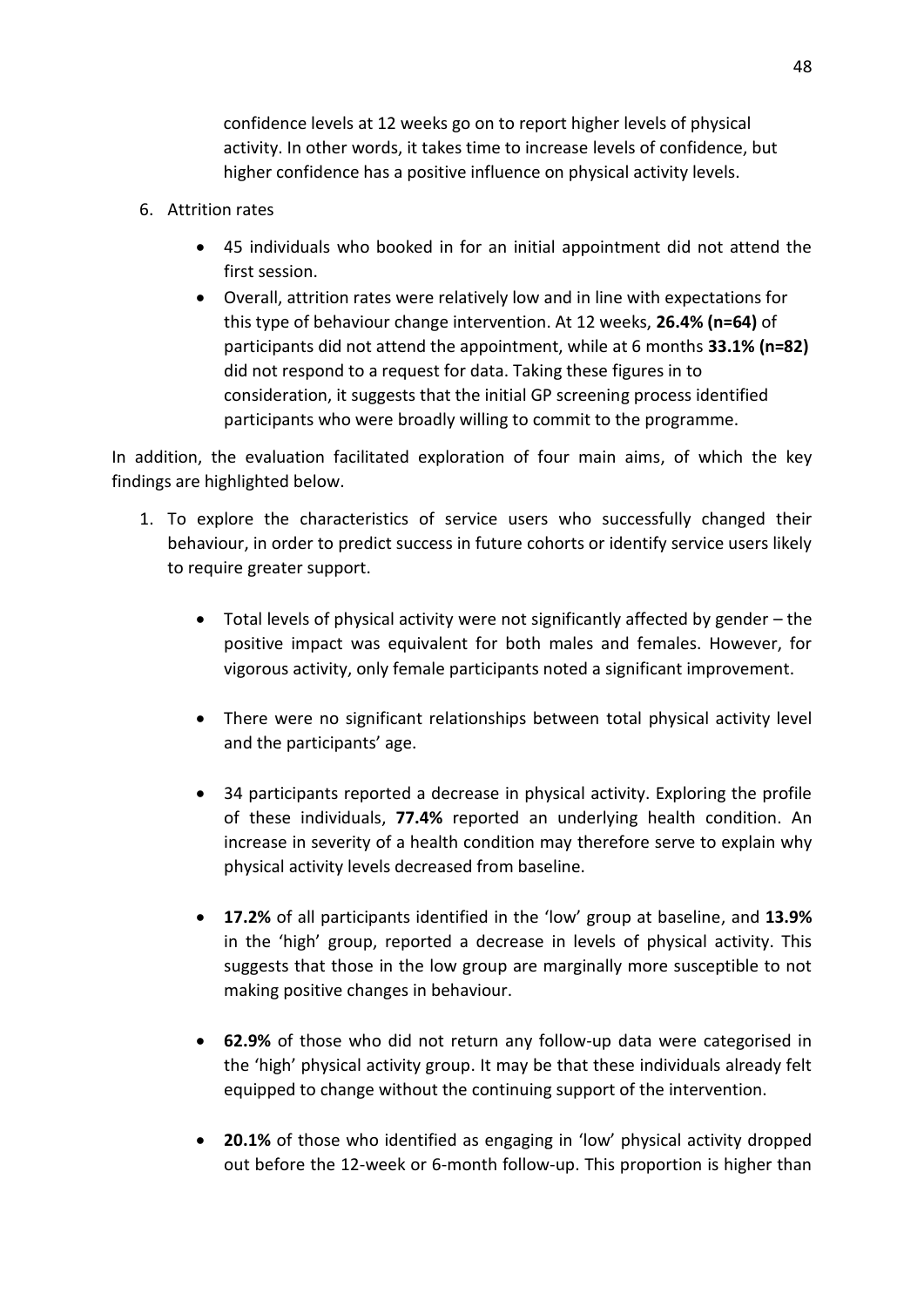confidence levels at 12 weeks go on to report higher levels of physical activity. In other words, it takes time to increase levels of confidence, but higher confidence has a positive influence on physical activity levels.

- 6. Attrition rates
	- 45 individuals who booked in for an initial appointment did not attend the first session.
	- Overall, attrition rates were relatively low and in line with expectations for this type of behaviour change intervention. At 12 weeks, **26.4% (n=64)** of participants did not attend the appointment, while at 6 months **33.1% (n=82)** did not respond to a request for data. Taking these figures in to consideration, it suggests that the initial GP screening process identified participants who were broadly willing to commit to the programme.

In addition, the evaluation facilitated exploration of four main aims, of which the key findings are highlighted below.

- 1. To explore the characteristics of service users who successfully changed their behaviour, in order to predict success in future cohorts or identify service users likely to require greater support.
	- Total levels of physical activity were not significantly affected by gender  $-$  the positive impact was equivalent for both males and females. However, for vigorous activity, only female participants noted a significant improvement.
	- There were no significant relationships between total physical activity level and the participants' age.
	- 34 participants reported a decrease in physical activity. Exploring the profile of these individuals, **77.4%** reported an underlying health condition. An increase in severity of a health condition may therefore serve to explain why physical activity levels decreased from baseline.
	- **17.2%** of all participants identified in the 'low' group at baseline, and 13.9% in the 'high' group, reported a decrease in levels of physical activity. This suggests that those in the low group are marginally more susceptible to not making positive changes in behaviour.
	- **62.9%** of those who did not return any follow-up data were categorised in the 'high' physical activity group. It may be that these individuals already felt equipped to change without the continuing support of the intervention.
	- **20.1%** of those who identified as engaging in 'low' physical activity dropped out before the 12-week or 6-month follow-up. This proportion is higher than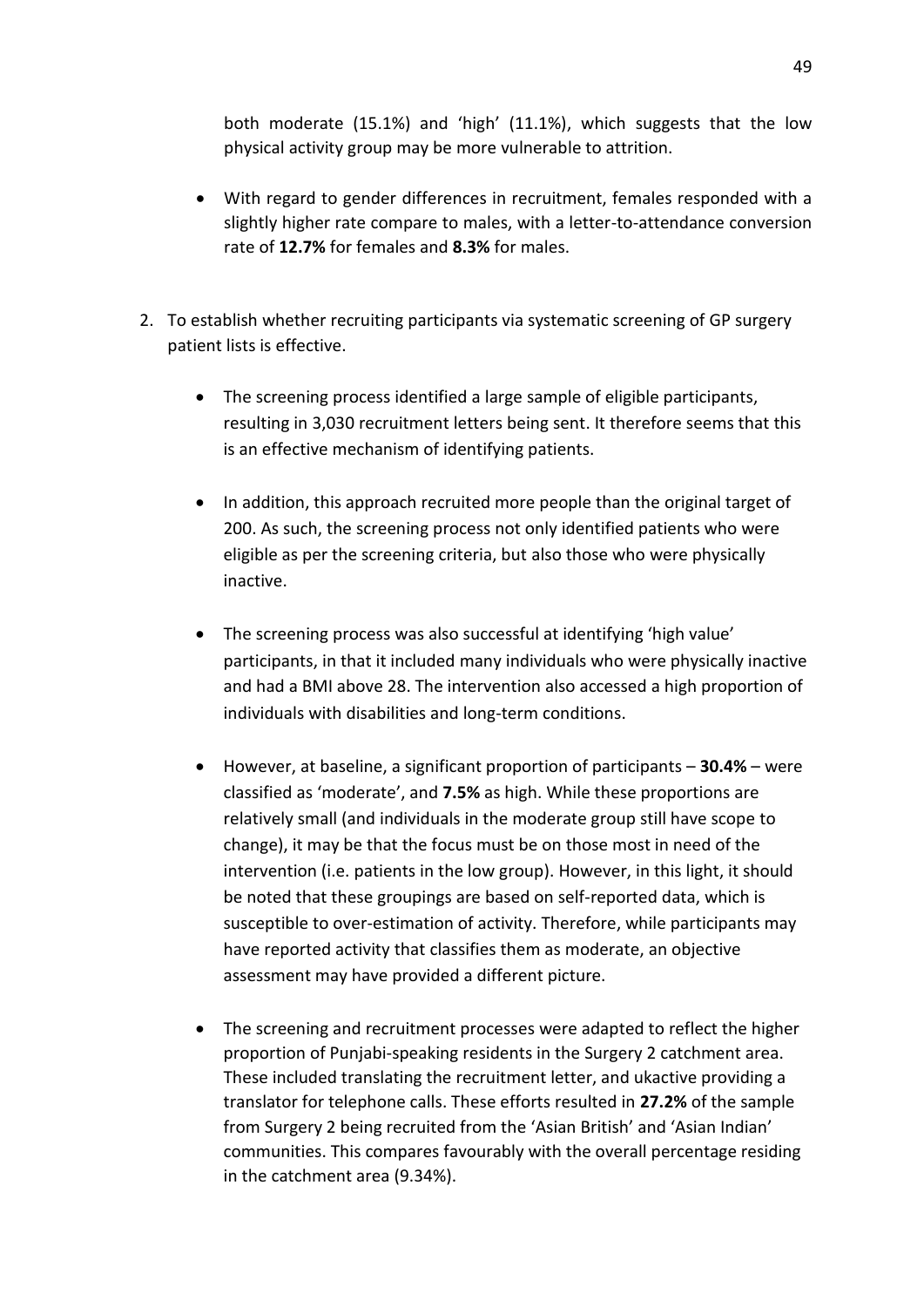both moderate (15.1%) and 'high' (11.1%), which suggests that the low physical activity group may be more vulnerable to attrition.

- With regard to gender differences in recruitment, females responded with a slightly higher rate compare to males, with a letter-to-attendance conversion rate of **12.7%** for females and **8.3%** for males.
- 2. To establish whether recruiting participants via systematic screening of GP surgery patient lists is effective.
	- The screening process identified a large sample of eligible participants, resulting in 3,030 recruitment letters being sent. It therefore seems that this is an effective mechanism of identifying patients.
	- In addition, this approach recruited more people than the original target of 200. As such, the screening process not only identified patients who were eligible as per the screening criteria, but also those who were physically inactive.
	- The screening process was also successful at identifying 'high value' participants, in that it included many individuals who were physically inactive and had a BMI above 28. The intervention also accessed a high proportion of individuals with disabilities and long-term conditions.
	- However, at baseline, a significant proportion of participants **30.4%** were classified as 'moderate', and **7.5%** as high. While these proportions are relatively small (and individuals in the moderate group still have scope to change), it may be that the focus must be on those most in need of the intervention (i.e. patients in the low group). However, in this light, it should be noted that these groupings are based on self-reported data, which is susceptible to over-estimation of activity. Therefore, while participants may have reported activity that classifies them as moderate, an objective assessment may have provided a different picture.
	- The screening and recruitment processes were adapted to reflect the higher proportion of Punjabi-speaking residents in the Surgery 2 catchment area. These included translating the recruitment letter, and ukactive providing a translator for telephone calls. These efforts resulted in **27.2%** of the sample from Surgery 2 being recruited from the 'Asian British' and 'Asian Indian' communities. This compares favourably with the overall percentage residing in the catchment area (9.34%).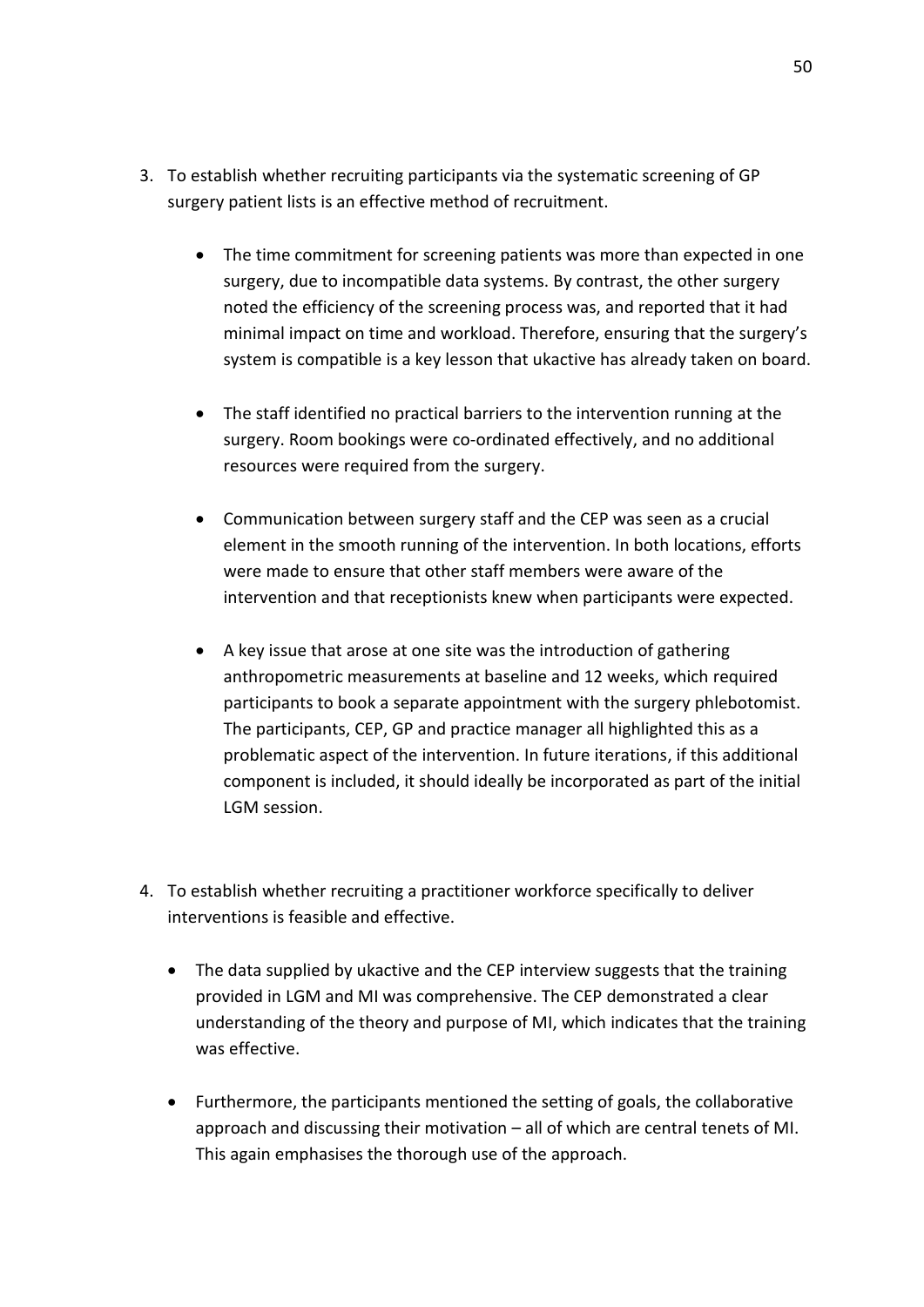- 3. To establish whether recruiting participants via the systematic screening of GP surgery patient lists is an effective method of recruitment.
	- The time commitment for screening patients was more than expected in one surgery, due to incompatible data systems. By contrast, the other surgery noted the efficiency of the screening process was, and reported that it had minimal impact on time and workload. Therefore, ensuring that the surgery's system is compatible is a key lesson that ukactive has already taken on board.
	- The staff identified no practical barriers to the intervention running at the surgery. Room bookings were co-ordinated effectively, and no additional resources were required from the surgery.
	- Communication between surgery staff and the CEP was seen as a crucial element in the smooth running of the intervention. In both locations, efforts were made to ensure that other staff members were aware of the intervention and that receptionists knew when participants were expected.
	- A key issue that arose at one site was the introduction of gathering anthropometric measurements at baseline and 12 weeks, which required participants to book a separate appointment with the surgery phlebotomist. The participants, CEP, GP and practice manager all highlighted this as a problematic aspect of the intervention. In future iterations, if this additional component is included, it should ideally be incorporated as part of the initial LGM session.
- 4. To establish whether recruiting a practitioner workforce specifically to deliver interventions is feasible and effective.
	- The data supplied by ukactive and the CEP interview suggests that the training provided in LGM and MI was comprehensive. The CEP demonstrated a clear understanding of the theory and purpose of MI, which indicates that the training was effective.
	- Furthermore, the participants mentioned the setting of goals, the collaborative approach and discussing their motivation  $-$  all of which are central tenets of MI. This again emphasises the thorough use of the approach.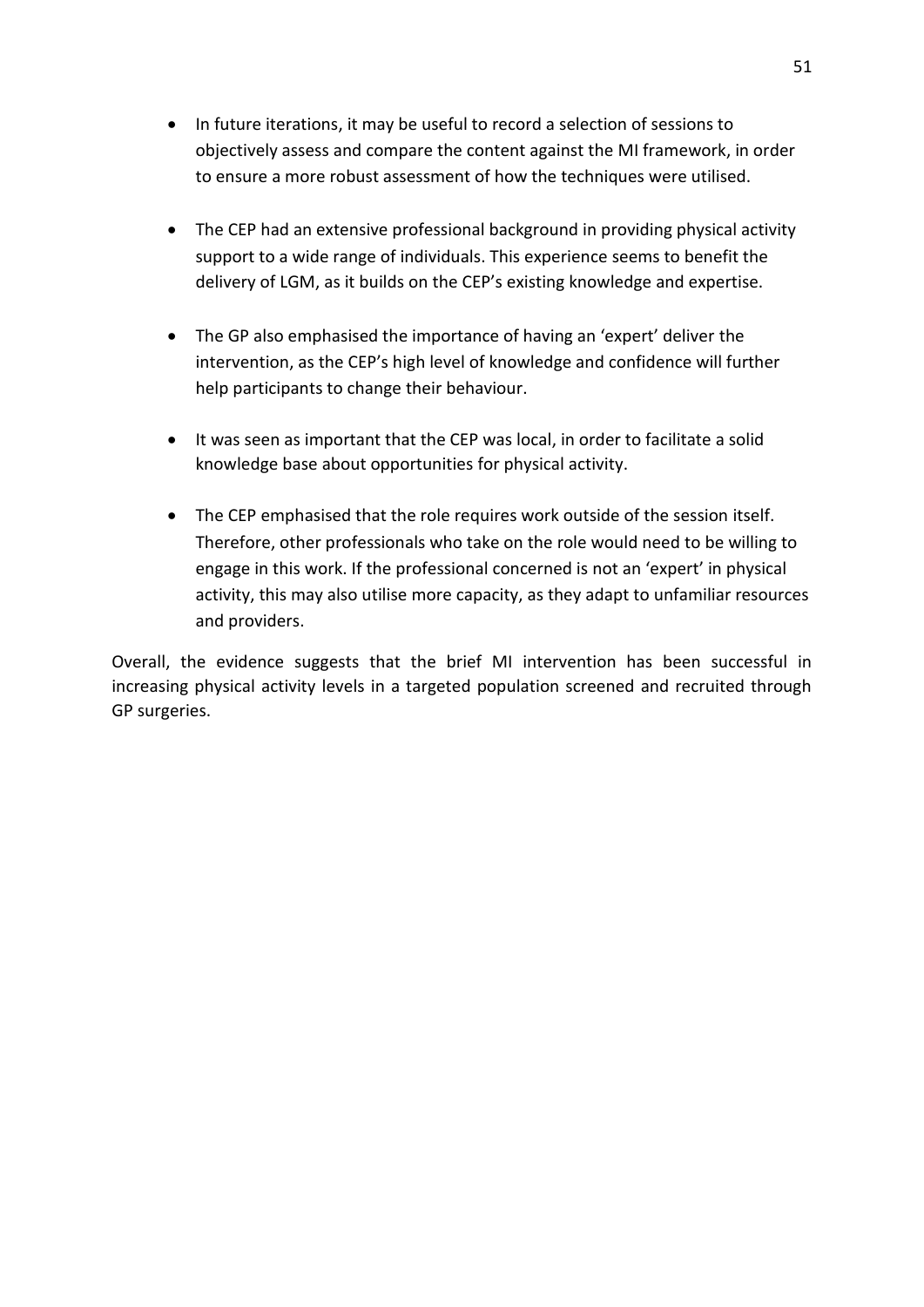- <span id="page-56-0"></span>• In future iterations, it may be useful to record a selection of sessions to objectively assess and compare the content against the MI framework, in order to ensure a more robust assessment of how the techniques were utilised.
- The CEP had an extensive professional background in providing physical activity support to a wide range of individuals. This experience seems to benefit the delivery of LGM, as it builds on the CEP's existing knowledge and expertise.
- The GP also emphasised the importance of having an 'expert' deliver the intervention, as the CEP's high level of knowledge and confidence will further help participants to change their behaviour.
- It was seen as important that the CEP was local, in order to facilitate a solid knowledge base about opportunities for physical activity.
- The CEP emphasised that the role requires work outside of the session itself. Therefore, other professionals who take on the role would need to be willing to engage in this work. If the professional concerned is not an 'expert' in physical activity, this may also utilise more capacity, as they adapt to unfamiliar resources and providers.

Overall, the evidence suggests that the brief MI intervention has been successful in increasing physical activity levels in a targeted population screened and recruited through GP surgeries.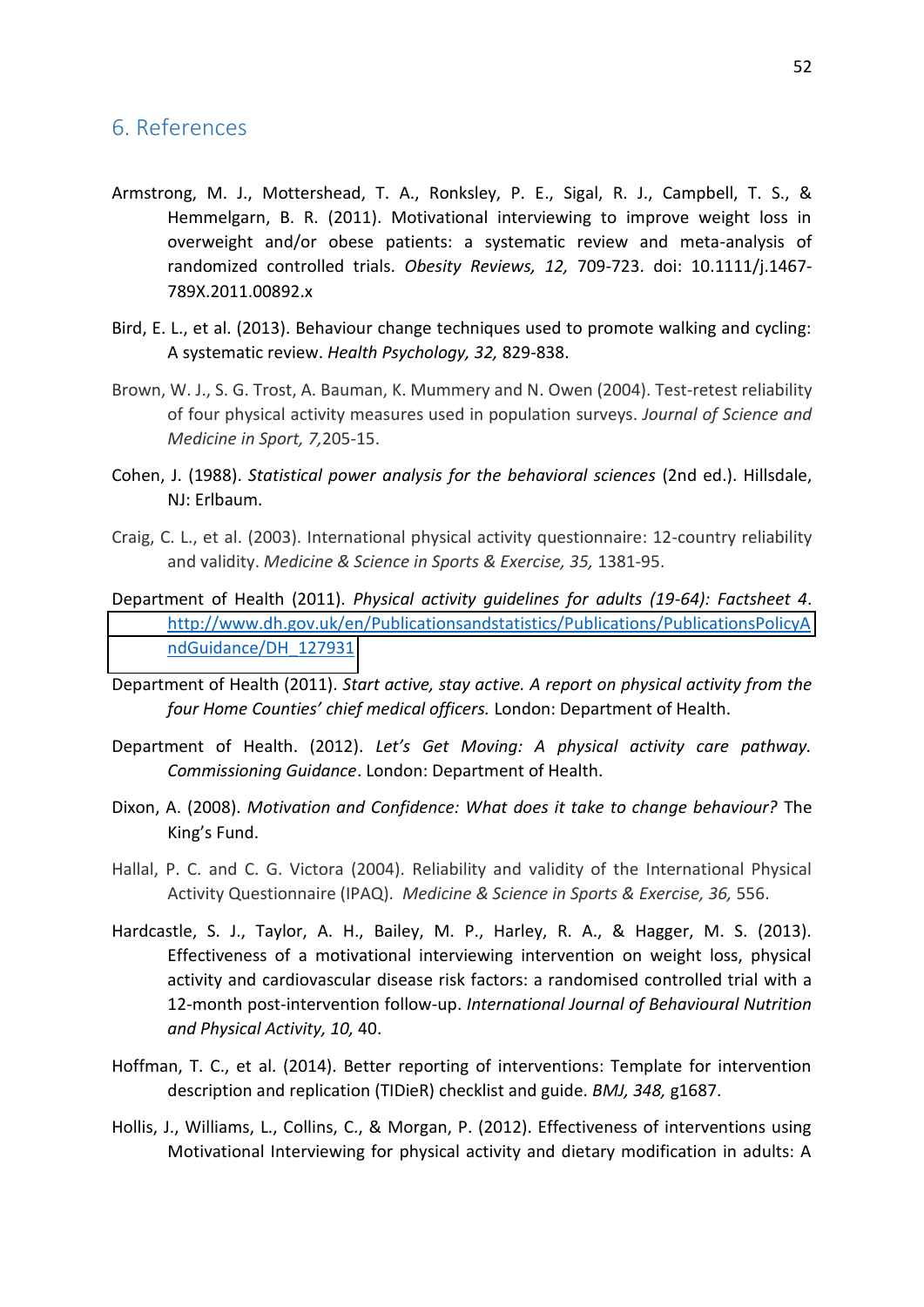#### 6. References

- Armstrong, M. J., Mottershead, T. A., Ronksley, P. E., Sigal, R. J., Campbell, T. S., & Hemmelgarn, B. R. (2011). Motivational interviewing to improve weight loss in overweight and/or obese patients: a systematic review and meta-analysis of randomized controlled trials. *Obesity Reviews, 12,* 709-723. doi: 10.1111/j.1467- 789X.2011.00892.x
- Bird, E. L., et al. (2013). Behaviour change techniques used to promote walking and cycling: A systematic review. *Health Psychology, 32,* 829-838.
- Brown, W. J., S. G. Trost, A. Bauman, K. Mummery and N. Owen (2004). Test-retest reliability of four physical activity measures used in population surveys. *Journal of Science and Medicine in Sport, 7,*205-15.
- Cohen, J. (1988). *Statistical power analysis for the behavioral sciences* (2nd ed.). Hillsdale, NJ: Erlbaum.
- Craig, C. L., et al. (2003). International physical activity questionnaire: 12-country reliability and validity. *Medicine & Science in Sports & Exercise, 35,* 1381-95.
- Department of Health (2011). *Physical activity guidelines for adults (19-64): Factsheet 4*. [http://www.dh.gov.uk/en/Publicationsandstatistics/Publications/PublicationsPolicyA](http://www.dh.gov.uk/en/Publicationsandstatistics/Publications/PublicationsPolicyAndGuidance/DH_127931) [ndGuidance/DH\\_127931](http://www.dh.gov.uk/en/Publicationsandstatistics/Publications/PublicationsPolicyAndGuidance/DH_127931)
- Department of Health (2011). *Start active, stay active. A report on physical activity from the four Home Counties' chief medical officers.* London: Department of Health.
- Department of Health. (2012). *Let's Get Moving: A physical activity care pathway. Commissioning Guidance*. London: Department of Health.
- Dixon, A. (2008). *Motivation and Confidence: What does it take to change behaviour?* The King's Fund.
- Hallal, P. C. and C. G. Victora (2004). Reliability and validity of the International Physical Activity Questionnaire (IPAQ). *Medicine & Science in Sports & Exercise, 36,* 556.
- Hardcastle, S. J., Taylor, A. H., Bailey, M. P., Harley, R. A., & Hagger, M. S. (2013). Effectiveness of a motivational interviewing intervention on weight loss, physical activity and cardiovascular disease risk factors: a randomised controlled trial with a 12-month post-intervention follow-up. *International Journal of Behavioural Nutrition and Physical Activity, 10,* 40.
- Hoffman, T. C., et al. (2014). Better reporting of interventions: Template for intervention description and replication (TIDieR) checklist and guide. *BMJ, 348,* g1687.
- Hollis, J., Williams, L., Collins, C., & Morgan, P. (2012). Effectiveness of interventions using Motivational Interviewing for physical activity and dietary modification in adults: A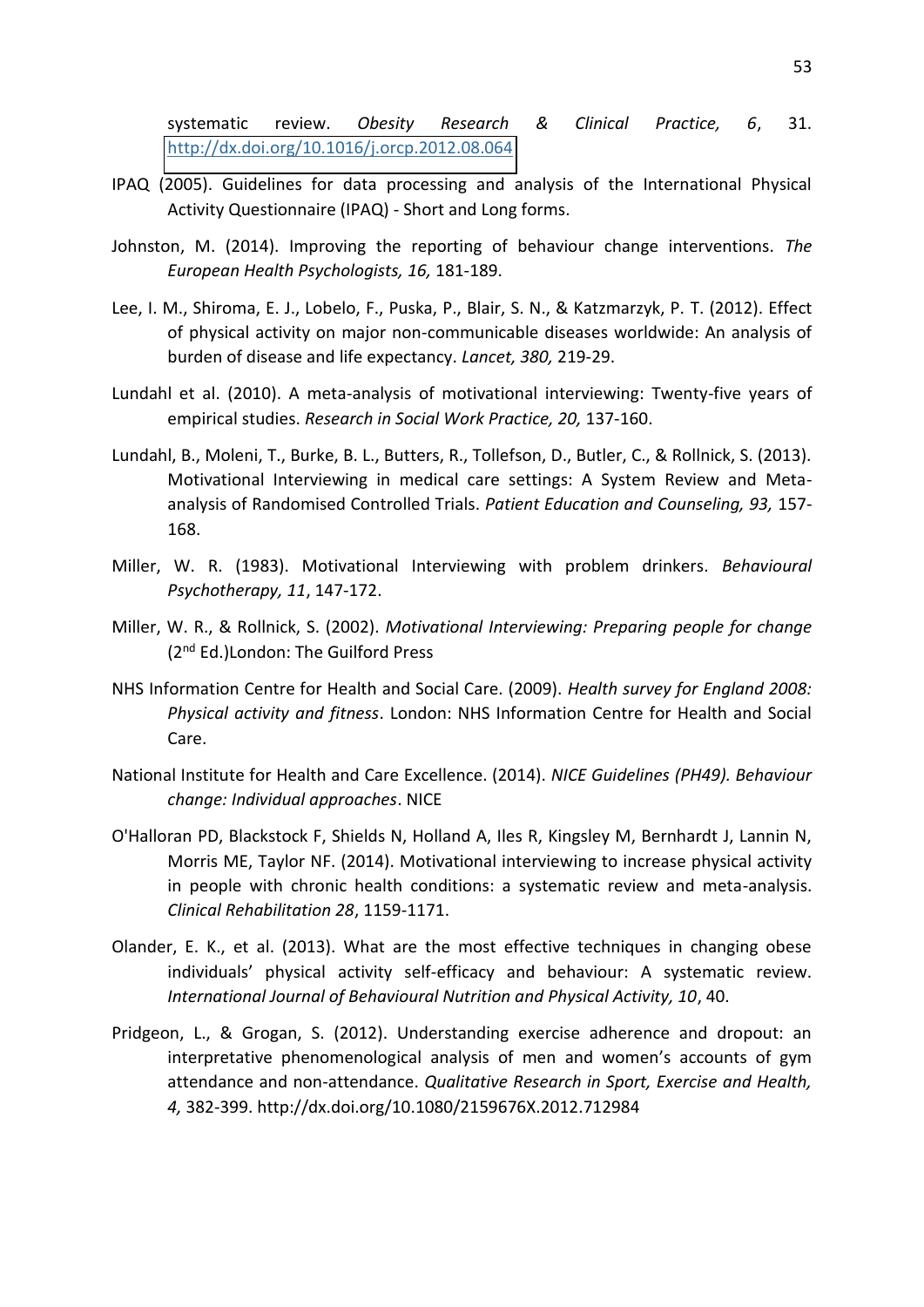systematic review. *Obesity Research & Clinical Practice, 6*, 31. <http://dx.doi.org/10.1016/j.orcp.2012.08.064>

- IPAQ (2005). Guidelines for data processing and analysis of the International Physical Activity Questionnaire (IPAQ) - Short and Long forms.
- Johnston, M. (2014). Improving the reporting of behaviour change interventions. *The European Health Psychologists, 16,* 181-189.
- Lee, I. M., Shiroma, E. J., Lobelo, F., Puska, P., Blair, S. N., & Katzmarzyk, P. T. (2012). Effect of physical activity on major non-communicable diseases worldwide: An analysis of burden of disease and life expectancy. *Lancet, 380,* 219-29.
- Lundahl et al. (2010). A meta-analysis of motivational interviewing: Twenty-five years of empirical studies. *Research in Social Work Practice, 20,* 137-160.
- Lundahl, B., Moleni, T., Burke, B. L., Butters, R., Tollefson, D., Butler, C., & Rollnick, S. (2013). Motivational Interviewing in medical care settings: A System Review and Metaanalysis of Randomised Controlled Trials. *Patient Education and Counseling, 93,* 157- 168.
- Miller, W. R. (1983). Motivational Interviewing with problem drinkers. *Behavioural Psychotherapy, 11*, 147-172.
- Miller, W. R., & Rollnick, S. (2002). *Motivational Interviewing: Preparing people for change*  (2<sup>nd</sup> Ed.)London: The Guilford Press
- NHS Information Centre for Health and Social Care. (2009). *Health survey for England 2008: Physical activity and fitness*. London: NHS Information Centre for Health and Social Care.
- National Institute for Health and Care Excellence. (2014). *NICE Guidelines (PH49). Behaviour change: Individual approaches*. NICE
- O'Halloran PD, Blackstock F, Shields N, Holland A, Iles R, Kingsley M, Bernhardt J, Lannin N, Morris ME, Taylor NF. (2014). Motivational interviewing to increase physical activity in people with chronic health conditions: a systematic review and meta-analysis. *Clinical Rehabilitation 28*, 1159-1171.
- Olander, E. K., et al. (2013). What are the most effective techniques in changing obese individuals' physical activity self-efficacy and behaviour: A systematic review. *International Journal of Behavioural Nutrition and Physical Activity, 10*, 40.
- Pridgeon, L., & Grogan, S. (2012). Understanding exercise adherence and dropout: an interpretative phenomenological analysis of men and women's accounts of gym attendance and non-attendance. *Qualitative Research in Sport, Exercise and Health, 4,* 382-399. http://dx.doi.org/10.1080/2159676X.2012.712984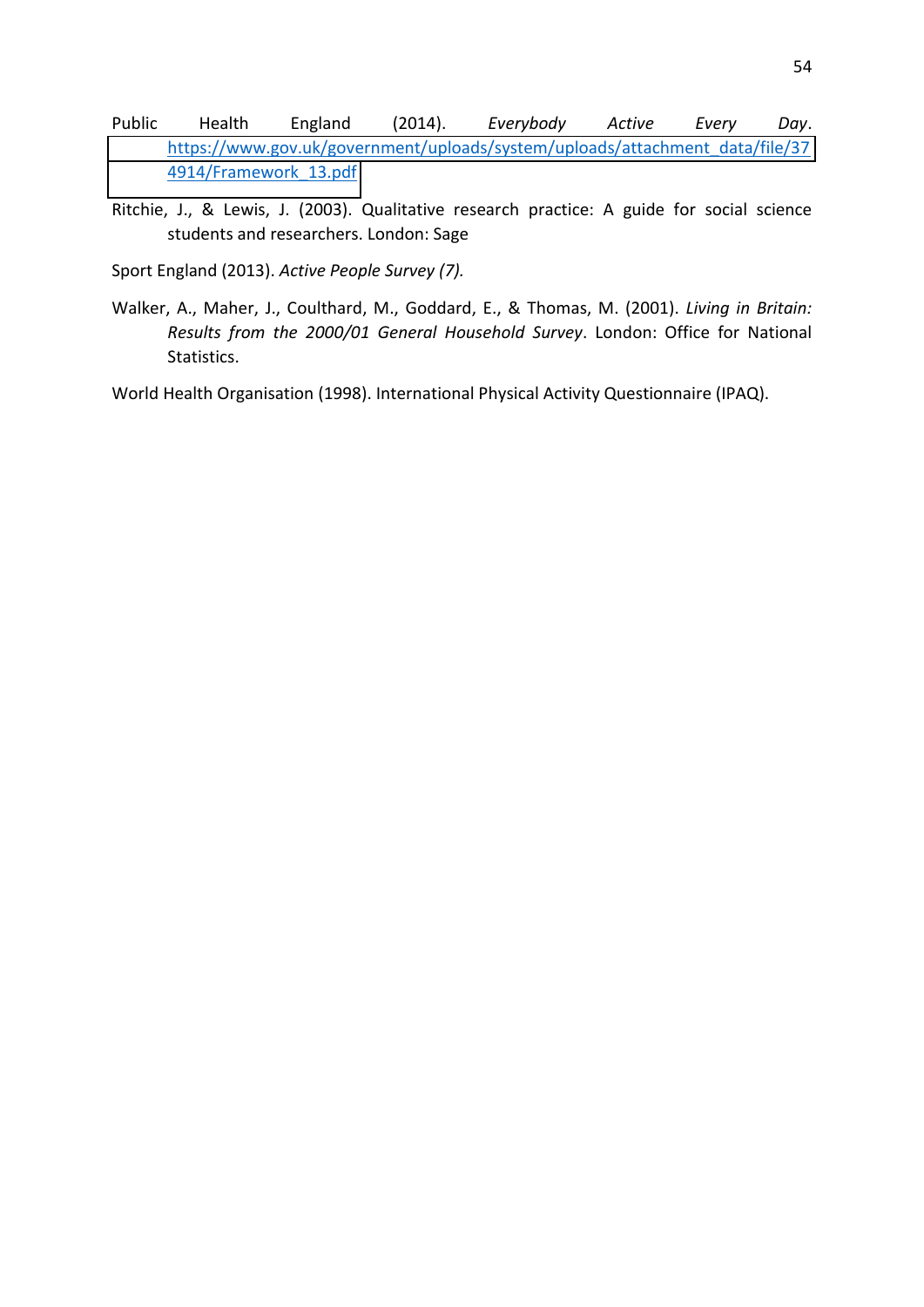- <span id="page-59-0"></span>Public Health England (2014). *Everybody Active Every Day*. [https://www.gov.uk/government/uploads/system/uploads/attachment\\_data/file/37](https://www.gov.uk/government/uploads/system/uploads/attachment_data/file/374914/Framework_13.pdf) [4914/Framework\\_13.pdf](https://www.gov.uk/government/uploads/system/uploads/attachment_data/file/374914/Framework_13.pdf)
- Ritchie, J., & Lewis, J. (2003). Qualitative research practice: A guide for social science students and researchers. London: Sage

Sport England (2013). *Active People Survey (7).*

Walker, A., Maher, J., Coulthard, M., Goddard, E., & Thomas, M. (2001). *Living in Britain: Results from the 2000/01 General Household Survey*. London: Office for National Statistics.

World Health Organisation (1998). International Physical Activity Questionnaire (IPAQ).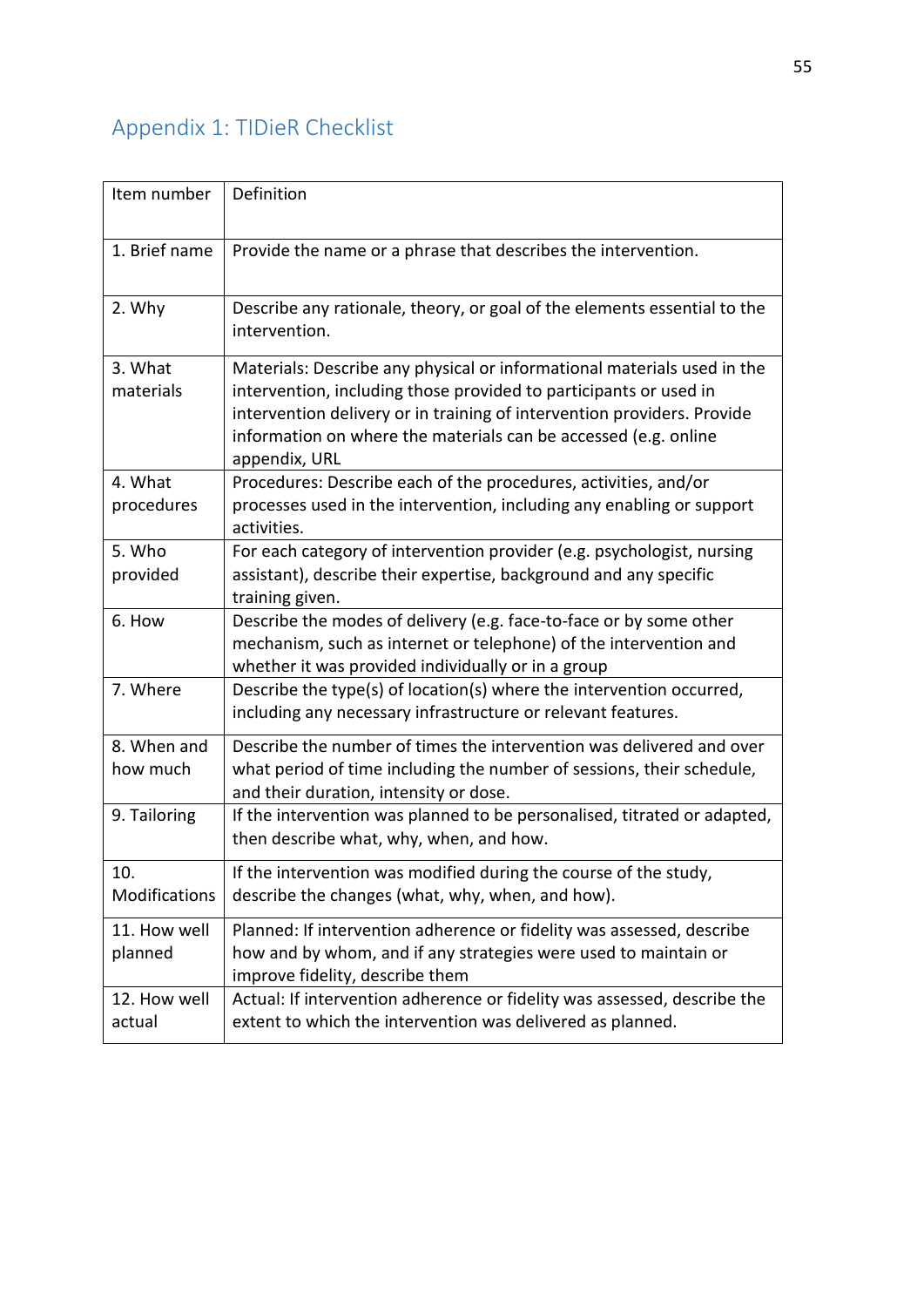# <span id="page-60-0"></span>Appendix 1: TIDieR Checklist

| Item number             | Definition                                                                                                                                                                                                                                                                                                  |
|-------------------------|-------------------------------------------------------------------------------------------------------------------------------------------------------------------------------------------------------------------------------------------------------------------------------------------------------------|
| 1. Brief name           | Provide the name or a phrase that describes the intervention.                                                                                                                                                                                                                                               |
| 2. Why                  | Describe any rationale, theory, or goal of the elements essential to the<br>intervention.                                                                                                                                                                                                                   |
| 3. What<br>materials    | Materials: Describe any physical or informational materials used in the<br>intervention, including those provided to participants or used in<br>intervention delivery or in training of intervention providers. Provide<br>information on where the materials can be accessed (e.g. online<br>appendix, URL |
| 4. What<br>procedures   | Procedures: Describe each of the procedures, activities, and/or<br>processes used in the intervention, including any enabling or support<br>activities.                                                                                                                                                     |
| 5. Who<br>provided      | For each category of intervention provider (e.g. psychologist, nursing<br>assistant), describe their expertise, background and any specific<br>training given.                                                                                                                                              |
| 6. How                  | Describe the modes of delivery (e.g. face-to-face or by some other<br>mechanism, such as internet or telephone) of the intervention and<br>whether it was provided individually or in a group                                                                                                               |
| 7. Where                | Describe the type(s) of location(s) where the intervention occurred,<br>including any necessary infrastructure or relevant features.                                                                                                                                                                        |
| 8. When and<br>how much | Describe the number of times the intervention was delivered and over<br>what period of time including the number of sessions, their schedule,<br>and their duration, intensity or dose.                                                                                                                     |
| 9. Tailoring            | If the intervention was planned to be personalised, titrated or adapted,<br>then describe what, why, when, and how.                                                                                                                                                                                         |
| 10.<br>Modifications    | If the intervention was modified during the course of the study,<br>describe the changes (what, why, when, and how).                                                                                                                                                                                        |
| 11. How well<br>planned | Planned: If intervention adherence or fidelity was assessed, describe<br>how and by whom, and if any strategies were used to maintain or<br>improve fidelity, describe them                                                                                                                                 |
| 12. How well<br>actual  | Actual: If intervention adherence or fidelity was assessed, describe the<br>extent to which the intervention was delivered as planned.                                                                                                                                                                      |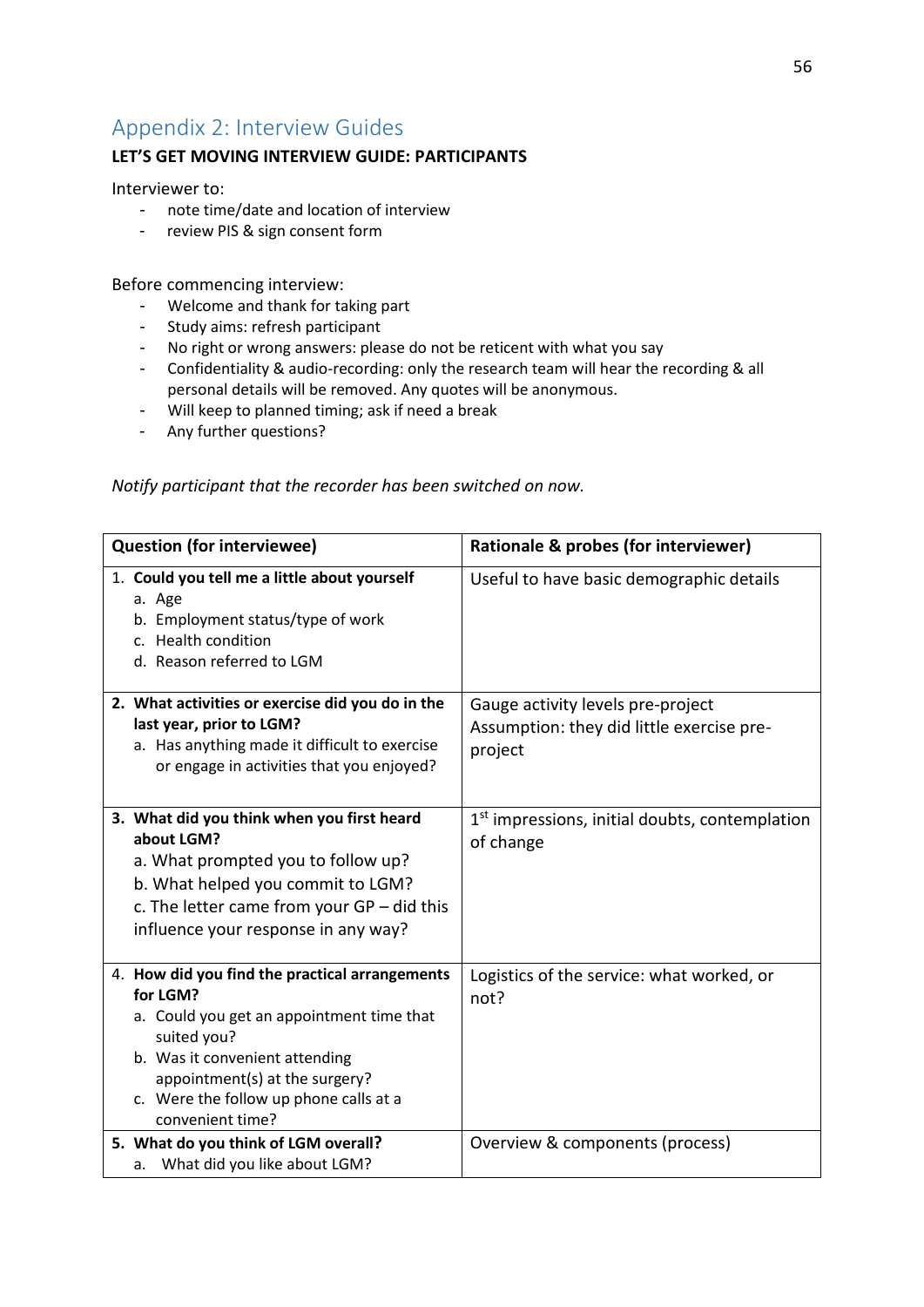## Appendix 2: Interview Guides

#### **LET'S GET MOVING INTERVIEW GUIDE: PARTICIPANTS**

Interviewer to:

- note time/date and location of interview
- review PIS & sign consent form

Before commencing interview:

- Welcome and thank for taking part
- Study aims: refresh participant
- No right or wrong answers: please do not be reticent with what you say
- Confidentiality & audio-recording: only the research team will hear the recording & all personal details will be removed. Any quotes will be anonymous.
- Will keep to planned timing; ask if need a break
- Any further questions?

#### *Notify participant that the recorder has been switched on now.*

| <b>Question (for interviewee)</b>                                                                                                                                                                                                                        | Rationale & probes (for interviewer)                                                      |
|----------------------------------------------------------------------------------------------------------------------------------------------------------------------------------------------------------------------------------------------------------|-------------------------------------------------------------------------------------------|
| 1. Could you tell me a little about yourself<br>a. Age<br>b. Employment status/type of work<br>c. Health condition<br>d. Reason referred to LGM                                                                                                          | Useful to have basic demographic details                                                  |
| 2. What activities or exercise did you do in the<br>last year, prior to LGM?<br>a. Has anything made it difficult to exercise<br>or engage in activities that you enjoyed?                                                                               | Gauge activity levels pre-project<br>Assumption: they did little exercise pre-<br>project |
| 3. What did you think when you first heard<br>about LGM?<br>a. What prompted you to follow up?<br>b. What helped you commit to LGM?<br>c. The letter came from your $GP$ – did this<br>influence your response in any way?                               | 1 <sup>st</sup> impressions, initial doubts, contemplation<br>of change                   |
| 4. How did you find the practical arrangements<br>for LGM?<br>a. Could you get an appointment time that<br>suited you?<br>b. Was it convenient attending<br>appointment(s) at the surgery?<br>c. Were the follow up phone calls at a<br>convenient time? | Logistics of the service: what worked, or<br>not?                                         |
| 5. What do you think of LGM overall?<br>a. What did you like about LGM?                                                                                                                                                                                  | Overview & components (process)                                                           |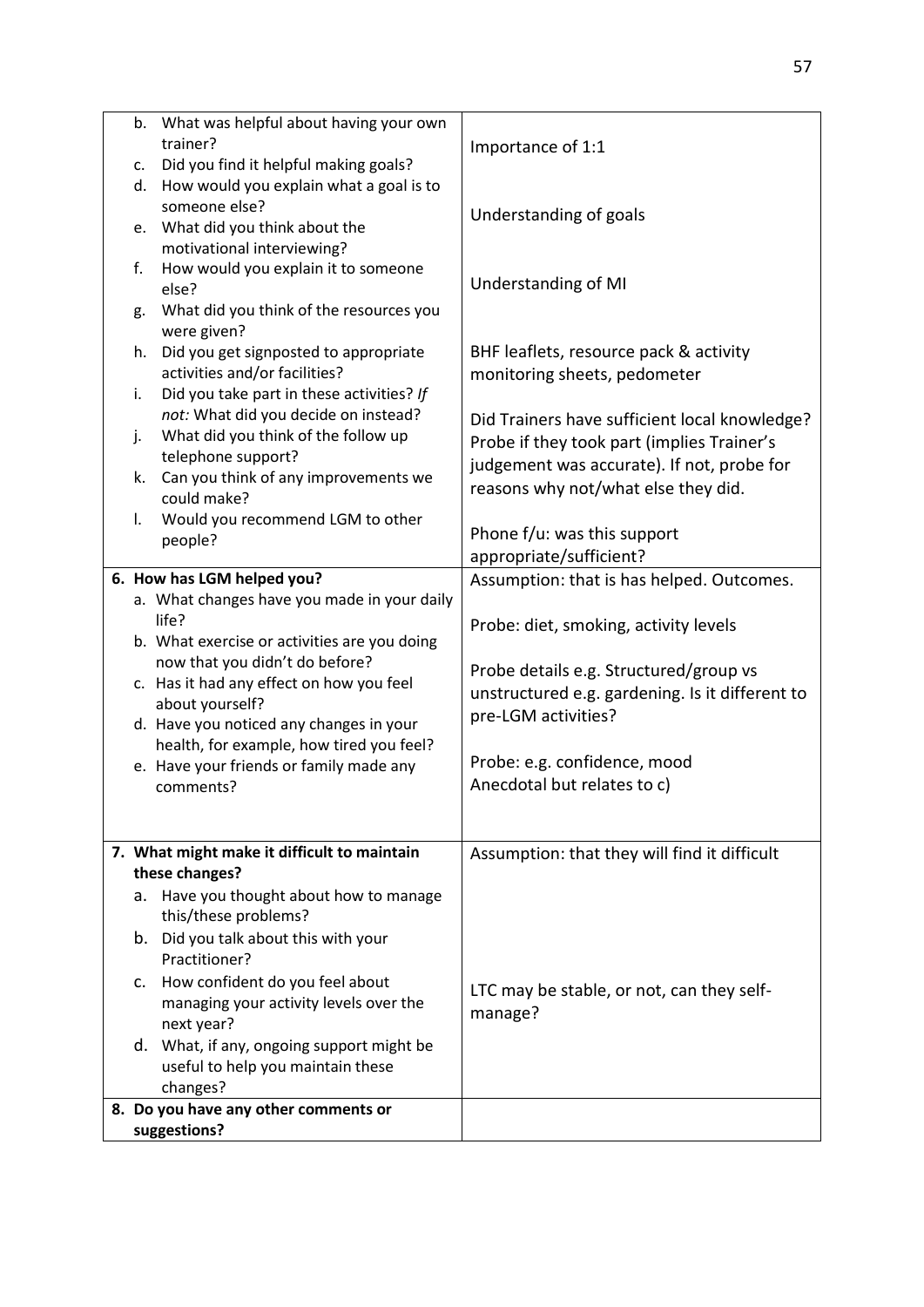| b.<br>c. | What was helpful about having your own<br>trainer?<br>Did you find it helpful making goals?                              | Importance of 1:1                                                                                                               |
|----------|--------------------------------------------------------------------------------------------------------------------------|---------------------------------------------------------------------------------------------------------------------------------|
| e.       | d. How would you explain what a goal is to<br>someone else?<br>What did you think about the                              | Understanding of goals                                                                                                          |
| f.       | motivational interviewing?<br>How would you explain it to someone<br>else?                                               | Understanding of MI                                                                                                             |
| g.       | What did you think of the resources you<br>were given?                                                                   |                                                                                                                                 |
| h.       | Did you get signposted to appropriate<br>activities and/or facilities?                                                   | BHF leaflets, resource pack & activity<br>monitoring sheets, pedometer                                                          |
| i.<br>j. | Did you take part in these activities? If<br>not: What did you decide on instead?<br>What did you think of the follow up | Did Trainers have sufficient local knowledge?                                                                                   |
| k.       | telephone support?<br>Can you think of any improvements we<br>could make?                                                | Probe if they took part (implies Trainer's<br>judgement was accurate). If not, probe for<br>reasons why not/what else they did. |
| I.       | Would you recommend LGM to other<br>people?                                                                              | Phone f/u: was this support<br>appropriate/sufficient?                                                                          |
|          | 6. How has LGM helped you?                                                                                               | Assumption: that is has helped. Outcomes.                                                                                       |
|          | a. What changes have you made in your daily                                                                              |                                                                                                                                 |
|          | life?                                                                                                                    | Probe: diet, smoking, activity levels                                                                                           |
|          | b. What exercise or activities are you doing                                                                             |                                                                                                                                 |
|          | now that you didn't do before?                                                                                           | Probe details e.g. Structured/group vs                                                                                          |
|          | c. Has it had any effect on how you feel                                                                                 | unstructured e.g. gardening. Is it different to                                                                                 |
|          | about yourself?                                                                                                          | pre-LGM activities?                                                                                                             |
|          | d. Have you noticed any changes in your                                                                                  |                                                                                                                                 |
|          | health, for example, how tired you feel?                                                                                 |                                                                                                                                 |
|          | e. Have your friends or family made any                                                                                  | Probe: e.g. confidence, mood                                                                                                    |
|          | comments?                                                                                                                | Anecdotal but relates to c)                                                                                                     |
|          | 7. What might make it difficult to maintain                                                                              | Assumption: that they will find it difficult                                                                                    |
|          | these changes?                                                                                                           |                                                                                                                                 |
| а.       | Have you thought about how to manage<br>this/these problems?                                                             |                                                                                                                                 |
|          | b. Did you talk about this with your<br>Practitioner?                                                                    |                                                                                                                                 |
|          | c. How confident do you feel about<br>managing your activity levels over the<br>next year?                               | LTC may be stable, or not, can they self-<br>manage?                                                                            |
|          | d. What, if any, ongoing support might be<br>useful to help you maintain these<br>changes?                               |                                                                                                                                 |
|          | 8. Do you have any other comments or                                                                                     |                                                                                                                                 |
|          | suggestions?                                                                                                             |                                                                                                                                 |
|          |                                                                                                                          |                                                                                                                                 |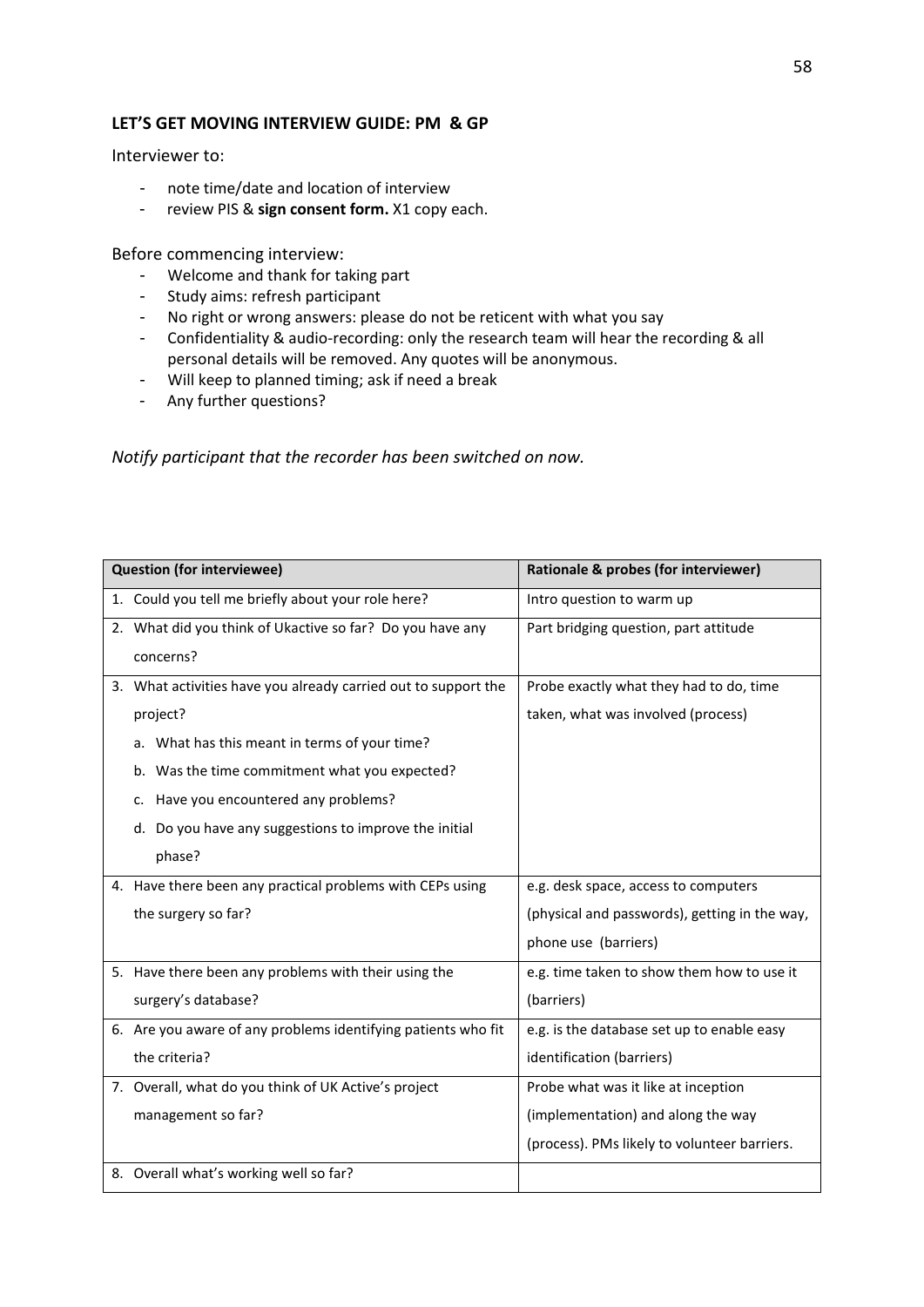#### LET'S GET MOVING INTERVIEW GUIDE: PM & GP

Interviewer to:

- note time/date and location of interview
- review PIS & **sign consent form.** X1 copy each.

Before commencing interview:

- Welcome and thank for taking part
- Study aims: refresh participant
- No right or wrong answers: please do not be reticent with what you say
- Confidentiality & audio-recording: only the research team will hear the recording & all personal details will be removed. Any quotes will be anonymous.
- Will keep to planned timing; ask if need a break
- Any further questions?

*Notify participant that the recorder has been switched on now.* 

| <b>Question (for interviewee)</b>                              | Rationale & probes (for interviewer)          |
|----------------------------------------------------------------|-----------------------------------------------|
| 1. Could you tell me briefly about your role here?             | Intro question to warm up                     |
| 2. What did you think of Ukactive so far? Do you have any      | Part bridging question, part attitude         |
| concerns?                                                      |                                               |
| 3. What activities have you already carried out to support the | Probe exactly what they had to do, time       |
| project?                                                       | taken, what was involved (process)            |
| a. What has this meant in terms of your time?                  |                                               |
| b. Was the time commitment what you expected?                  |                                               |
| c. Have you encountered any problems?                          |                                               |
| d. Do you have any suggestions to improve the initial          |                                               |
| phase?                                                         |                                               |
| 4. Have there been any practical problems with CEPs using      | e.g. desk space, access to computers          |
| the surgery so far?                                            | (physical and passwords), getting in the way, |
|                                                                | phone use (barriers)                          |
| 5. Have there been any problems with their using the           | e.g. time taken to show them how to use it    |
| surgery's database?                                            | (barriers)                                    |
| 6. Are you aware of any problems identifying patients who fit  | e.g. is the database set up to enable easy    |
| the criteria?                                                  | identification (barriers)                     |
| 7. Overall, what do you think of UK Active's project           | Probe what was it like at inception           |
| management so far?                                             | (implementation) and along the way            |
|                                                                | (process). PMs likely to volunteer barriers.  |
| 8. Overall what's working well so far?                         |                                               |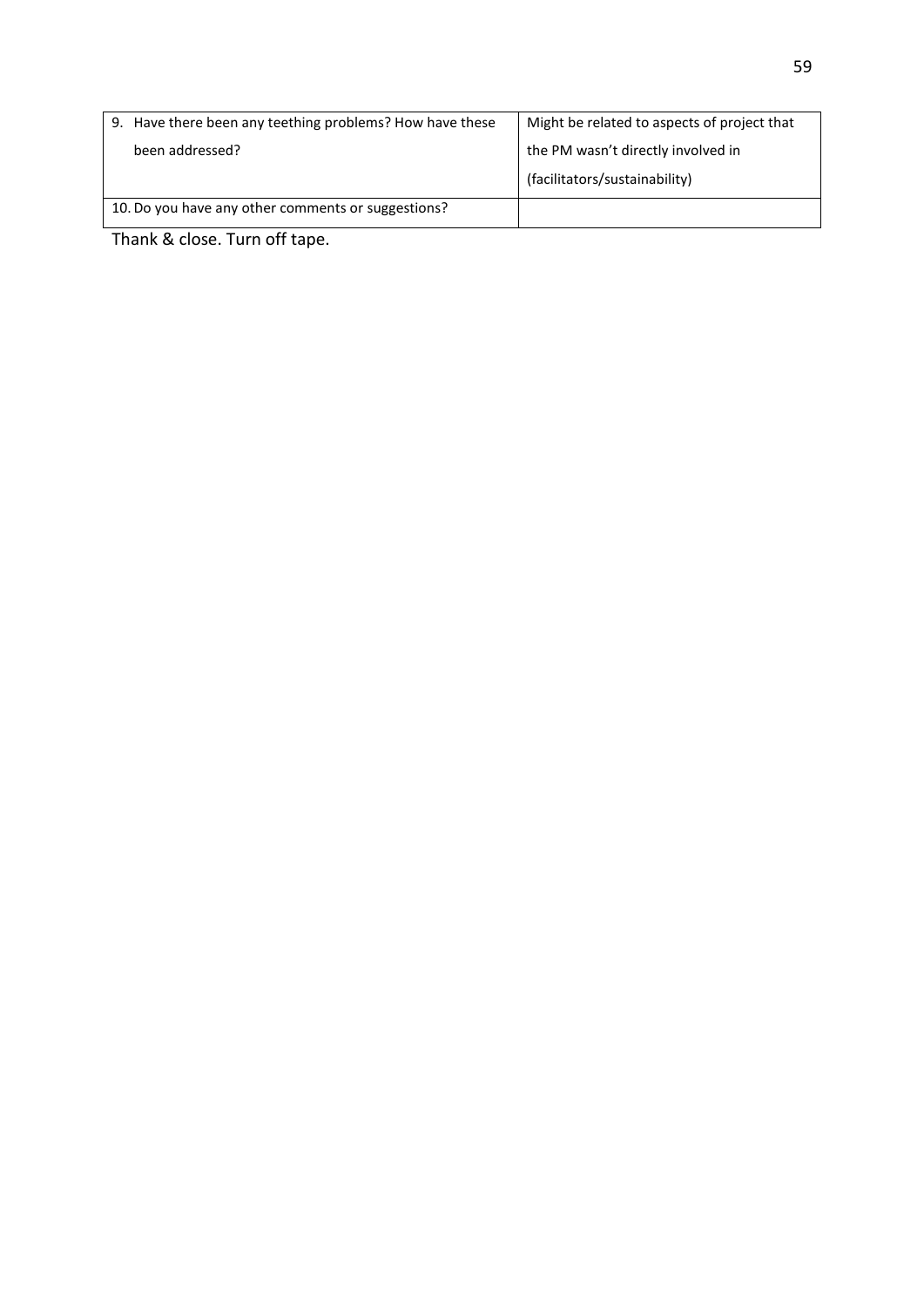|                                                    | 9. Have there been any teething problems? How have these | Might be related to aspects of project that |
|----------------------------------------------------|----------------------------------------------------------|---------------------------------------------|
|                                                    | been addressed?                                          | the PM wasn't directly involved in          |
|                                                    |                                                          | (facilitators/sustainability)               |
| 10. Do you have any other comments or suggestions? |                                                          |                                             |

Thank & close. Turn off tape.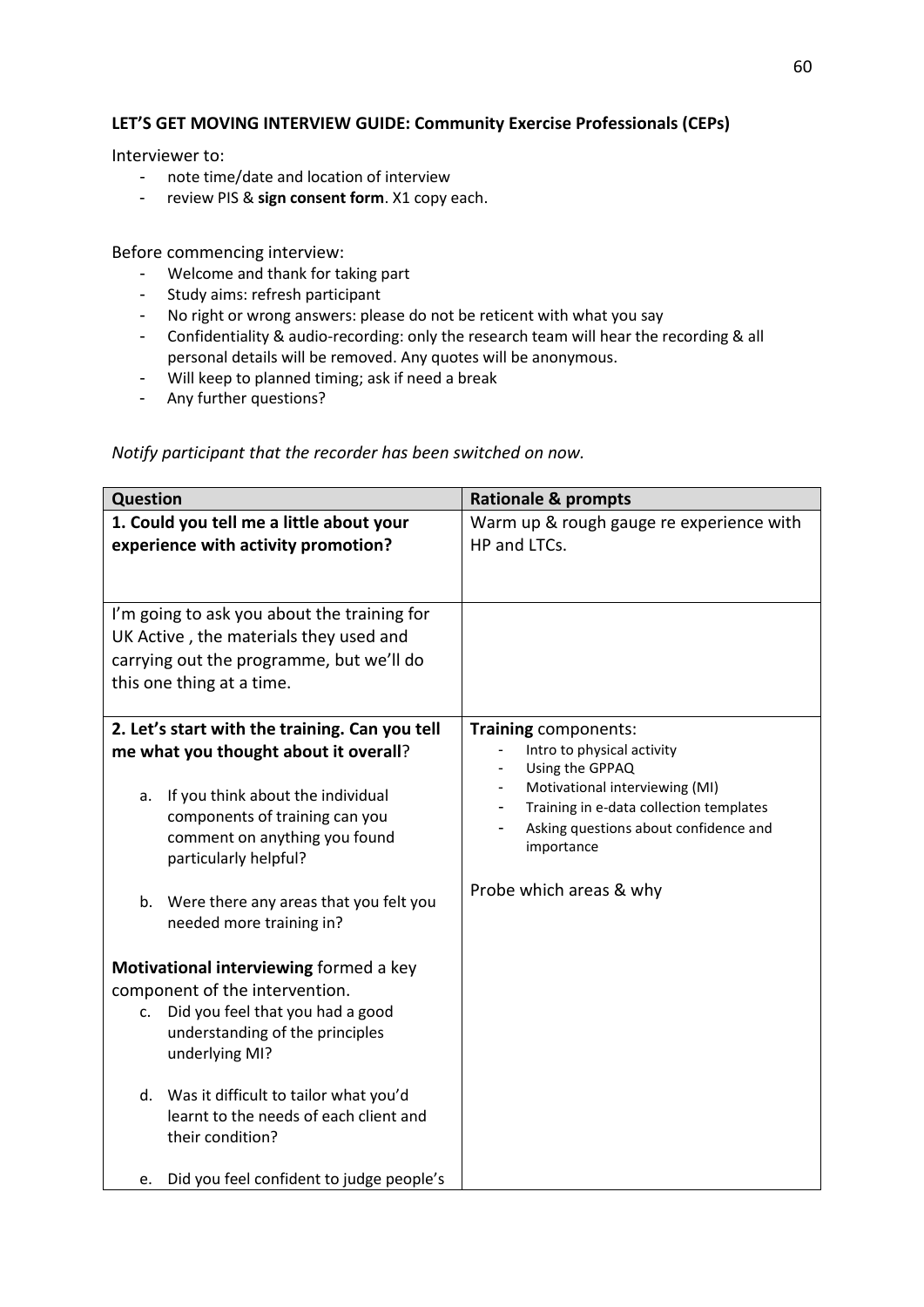#### LET'S GET MOVING INTERVIEW GUIDE: Community Exercise Professionals (CEPs)

Interviewer to:

- note time/date and location of interview
- review PIS & **sign consent form**. X1 copy each.

Before commencing interview:

- Welcome and thank for taking part
- Study aims: refresh participant
- No right or wrong answers: please do not be reticent with what you say
- Confidentiality & audio-recording: only the research team will hear the recording & all personal details will be removed. Any quotes will be anonymous.
- Will keep to planned timing; ask if need a break
- Any further questions?

*Notify participant that the recorder has been switched on now.* 

| <b>Question</b>                                                                                                                                                | <b>Rationale &amp; prompts</b>                                                                                                                                    |
|----------------------------------------------------------------------------------------------------------------------------------------------------------------|-------------------------------------------------------------------------------------------------------------------------------------------------------------------|
| 1. Could you tell me a little about your                                                                                                                       | Warm up & rough gauge re experience with                                                                                                                          |
| experience with activity promotion?                                                                                                                            | HP and LTCs.                                                                                                                                                      |
|                                                                                                                                                                |                                                                                                                                                                   |
| I'm going to ask you about the training for<br>UK Active, the materials they used and<br>carrying out the programme, but we'll do<br>this one thing at a time. |                                                                                                                                                                   |
| 2. Let's start with the training. Can you tell<br>me what you thought about it overall?                                                                        | Training components:<br>Intro to physical activity<br>Using the GPPAQ                                                                                             |
| If you think about the individual<br>a.<br>components of training can you<br>comment on anything you found<br>particularly helpful?                            | Motivational interviewing (MI)<br>٠<br>Training in e-data collection templates<br>$\overline{\phantom{0}}$<br>Asking questions about confidence and<br>importance |
| Were there any areas that you felt you<br>b.<br>needed more training in?                                                                                       | Probe which areas & why                                                                                                                                           |
| Motivational interviewing formed a key                                                                                                                         |                                                                                                                                                                   |
| component of the intervention.<br>Did you feel that you had a good<br>c.<br>understanding of the principles<br>underlying MI?                                  |                                                                                                                                                                   |
| Was it difficult to tailor what you'd<br>d.<br>learnt to the needs of each client and<br>their condition?                                                      |                                                                                                                                                                   |
| Did you feel confident to judge people's<br>e.                                                                                                                 |                                                                                                                                                                   |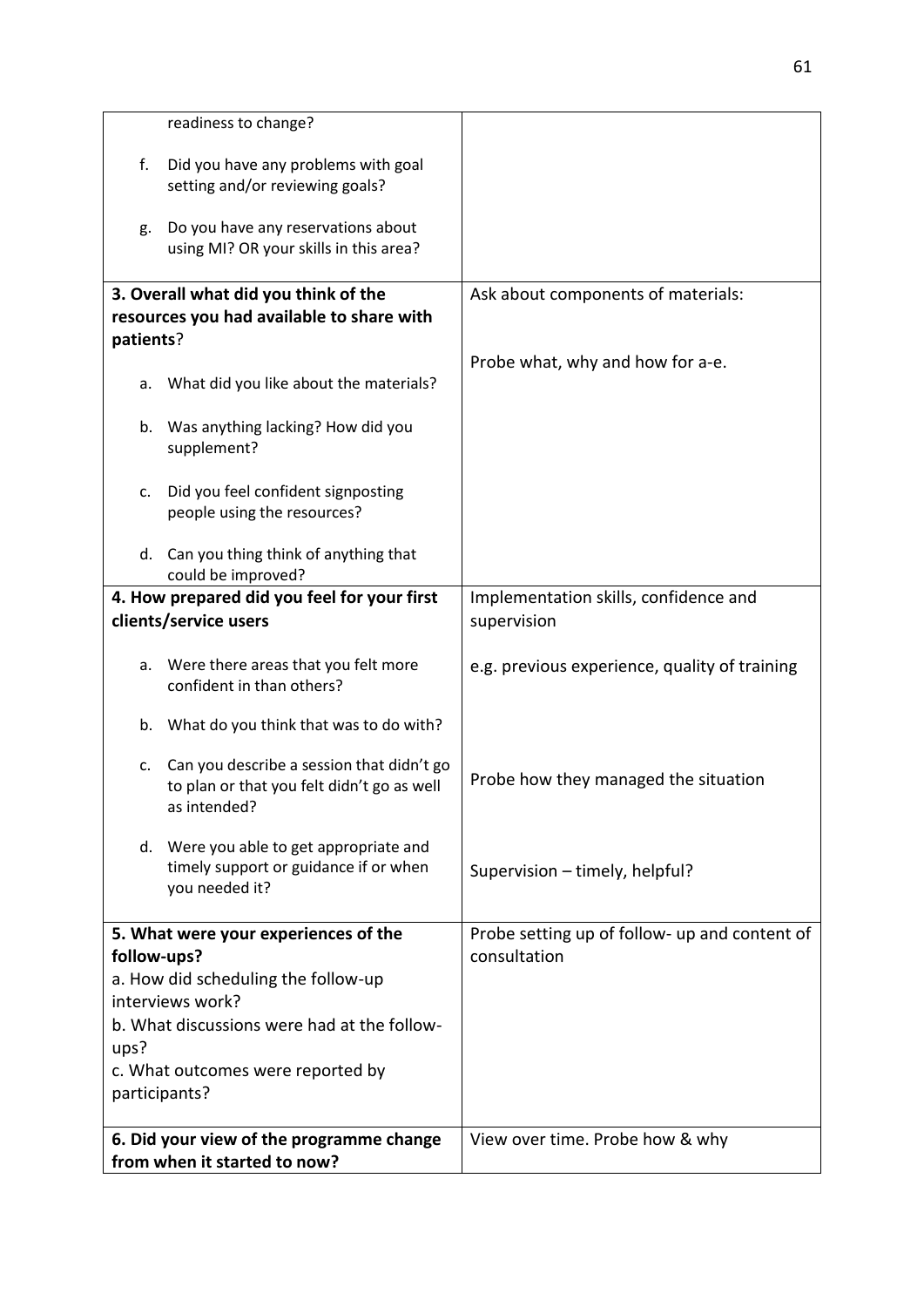|                                                                          | readiness to change?                                                                                    |                                                               |
|--------------------------------------------------------------------------|---------------------------------------------------------------------------------------------------------|---------------------------------------------------------------|
| f.                                                                       | Did you have any problems with goal<br>setting and/or reviewing goals?                                  |                                                               |
| g.                                                                       | Do you have any reservations about<br>using MI? OR your skills in this area?                            |                                                               |
|                                                                          | 3. Overall what did you think of the                                                                    | Ask about components of materials:                            |
|                                                                          | resources you had available to share with                                                               |                                                               |
| patients?                                                                |                                                                                                         |                                                               |
| а.                                                                       | What did you like about the materials?                                                                  | Probe what, why and how for a-e.                              |
| b.                                                                       | Was anything lacking? How did you<br>supplement?                                                        |                                                               |
| c.                                                                       | Did you feel confident signposting<br>people using the resources?                                       |                                                               |
|                                                                          | d. Can you thing think of anything that<br>could be improved?                                           |                                                               |
| 4. How prepared did you feel for your first<br>clients/service users     |                                                                                                         | Implementation skills, confidence and<br>supervision          |
| a.                                                                       | Were there areas that you felt more<br>confident in than others?                                        | e.g. previous experience, quality of training                 |
|                                                                          | b. What do you think that was to do with?                                                               |                                                               |
| c.                                                                       | Can you describe a session that didn't go<br>to plan or that you felt didn't go as well<br>as intended? | Probe how they managed the situation                          |
|                                                                          | d. Were you able to get appropriate and<br>timely support or guidance if or when<br>you needed it?      | Supervision - timely, helpful?                                |
| 5. What were your experiences of the<br>follow-ups?                      |                                                                                                         | Probe setting up of follow- up and content of<br>consultation |
| a. How did scheduling the follow-up                                      |                                                                                                         |                                                               |
| interviews work?                                                         |                                                                                                         |                                                               |
| b. What discussions were had at the follow-                              |                                                                                                         |                                                               |
| ups?                                                                     |                                                                                                         |                                                               |
| c. What outcomes were reported by<br>participants?                       |                                                                                                         |                                                               |
| 6. Did your view of the programme change<br>from when it started to now? |                                                                                                         | View over time. Probe how & why                               |